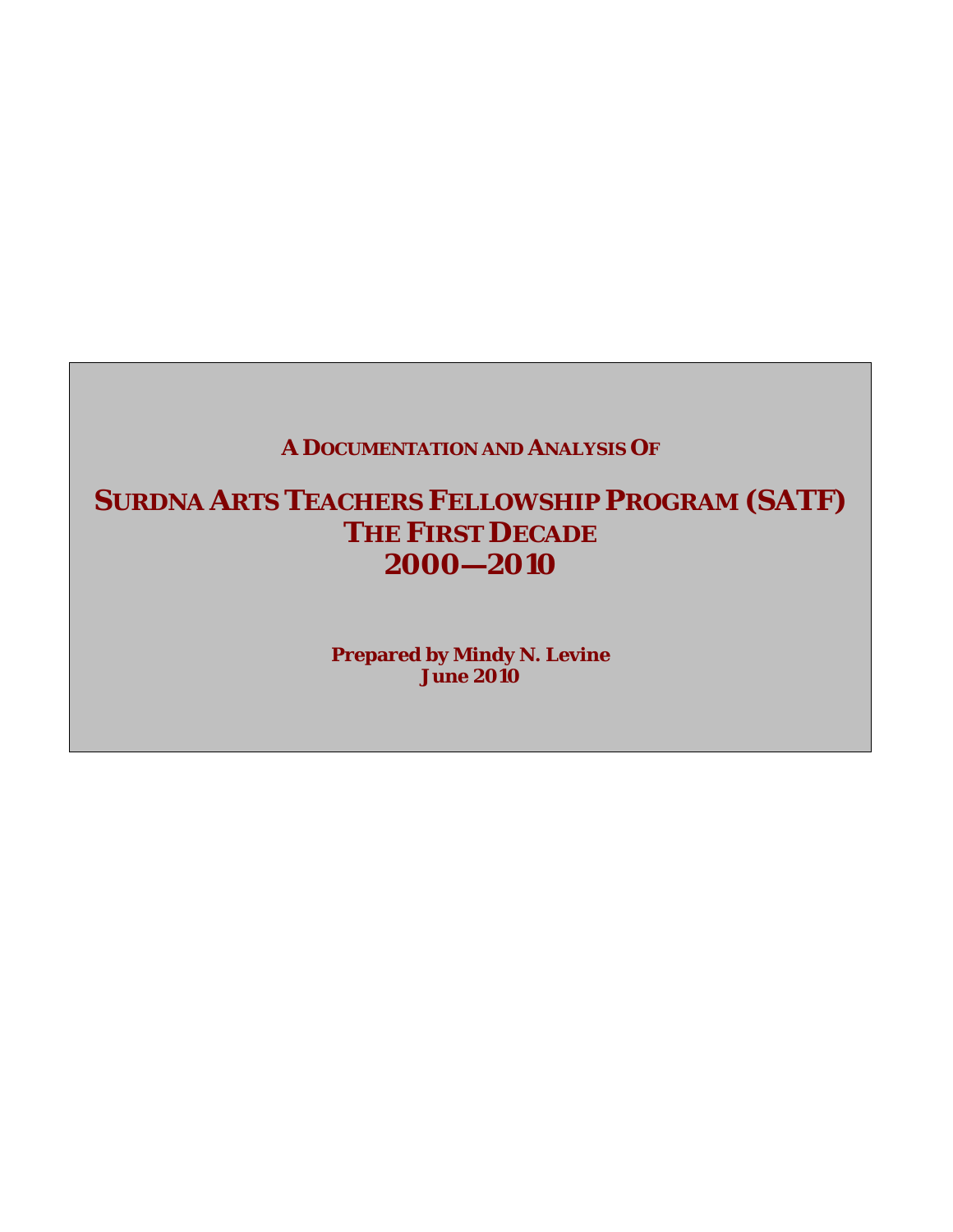# **A DOCUMENTATION AND ANALYSIS OF**

# **SURDNA ARTS TEACHERS FELLOWSHIP PROGRAM (SATF) THE FIRST DECADE 2000—2010**

**Prepared by Mindy N. Levine June 2010**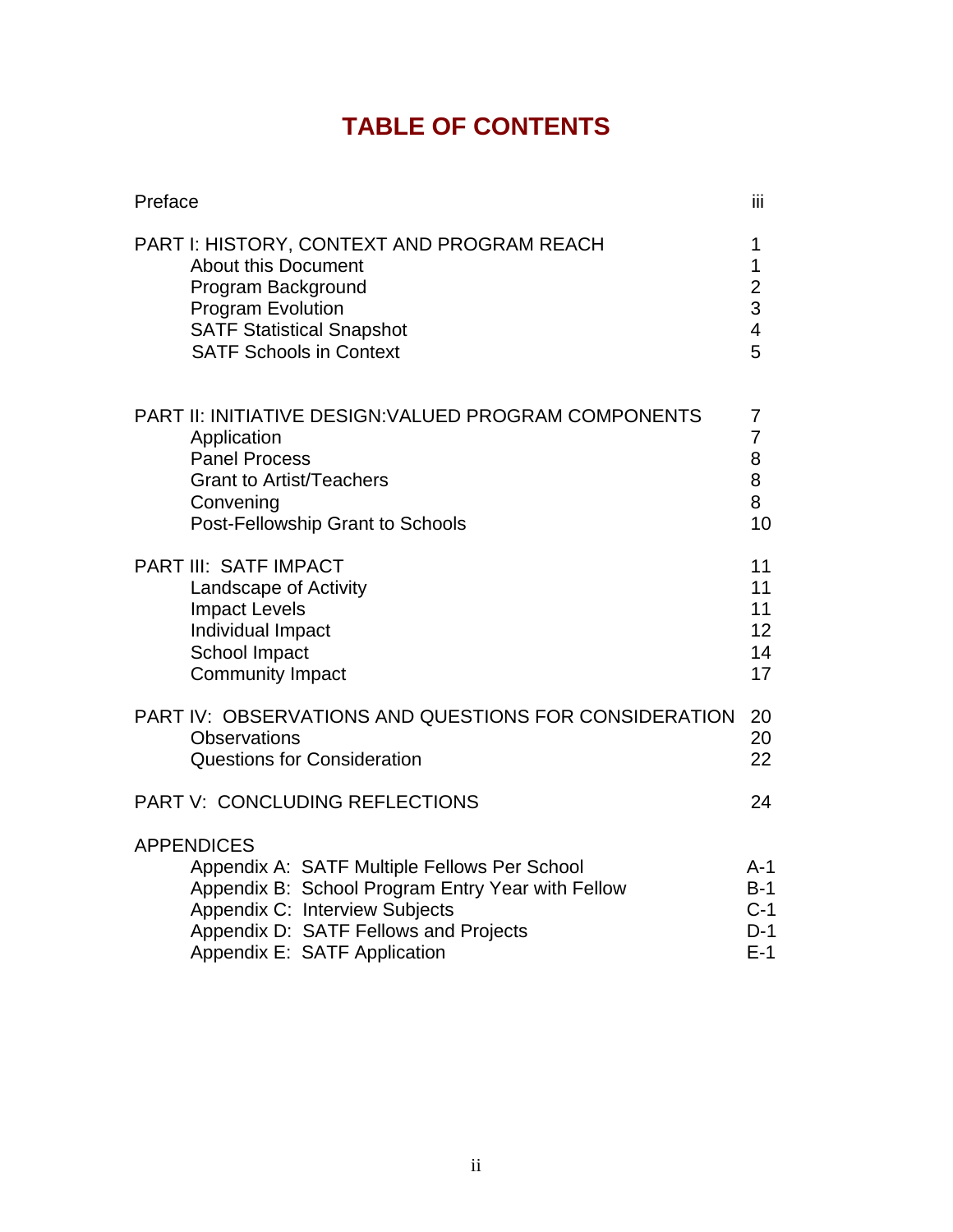# **TABLE OF CONTENTS**

| Preface                                                                                                                                                                                                                           | Ϊij                                                     |
|-----------------------------------------------------------------------------------------------------------------------------------------------------------------------------------------------------------------------------------|---------------------------------------------------------|
| <b>PART I: HISTORY, CONTEXT AND PROGRAM REACH</b><br><b>About this Document</b><br>Program Background<br><b>Program Evolution</b><br><b>SATF Statistical Snapshot</b><br><b>SATF Schools in Context</b>                           | 1<br>1<br>$\frac{2}{3}$<br>$\overline{\mathbf{4}}$<br>5 |
| <b>PART II: INITIATIVE DESIGN: VALUED PROGRAM COMPONENTS</b><br>Application<br><b>Panel Process</b><br><b>Grant to Artist/Teachers</b><br>Convening<br>Post-Fellowship Grant to Schools                                           | $\overline{7}$<br>$\overline{7}$<br>8<br>8<br>8<br>10   |
| <b>PART III: SATF IMPACT</b><br>Landscape of Activity<br><b>Impact Levels</b><br>Individual Impact<br>School Impact<br><b>Community Impact</b>                                                                                    | 11<br>11<br>11<br>12<br>14<br>17                        |
| PART IV: OBSERVATIONS AND QUESTIONS FOR CONSIDERATION<br><b>Observations</b><br><b>Questions for Consideration</b>                                                                                                                | 20<br>20<br>22                                          |
| PART V: CONCLUDING REFLECTIONS                                                                                                                                                                                                    | 24                                                      |
| <b>APPENDICES</b><br>Appendix A: SATF Multiple Fellows Per School<br>Appendix B: School Program Entry Year with Fellow<br>Appendix C: Interview Subjects<br>Appendix D: SATF Fellows and Projects<br>Appendix E: SATF Application | A-1<br>$B-1$<br>$C-1$<br>$D-1$<br>$E-1$                 |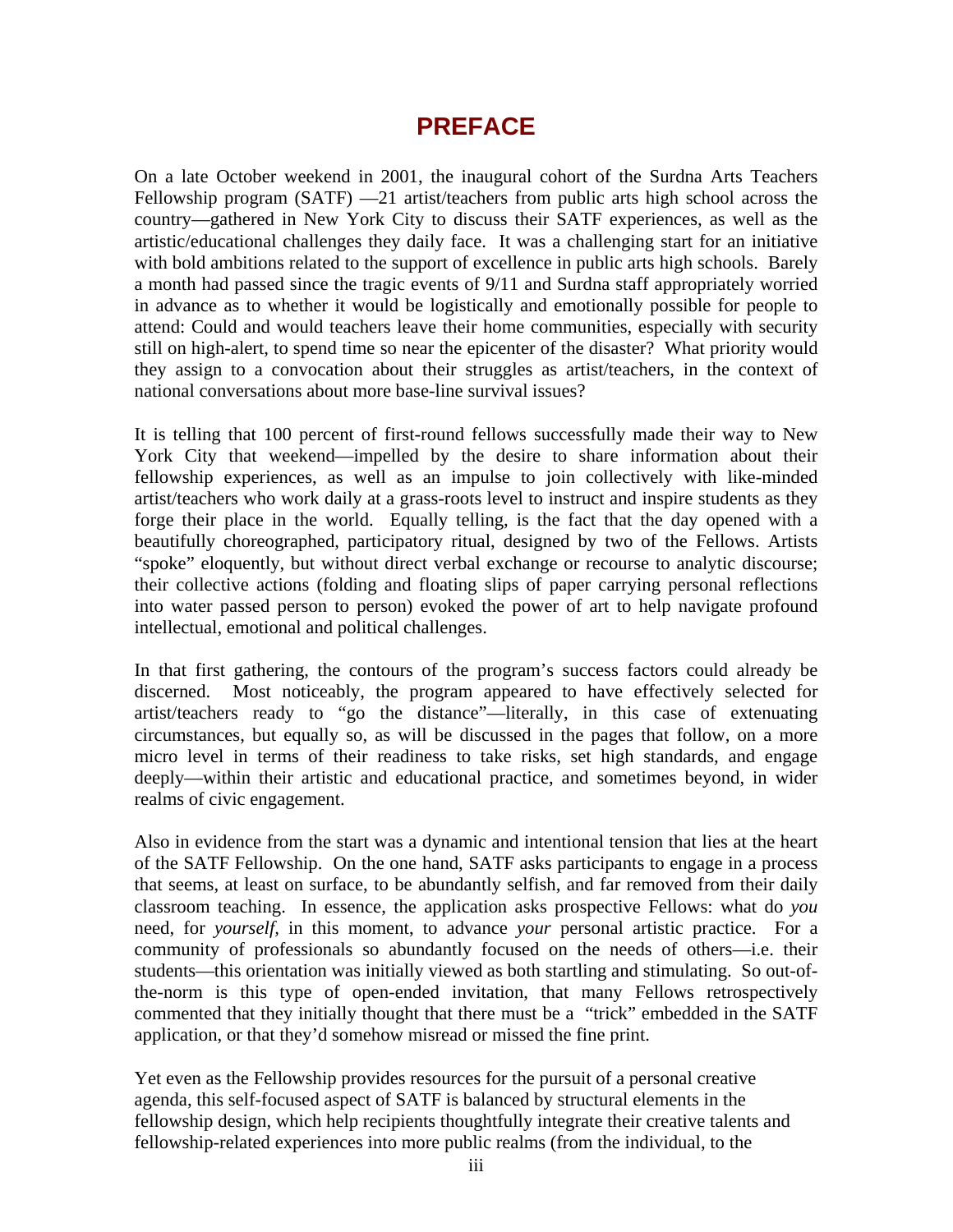# **PREFACE**

On a late October weekend in 2001, the inaugural cohort of the Surdna Arts Teachers Fellowship program (SATF) —21 artist/teachers from public arts high school across the country—gathered in New York City to discuss their SATF experiences, as well as the artistic/educational challenges they daily face. It was a challenging start for an initiative with bold ambitions related to the support of excellence in public arts high schools. Barely a month had passed since the tragic events of 9/11 and Surdna staff appropriately worried in advance as to whether it would be logistically and emotionally possible for people to attend: Could and would teachers leave their home communities, especially with security still on high-alert, to spend time so near the epicenter of the disaster? What priority would they assign to a convocation about their struggles as artist/teachers, in the context of national conversations about more base-line survival issues?

It is telling that 100 percent of first-round fellows successfully made their way to New York City that weekend—impelled by the desire to share information about their fellowship experiences, as well as an impulse to join collectively with like-minded artist/teachers who work daily at a grass-roots level to instruct and inspire students as they forge their place in the world. Equally telling, is the fact that the day opened with a beautifully choreographed, participatory ritual, designed by two of the Fellows. Artists "spoke" eloquently, but without direct verbal exchange or recourse to analytic discourse; their collective actions (folding and floating slips of paper carrying personal reflections into water passed person to person) evoked the power of art to help navigate profound intellectual, emotional and political challenges.

In that first gathering, the contours of the program's success factors could already be discerned. Most noticeably, the program appeared to have effectively selected for artist/teachers ready to "go the distance"—literally, in this case of extenuating circumstances, but equally so, as will be discussed in the pages that follow, on a more micro level in terms of their readiness to take risks, set high standards, and engage deeply—within their artistic and educational practice, and sometimes beyond, in wider realms of civic engagement.

Also in evidence from the start was a dynamic and intentional tension that lies at the heart of the SATF Fellowship. On the one hand, SATF asks participants to engage in a process that seems, at least on surface, to be abundantly selfish, and far removed from their daily classroom teaching. In essence, the application asks prospective Fellows: what do *you*  need, for *yourself,* in this moment, to advance *your* personal artistic practice. For a community of professionals so abundantly focused on the needs of others—i.e. their students—this orientation was initially viewed as both startling and stimulating. So out-ofthe-norm is this type of open-ended invitation, that many Fellows retrospectively commented that they initially thought that there must be a "trick" embedded in the SATF application, or that they'd somehow misread or missed the fine print.

Yet even as the Fellowship provides resources for the pursuit of a personal creative agenda, this self-focused aspect of SATF is balanced by structural elements in the fellowship design, which help recipients thoughtfully integrate their creative talents and fellowship-related experiences into more public realms (from the individual, to the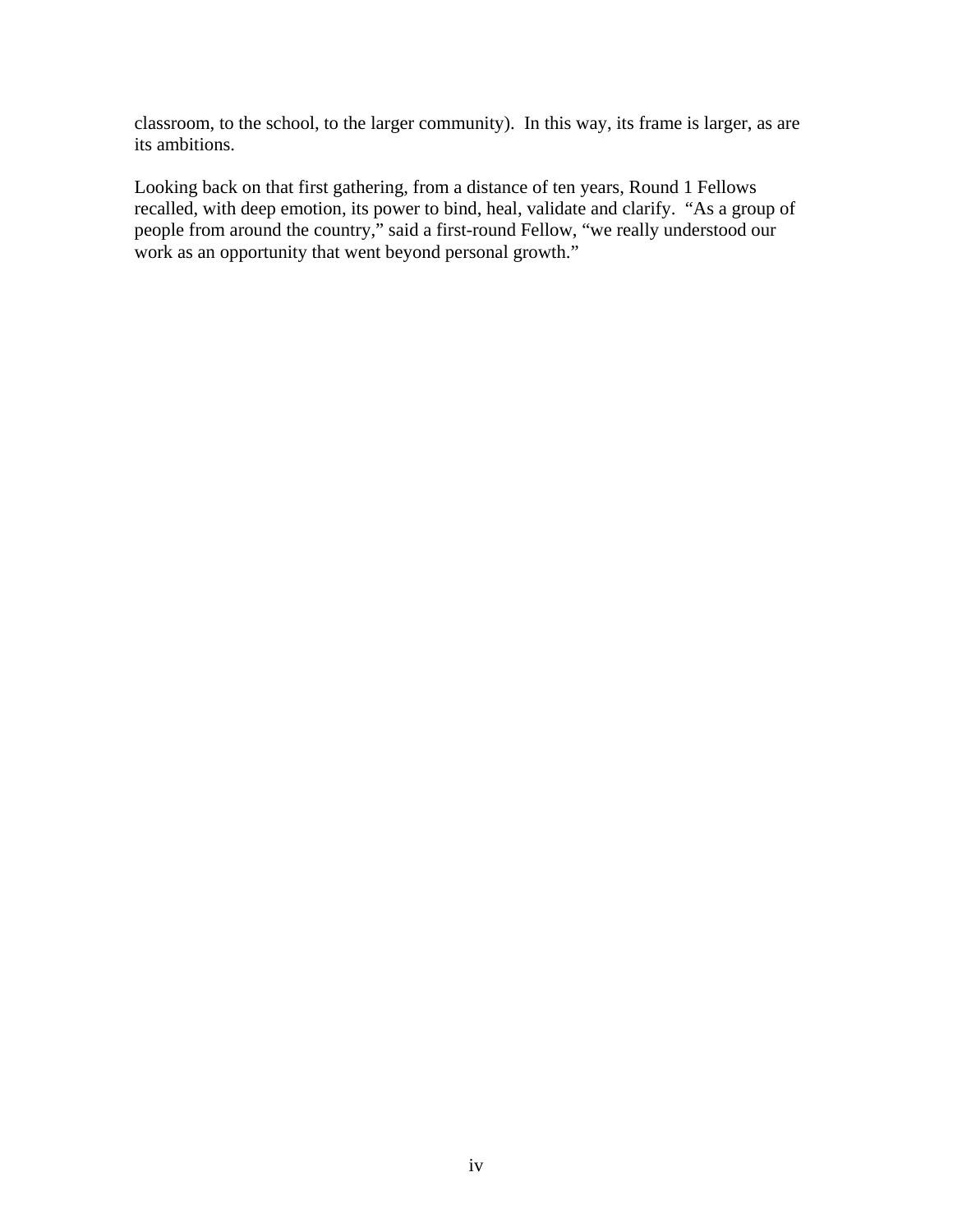classroom, to the school, to the larger community). In this way, its frame is larger, as are its ambitions.

Looking back on that first gathering, from a distance of ten years, Round 1 Fellows recalled, with deep emotion, its power to bind, heal, validate and clarify. "As a group of people from around the country," said a first-round Fellow, "we really understood our work as an opportunity that went beyond personal growth."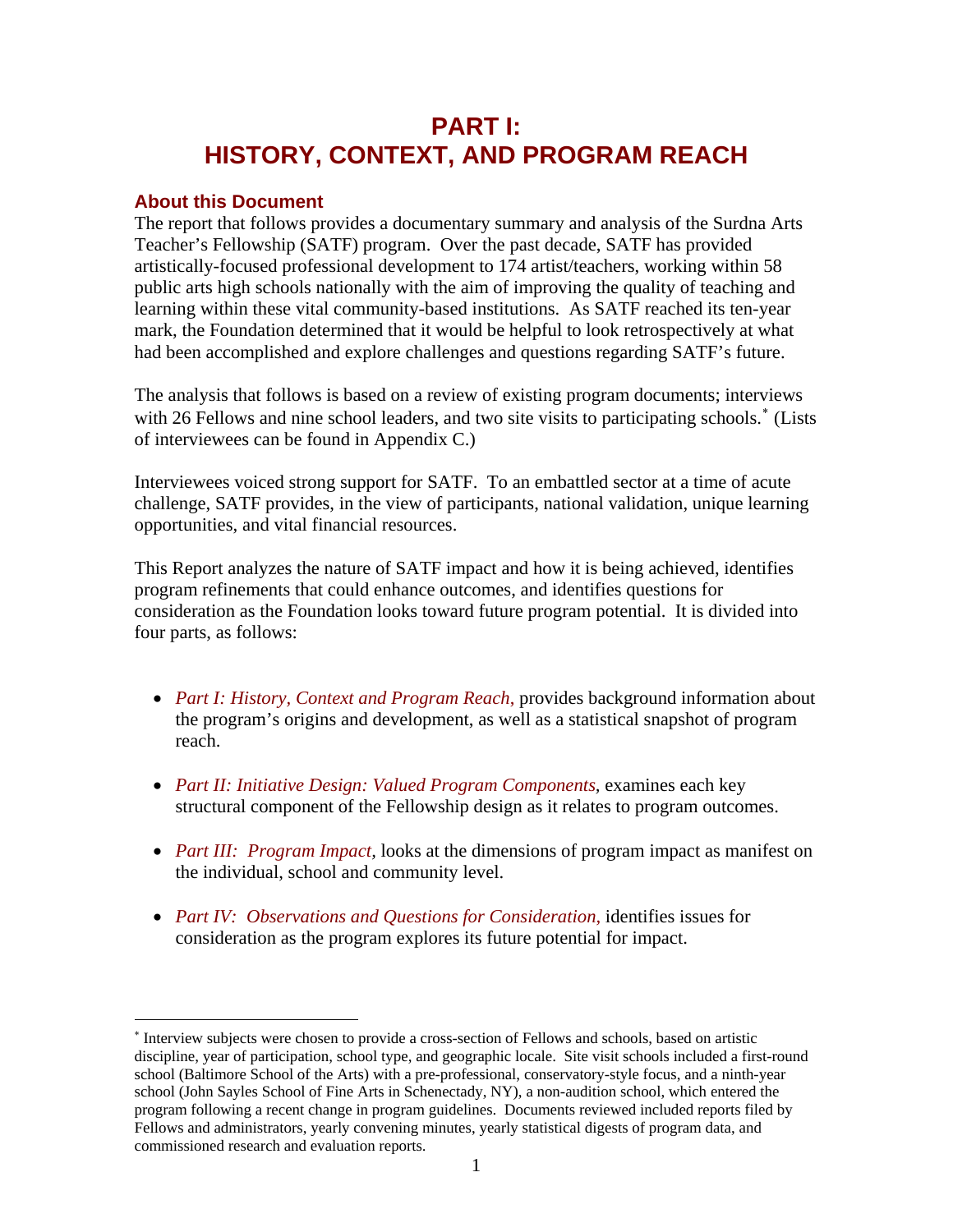# **PART I: HISTORY, CONTEXT, AND PROGRAM REACH**

## **About this Document**

 $\overline{a}$ 

The report that follows provides a documentary summary and analysis of the Surdna Arts Teacher's Fellowship (SATF) program. Over the past decade, SATF has provided artistically-focused professional development to 174 artist/teachers, working within 58 public arts high schools nationally with the aim of improving the quality of teaching and learning within these vital community-based institutions. As SATF reached its ten-year mark, the Foundation determined that it would be helpful to look retrospectively at what had been accomplished and explore challenges and questions regarding SATF's future.

The analysis that follows is based on a review of existing program documents; interviews with 26 Fellows and nine school leaders, and two site visits to participating schools.<sup>\*</sup> (Lists of interviewees can be found in Appendix C.)

Interviewees voiced strong support for SATF. To an embattled sector at a time of acute challenge, SATF provides, in the view of participants, national validation, unique learning opportunities, and vital financial resources.

This Report analyzes the nature of SATF impact and how it is being achieved, identifies program refinements that could enhance outcomes, and identifies questions for consideration as the Foundation looks toward future program potential. It is divided into four parts, as follows:

- *Part I: History, Context and Program Reach*, provides background information about the program's origins and development, as well as a statistical snapshot of program reach.
- *Part II: Initiative Design: Valued Program Components, examines each key* structural component of the Fellowship design as it relates to program outcomes.
- *Part III: Program Impact,* looks at the dimensions of program impact as manifest on the individual, school and community level.
- *Part IV: Observations and Questions for Consideration,* identifies issues for consideration as the program explores its future potential for impact.

<span id="page-4-0"></span><sup>∗</sup> Interview subjects were chosen to provide a cross-section of Fellows and schools, based on artistic discipline, year of participation, school type, and geographic locale. Site visit schools included a first-round school (Baltimore School of the Arts) with a pre-professional, conservatory-style focus, and a ninth-year school (John Sayles School of Fine Arts in Schenectady, NY), a non-audition school, which entered the program following a recent change in program guidelines. Documents reviewed included reports filed by Fellows and administrators, yearly convening minutes, yearly statistical digests of program data, and commissioned research and evaluation reports.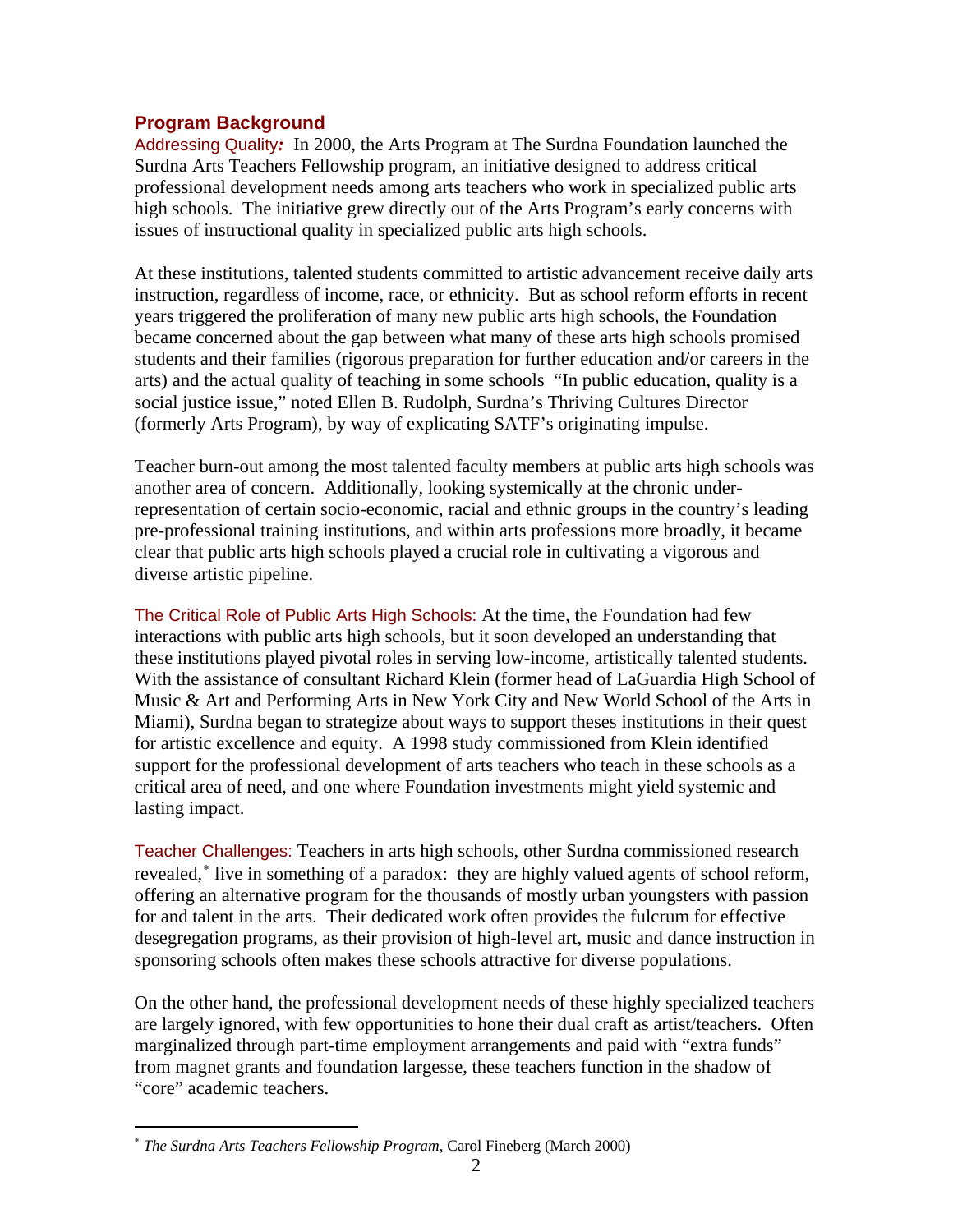# **Program Background**

Addressing Quality*:* In 2000, the Arts Program at The Surdna Foundation launched the Surdna Arts Teachers Fellowship program, an initiative designed to address critical professional development needs among arts teachers who work in specialized public arts high schools. The initiative grew directly out of the Arts Program's early concerns with issues of instructional quality in specialized public arts high schools.

At these institutions, talented students committed to artistic advancement receive daily arts instruction, regardless of income, race, or ethnicity. But as school reform efforts in recent years triggered the proliferation of many new public arts high schools, the Foundation became concerned about the gap between what many of these arts high schools promised students and their families (rigorous preparation for further education and/or careers in the arts) and the actual quality of teaching in some schools "In public education, quality is a social justice issue," noted Ellen B. Rudolph, Surdna's Thriving Cultures Director (formerly Arts Program), by way of explicating SATF's originating impulse.

Teacher burn-out among the most talented faculty members at public arts high schools was another area of concern. Additionally, looking systemically at the chronic underrepresentation of certain socio-economic, racial and ethnic groups in the country's leading pre-professional training institutions, and within arts professions more broadly, it became clear that public arts high schools played a crucial role in cultivating a vigorous and diverse artistic pipeline.

The Critical Role of Public Arts High Schools: At the time, the Foundation had few interactions with public arts high schools, but it soon developed an understanding that these institutions played pivotal roles in serving low-income, artistically talented students. With the assistance of consultant Richard Klein (former head of LaGuardia High School of Music & Art and Performing Arts in New York City and New World School of the Arts in Miami), Surdna began to strategize about ways to support theses institutions in their quest for artistic excellence and equity. A 1998 study commissioned from Klein identified support for the professional development of arts teachers who teach in these schools as a critical area of need, and one where Foundation investments might yield systemic and lasting impact.

Teacher Challenges: Teachers in arts high schools, other Surdna commissioned research revealed,[∗](#page-5-0) live in something of a paradox: they are highly valued agents of school reform, offering an alternative program for the thousands of mostly urban youngsters with passion for and talent in the arts. Their dedicated work often provides the fulcrum for effective desegregation programs, as their provision of high-level art, music and dance instruction in sponsoring schools often makes these schools attractive for diverse populations.

On the other hand, the professional development needs of these highly specialized teachers are largely ignored, with few opportunities to hone their dual craft as artist/teachers. Often marginalized through part-time employment arrangements and paid with "extra funds" from magnet grants and foundation largesse, these teachers function in the shadow of "core" academic teachers.

 $\overline{a}$ 

<span id="page-5-0"></span><sup>∗</sup> *The Surdna Arts Teachers Fellowship Program,* Carol Fineberg (March 2000)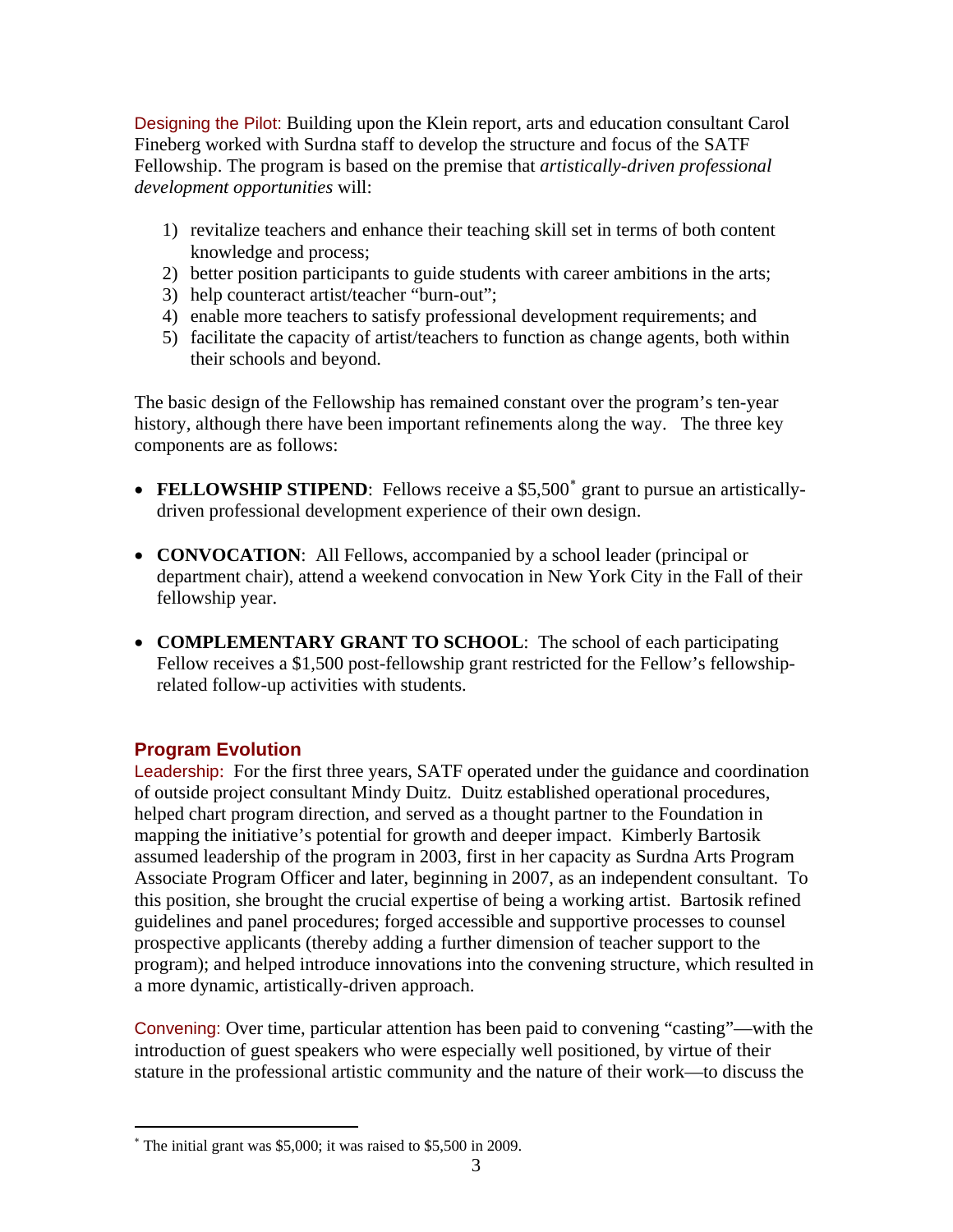Designing the Pilot: Building upon the Klein report, arts and education consultant Carol Fineberg worked with Surdna staff to develop the structure and focus of the SATF Fellowship. The program is based on the premise that *artistically-driven professional development opportunities* will:

- 1) revitalize teachers and enhance their teaching skill set in terms of both content knowledge and process;
- 2) better position participants to guide students with career ambitions in the arts;
- 3) help counteract artist/teacher "burn-out";
- 4) enable more teachers to satisfy professional development requirements; and
- 5) facilitate the capacity of artist/teachers to function as change agents, both within their schools and beyond.

The basic design of the Fellowship has remained constant over the program's ten-year history, although there have been important refinements along the way. The three key components are as follows:

- FELLOWSHIP STIPEND: Fellows receive a \$5,500<sup>\*</sup> grant to pursue an artisticallydriven professional development experience of their own design.
- **CONVOCATION:** All Fellows, accompanied by a school leader (principal or department chair), attend a weekend convocation in New York City in the Fall of their fellowship year.
- **COMPLEMENTARY GRANT TO SCHOOL**: The school of each participating Fellow receives a \$1,500 post-fellowship grant restricted for the Fellow's fellowshiprelated follow-up activities with students.

# **Program Evolution**

 $\overline{a}$ 

Leadership: For the first three years, SATF operated under the guidance and coordination of outside project consultant Mindy Duitz. Duitz established operational procedures, helped chart program direction, and served as a thought partner to the Foundation in mapping the initiative's potential for growth and deeper impact. Kimberly Bartosik assumed leadership of the program in 2003, first in her capacity as Surdna Arts Program Associate Program Officer and later, beginning in 2007, as an independent consultant. To this position, she brought the crucial expertise of being a working artist. Bartosik refined guidelines and panel procedures; forged accessible and supportive processes to counsel prospective applicants (thereby adding a further dimension of teacher support to the program); and helped introduce innovations into the convening structure, which resulted in a more dynamic, artistically-driven approach.

Convening: Over time, particular attention has been paid to convening "casting"—with the introduction of guest speakers who were especially well positioned, by virtue of their stature in the professional artistic community and the nature of their work—to discuss the

<span id="page-6-0"></span><sup>∗</sup> The initial grant was \$5,000; it was raised to \$5,500 in 2009.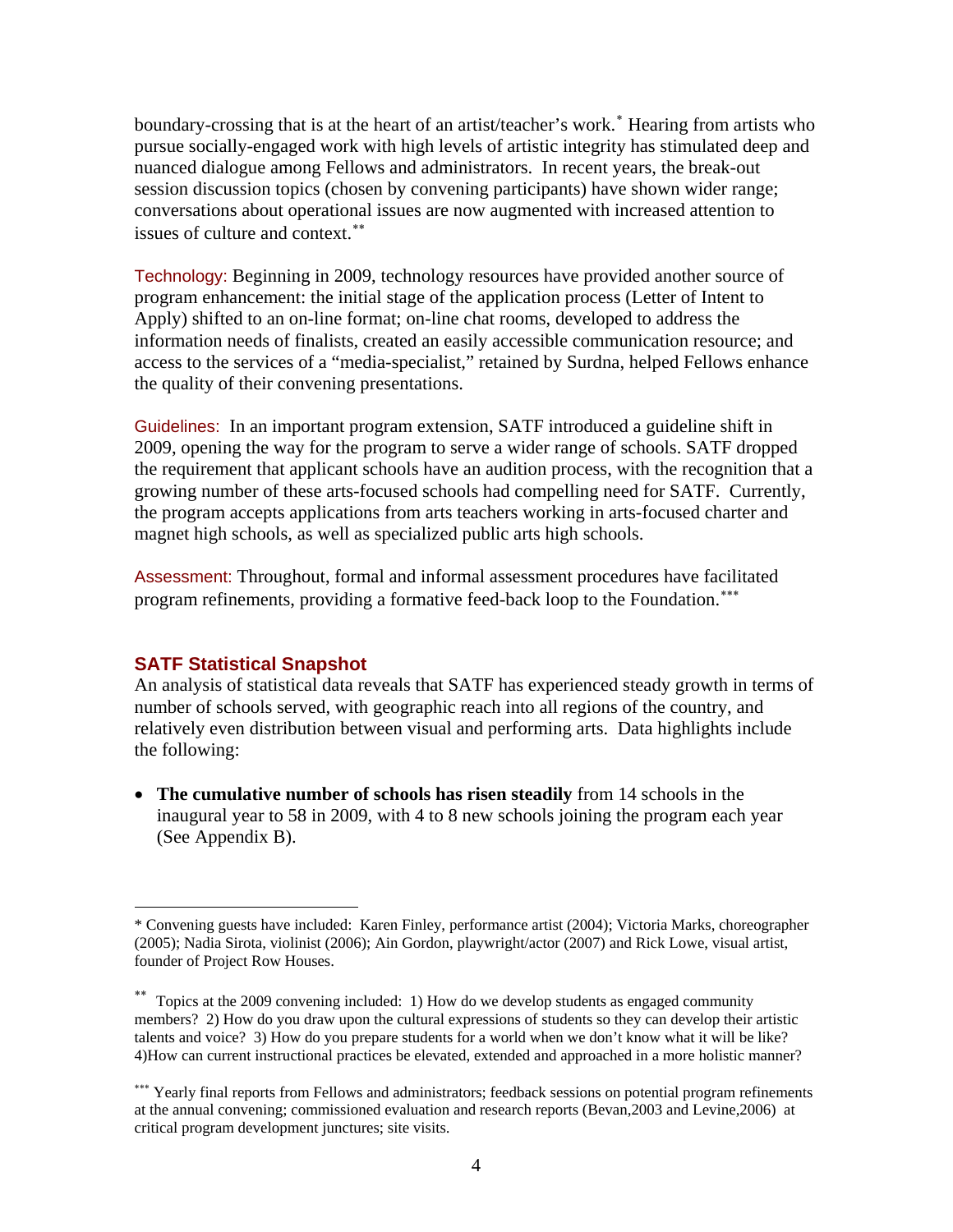boundary-crossing that is at the heart of an artist/teacher's work.<sup>\*</sup> Hearing from artists who pursue socially-engaged work with high levels of artistic integrity has stimulated deep and nuanced dialogue among Fellows and administrators. In recent years, the break-out session discussion topics (chosen by convening participants) have shown wider range; conversations about operational issues are now augmented with increased attention to issues of culture and context.[∗∗](#page-7-1)

Technology: Beginning in 2009, technology resources have provided another source of program enhancement: the initial stage of the application process (Letter of Intent to Apply) shifted to an on-line format; on-line chat rooms, developed to address the information needs of finalists, created an easily accessible communication resource; and access to the services of a "media-specialist," retained by Surdna, helped Fellows enhance the quality of their convening presentations.

Guidelines: In an important program extension, SATF introduced a guideline shift in 2009, opening the way for the program to serve a wider range of schools. SATF dropped the requirement that applicant schools have an audition process, with the recognition that a growing number of these arts-focused schools had compelling need for SATF. Currently, the program accepts applications from arts teachers working in arts-focused charter and magnet high schools, as well as specialized public arts high schools.

Assessment: Throughout, formal and informal assessment procedures have facilitated program refinements, providing a formative feed-back loop to the Foundation.<sup>\*\*\*</sup>

### **SATF Statistical Snapshot**

 $\overline{a}$ 

An analysis of statistical data reveals that SATF has experienced steady growth in terms of number of schools served, with geographic reach into all regions of the country, and relatively even distribution between visual and performing arts. Data highlights include the following:

• **The cumulative number of schools has risen steadily** from 14 schools in the inaugural year to 58 in 2009, with 4 to 8 new schools joining the program each year (See Appendix B).

<span id="page-7-0"></span><sup>\*</sup> Convening guests have included: Karen Finley, performance artist (2004); Victoria Marks, choreographer (2005); Nadia Sirota, violinist (2006); Ain Gordon, playwright/actor (2007) and Rick Lowe, visual artist, founder of Project Row Houses.

<span id="page-7-1"></span><sup>∗∗</sup> Topics at the 2009 convening included: 1) How do we develop students as engaged community members? 2) How do you draw upon the cultural expressions of students so they can develop their artistic talents and voice? 3) How do you prepare students for a world when we don't know what it will be like? 4)How can current instructional practices be elevated, extended and approached in a more holistic manner?

<span id="page-7-2"></span><sup>∗∗∗</sup> Yearly final reports from Fellows and administrators; feedback sessions on potential program refinements at the annual convening; commissioned evaluation and research reports (Bevan,2003 and Levine,2006) at critical program development junctures; site visits.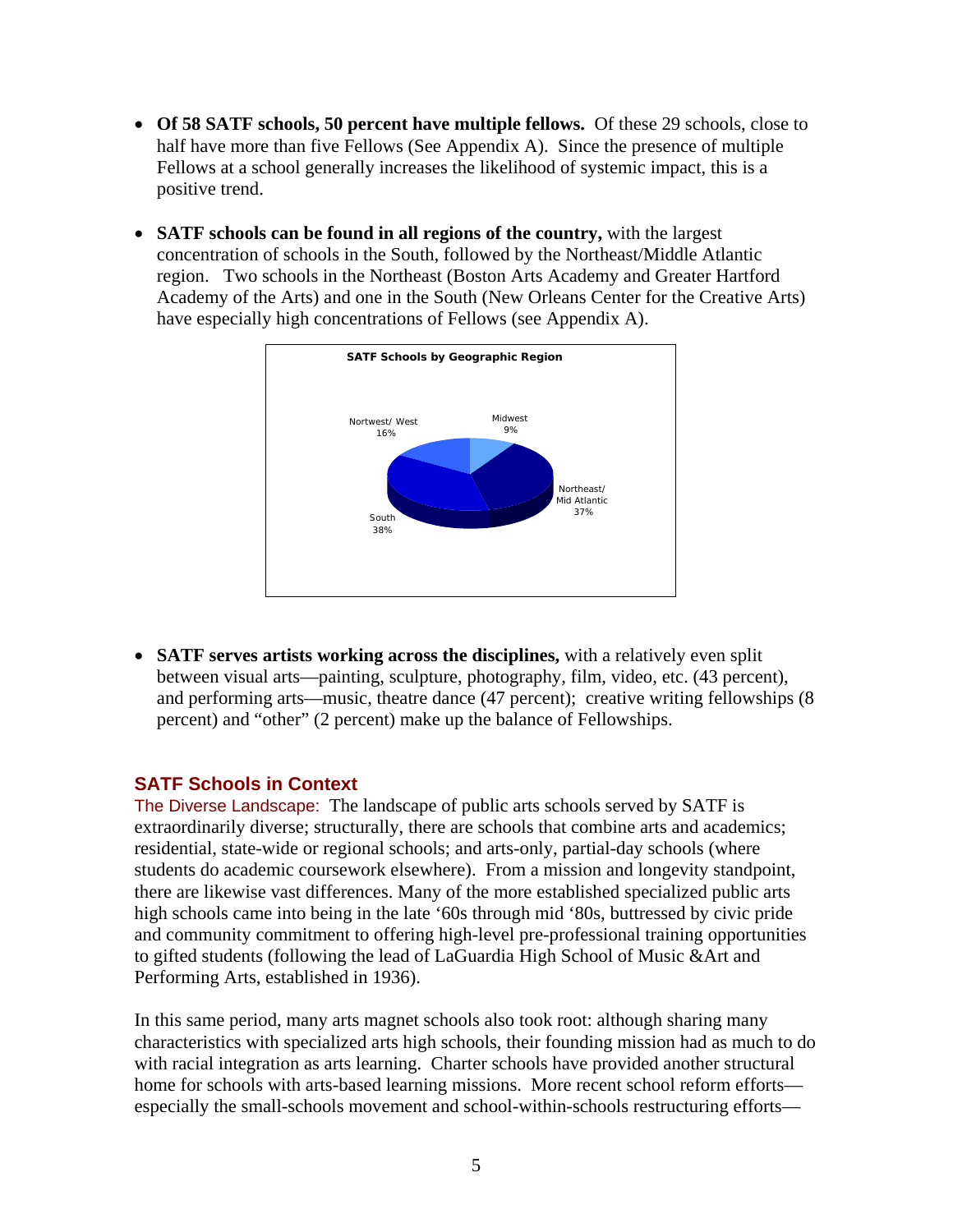- **Of 58 SATF schools, 50 percent have multiple fellows.** Of these 29 schools, close to half have more than five Fellows (See Appendix A). Since the presence of multiple Fellows at a school generally increases the likelihood of systemic impact, this is a positive trend.
- **SATF schools can be found in all regions of the country,** with the largest concentration of schools in the South, followed by the Northeast/Middle Atlantic region. Two schools in the Northeast (Boston Arts Academy and Greater Hartford Academy of the Arts) and one in the South (New Orleans Center for the Creative Arts) have especially high concentrations of Fellows (see Appendix A).



• **SATF serves artists working across the disciplines,** with a relatively even split between visual arts—painting, sculpture, photography, film, video, etc. (43 percent), and performing arts—music, theatre dance (47 percent); creative writing fellowships (8 percent) and "other" (2 percent) make up the balance of Fellowships.

### **SATF Schools in Context**

The Diverse Landscape: The landscape of public arts schools served by SATF is extraordinarily diverse; structurally, there are schools that combine arts and academics; residential, state-wide or regional schools; and arts-only, partial-day schools (where students do academic coursework elsewhere). From a mission and longevity standpoint, there are likewise vast differences. Many of the more established specialized public arts high schools came into being in the late '60s through mid '80s, buttressed by civic pride and community commitment to offering high-level pre-professional training opportunities to gifted students (following the lead of LaGuardia High School of Music &Art and Performing Arts, established in 1936).

In this same period, many arts magnet schools also took root: although sharing many characteristics with specialized arts high schools, their founding mission had as much to do with racial integration as arts learning. Charter schools have provided another structural home for schools with arts-based learning missions. More recent school reform efforts especially the small-schools movement and school-within-schools restructuring efforts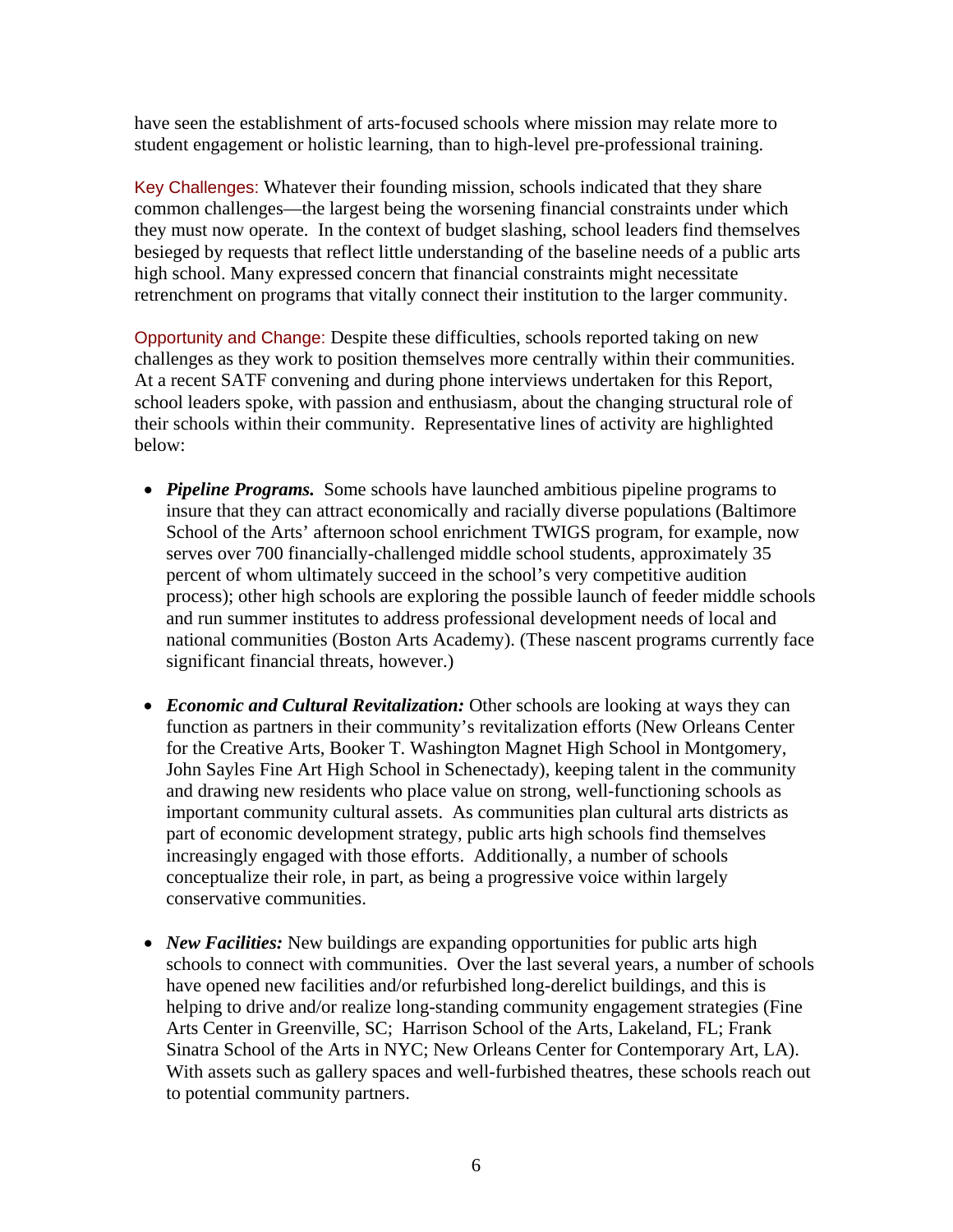have seen the establishment of arts-focused schools where mission may relate more to student engagement or holistic learning, than to high-level pre-professional training.

Key Challenges: Whatever their founding mission, schools indicated that they share common challenges—the largest being the worsening financial constraints under which they must now operate. In the context of budget slashing, school leaders find themselves besieged by requests that reflect little understanding of the baseline needs of a public arts high school. Many expressed concern that financial constraints might necessitate retrenchment on programs that vitally connect their institution to the larger community.

Opportunity and Change: Despite these difficulties, schools reported taking on new challenges as they work to position themselves more centrally within their communities. At a recent SATF convening and during phone interviews undertaken for this Report, school leaders spoke, with passion and enthusiasm, about the changing structural role of their schools within their community. Representative lines of activity are highlighted below:

- *Pipeline Programs.* Some schools have launched ambitious pipeline programs to insure that they can attract economically and racially diverse populations (Baltimore School of the Arts' afternoon school enrichment TWIGS program, for example, now serves over 700 financially-challenged middle school students, approximately 35 percent of whom ultimately succeed in the school's very competitive audition process); other high schools are exploring the possible launch of feeder middle schools and run summer institutes to address professional development needs of local and national communities (Boston Arts Academy). (These nascent programs currently face significant financial threats, however.)
- *Economic and Cultural Revitalization:* Other schools are looking at ways they can function as partners in their community's revitalization efforts (New Orleans Center for the Creative Arts, Booker T. Washington Magnet High School in Montgomery, John Sayles Fine Art High School in Schenectady), keeping talent in the community and drawing new residents who place value on strong, well-functioning schools as important community cultural assets. As communities plan cultural arts districts as part of economic development strategy, public arts high schools find themselves increasingly engaged with those efforts. Additionally, a number of schools conceptualize their role, in part, as being a progressive voice within largely conservative communities.
- *New Facilities:* New buildings are expanding opportunities for public arts high schools to connect with communities. Over the last several years, a number of schools have opened new facilities and/or refurbished long-derelict buildings, and this is helping to drive and/or realize long-standing community engagement strategies (Fine Arts Center in Greenville, SC; Harrison School of the Arts, Lakeland, FL; Frank Sinatra School of the Arts in NYC; New Orleans Center for Contemporary Art, LA). With assets such as gallery spaces and well-furbished theatres, these schools reach out to potential community partners.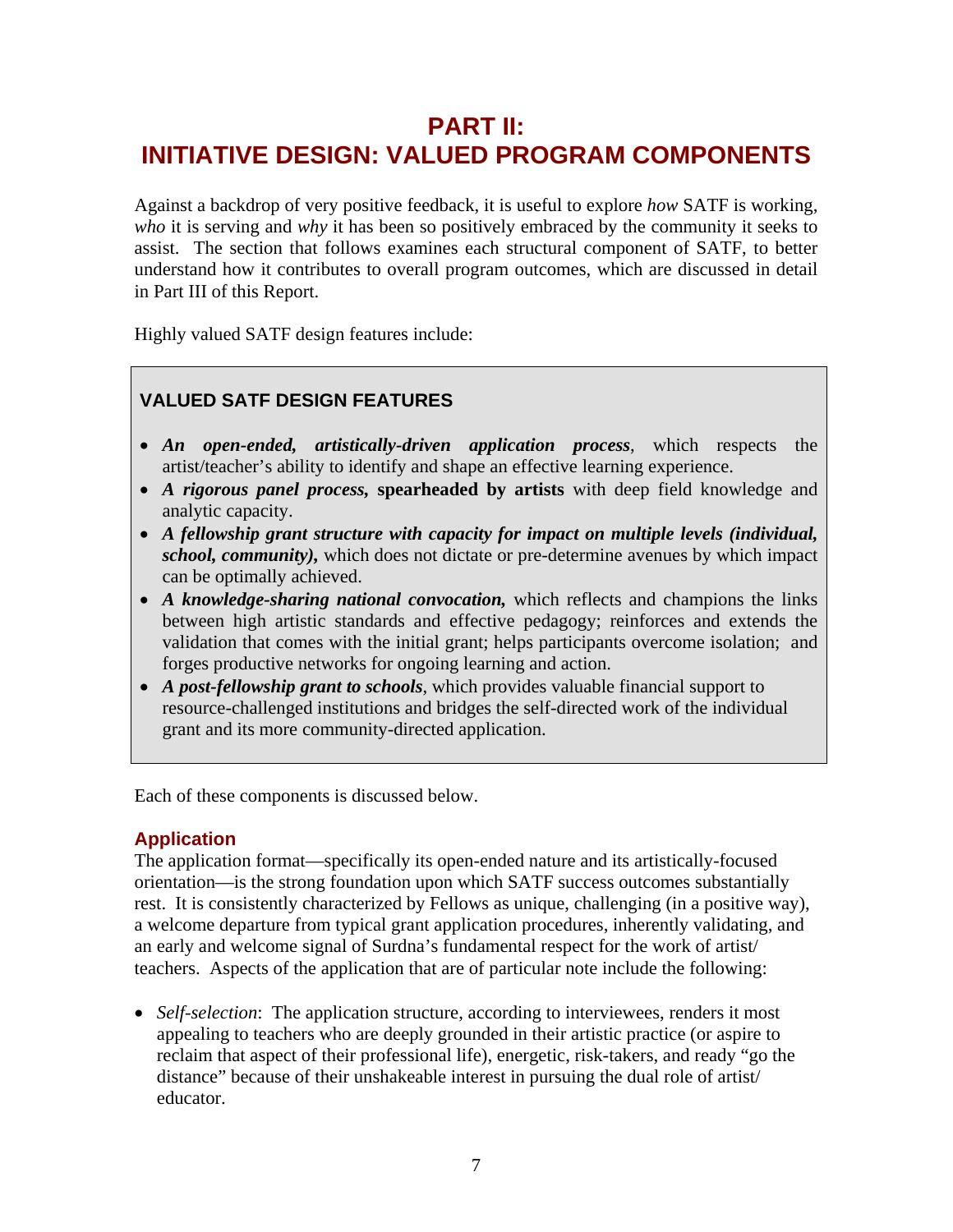# **PART II: INITIATIVE DESIGN: VALUED PROGRAM COMPONENTS**

Against a backdrop of very positive feedback, it is useful to explore *how* SATF is working, *who* it is serving and *why* it has been so positively embraced by the community it seeks to assist. The section that follows examines each structural component of SATF, to better understand how it contributes to overall program outcomes, which are discussed in detail in Part III of this Report.

Highly valued SATF design features include:

# **VALUED SATF DESIGN FEATURES**

- *An open-ended, artistically-driven application process*, which respects the artist/teacher's ability to identify and shape an effective learning experience.
- *A rigorous panel process,* **spearheaded by artists** with deep field knowledge and analytic capacity.
- *A fellowship grant structure with capacity for impact on multiple levels (individual, school, community),* which does not dictate or pre-determine avenues by which impact can be optimally achieved.
- *A knowledge-sharing national convocation,* which reflects and champions the links between high artistic standards and effective pedagogy; reinforces and extends the validation that comes with the initial grant; helps participants overcome isolation; and forges productive networks for ongoing learning and action.
- *A post-fellowship grant to schools*, which provides valuable financial support to resource-challenged institutions and bridges the self-directed work of the individual grant and its more community-directed application.

Each of these components is discussed below.

# **Application**

The application format—specifically its open-ended nature and its artistically-focused orientation—is the strong foundation upon which SATF success outcomes substantially rest. It is consistently characterized by Fellows as unique, challenging (in a positive way), a welcome departure from typical grant application procedures, inherently validating, and an early and welcome signal of Surdna's fundamental respect for the work of artist/ teachers. Aspects of the application that are of particular note include the following:

• *Self-selection*: The application structure, according to interviewees, renders it most appealing to teachers who are deeply grounded in their artistic practice (or aspire to reclaim that aspect of their professional life), energetic, risk-takers, and ready "go the distance" because of their unshakeable interest in pursuing the dual role of artist/ educator.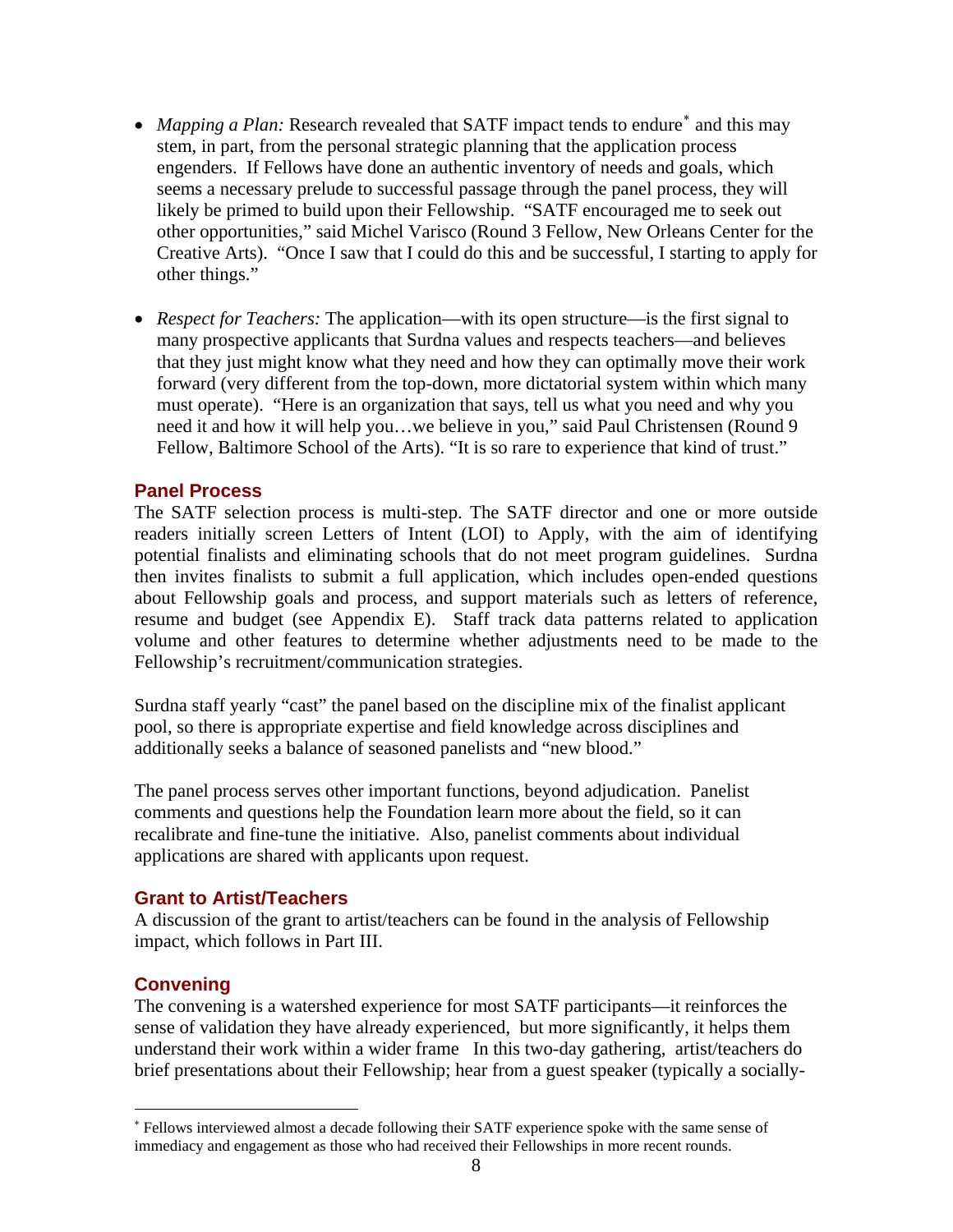- *Mapping a Plan:* Research revealed that SATF impact tends to endure<sup>\*</sup> and this may stem, in part, from the personal strategic planning that the application process engenders. If Fellows have done an authentic inventory of needs and goals, which seems a necessary prelude to successful passage through the panel process, they will likely be primed to build upon their Fellowship. "SATF encouraged me to seek out other opportunities," said Michel Varisco (Round 3 Fellow, New Orleans Center for the Creative Arts). "Once I saw that I could do this and be successful, I starting to apply for other things."
- *Respect for Teachers:* The application—with its open structure—is the first signal to many prospective applicants that Surdna values and respects teachers—and believes that they just might know what they need and how they can optimally move their work forward (very different from the top-down, more dictatorial system within which many must operate). "Here is an organization that says, tell us what you need and why you need it and how it will help you…we believe in you," said Paul Christensen (Round 9 Fellow, Baltimore School of the Arts). "It is so rare to experience that kind of trust."

### **Panel Process**

The SATF selection process is multi-step. The SATF director and one or more outside readers initially screen Letters of Intent (LOI) to Apply, with the aim of identifying potential finalists and eliminating schools that do not meet program guidelines. Surdna then invites finalists to submit a full application, which includes open-ended questions about Fellowship goals and process, and support materials such as letters of reference, resume and budget (see Appendix E). Staff track data patterns related to application volume and other features to determine whether adjustments need to be made to the Fellowship's recruitment/communication strategies.

Surdna staff yearly "cast" the panel based on the discipline mix of the finalist applicant pool, so there is appropriate expertise and field knowledge across disciplines and additionally seeks a balance of seasoned panelists and "new blood."

The panel process serves other important functions, beyond adjudication. Panelist comments and questions help the Foundation learn more about the field, so it can recalibrate and fine-tune the initiative. Also, panelist comments about individual applications are shared with applicants upon request.

### **Grant to Artist/Teachers**

A discussion of the grant to artist/teachers can be found in the analysis of Fellowship impact, which follows in Part III.

### **Convening**

 $\overline{a}$ 

The convening is a watershed experience for most SATF participants—it reinforces the sense of validation they have already experienced, but more significantly, it helps them understand their work within a wider frame In this two-day gathering, artist/teachers do brief presentations about their Fellowship; hear from a guest speaker (typically a socially-

<span id="page-11-0"></span><sup>∗</sup> Fellows interviewed almost a decade following their SATF experience spoke with the same sense of immediacy and engagement as those who had received their Fellowships in more recent rounds.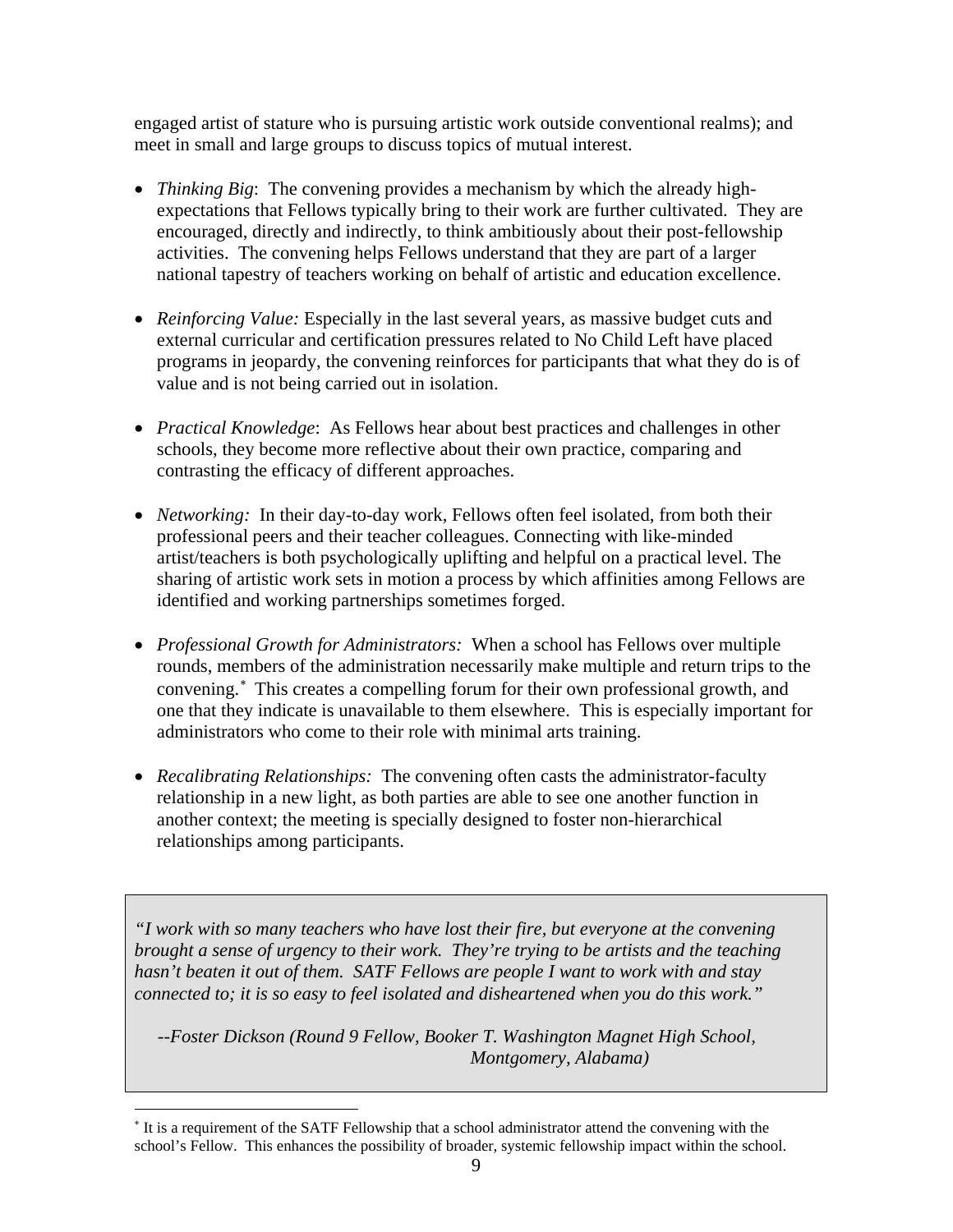engaged artist of stature who is pursuing artistic work outside conventional realms); and meet in small and large groups to discuss topics of mutual interest.

- *Thinking Big*: The convening provides a mechanism by which the already highexpectations that Fellows typically bring to their work are further cultivated. They are encouraged, directly and indirectly, to think ambitiously about their post-fellowship activities. The convening helps Fellows understand that they are part of a larger national tapestry of teachers working on behalf of artistic and education excellence.
- *Reinforcing Value:* Especially in the last several years, as massive budget cuts and external curricular and certification pressures related to No Child Left have placed programs in jeopardy, the convening reinforces for participants that what they do is of value and is not being carried out in isolation.
- *Practical Knowledge*: As Fellows hear about best practices and challenges in other schools, they become more reflective about their own practice, comparing and contrasting the efficacy of different approaches.
- *Networking:* In their day-to-day work, Fellows often feel isolated, from both their professional peers and their teacher colleagues. Connecting with like-minded artist/teachers is both psychologically uplifting and helpful on a practical level. The sharing of artistic work sets in motion a process by which affinities among Fellows are identified and working partnerships sometimes forged.
- *Professional Growth for Administrators:* When a school has Fellows over multiple rounds, members of the administration necessarily make multiple and return trips to the convening.<sup>[∗](#page-12-0)</sup> This creates a compelling forum for their own professional growth, and one that they indicate is unavailable to them elsewhere. This is especially important for administrators who come to their role with minimal arts training.
- *Recalibrating Relationships:* The convening often casts the administrator-faculty relationship in a new light, as both parties are able to see one another function in another context; the meeting is specially designed to foster non-hierarchical relationships among participants.

*"I work with so many teachers who have lost their fire, but everyone at the convening brought a sense of urgency to their work. They're trying to be artists and the teaching hasn't beaten it out of them. SATF Fellows are people I want to work with and stay connected to; it is so easy to feel isolated and disheartened when you do this work."* 

 *--Foster Dickson (Round 9 Fellow, Booker T. Washington Magnet High School, Montgomery, Alabama)* 

 $\overline{a}$ 

<span id="page-12-0"></span><sup>∗</sup> It is a requirement of the SATF Fellowship that a school administrator attend the convening with the school's Fellow. This enhances the possibility of broader, systemic fellowship impact within the school.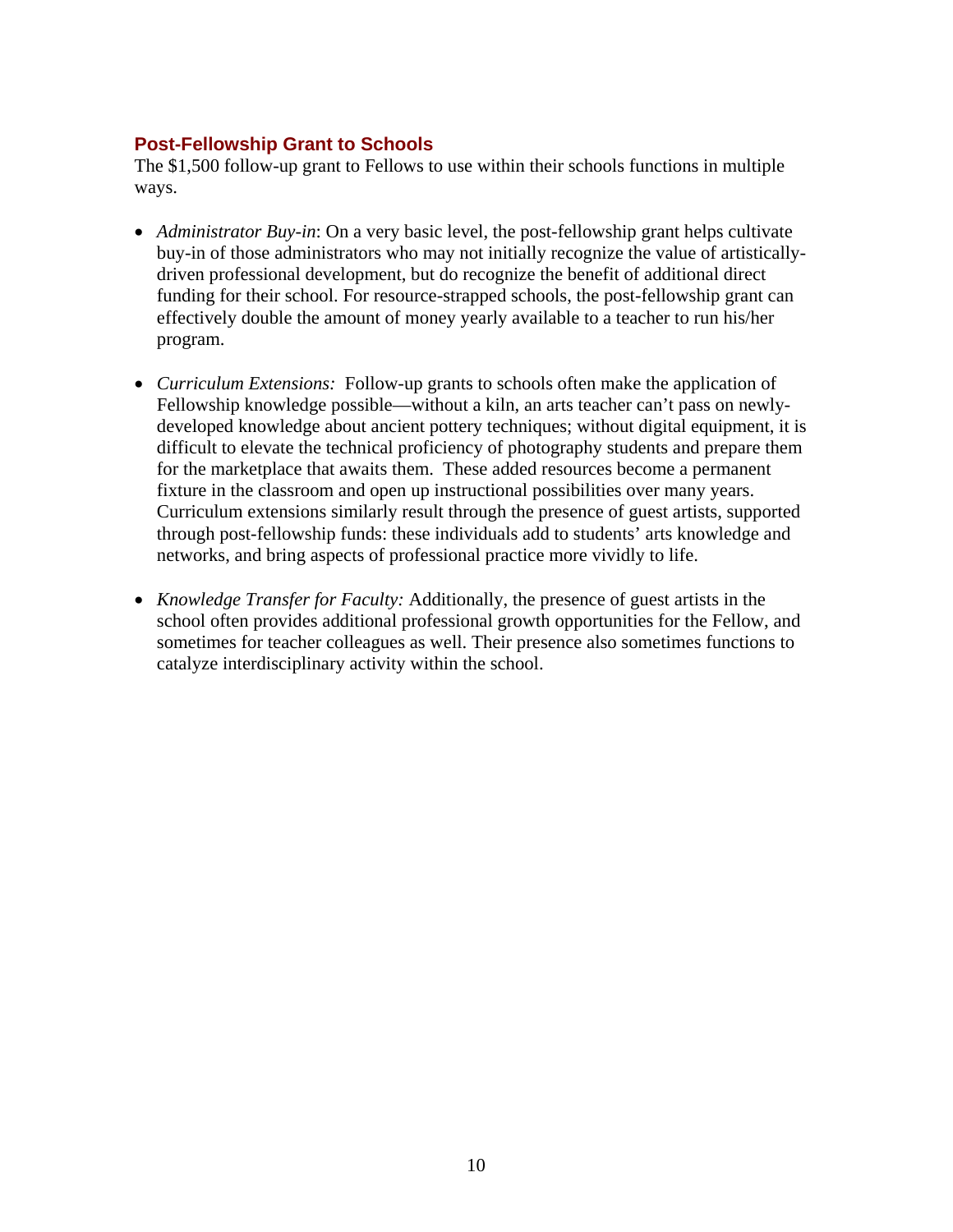# **Post-Fellowship Grant to Schools**

The \$1,500 follow-up grant to Fellows to use within their schools functions in multiple ways.

- *Administrator Buy-in*: On a very basic level, the post-fellowship grant helps cultivate buy-in of those administrators who may not initially recognize the value of artisticallydriven professional development, but do recognize the benefit of additional direct funding for their school. For resource-strapped schools, the post-fellowship grant can effectively double the amount of money yearly available to a teacher to run his/her program.
- *Curriculum Extensions:* Follow-up grants to schools often make the application of Fellowship knowledge possible—without a kiln, an arts teacher can't pass on newlydeveloped knowledge about ancient pottery techniques; without digital equipment, it is difficult to elevate the technical proficiency of photography students and prepare them for the marketplace that awaits them. These added resources become a permanent fixture in the classroom and open up instructional possibilities over many years. Curriculum extensions similarly result through the presence of guest artists, supported through post-fellowship funds: these individuals add to students' arts knowledge and networks, and bring aspects of professional practice more vividly to life.
- *Knowledge Transfer for Faculty:* Additionally, the presence of guest artists in the school often provides additional professional growth opportunities for the Fellow, and sometimes for teacher colleagues as well. Their presence also sometimes functions to catalyze interdisciplinary activity within the school.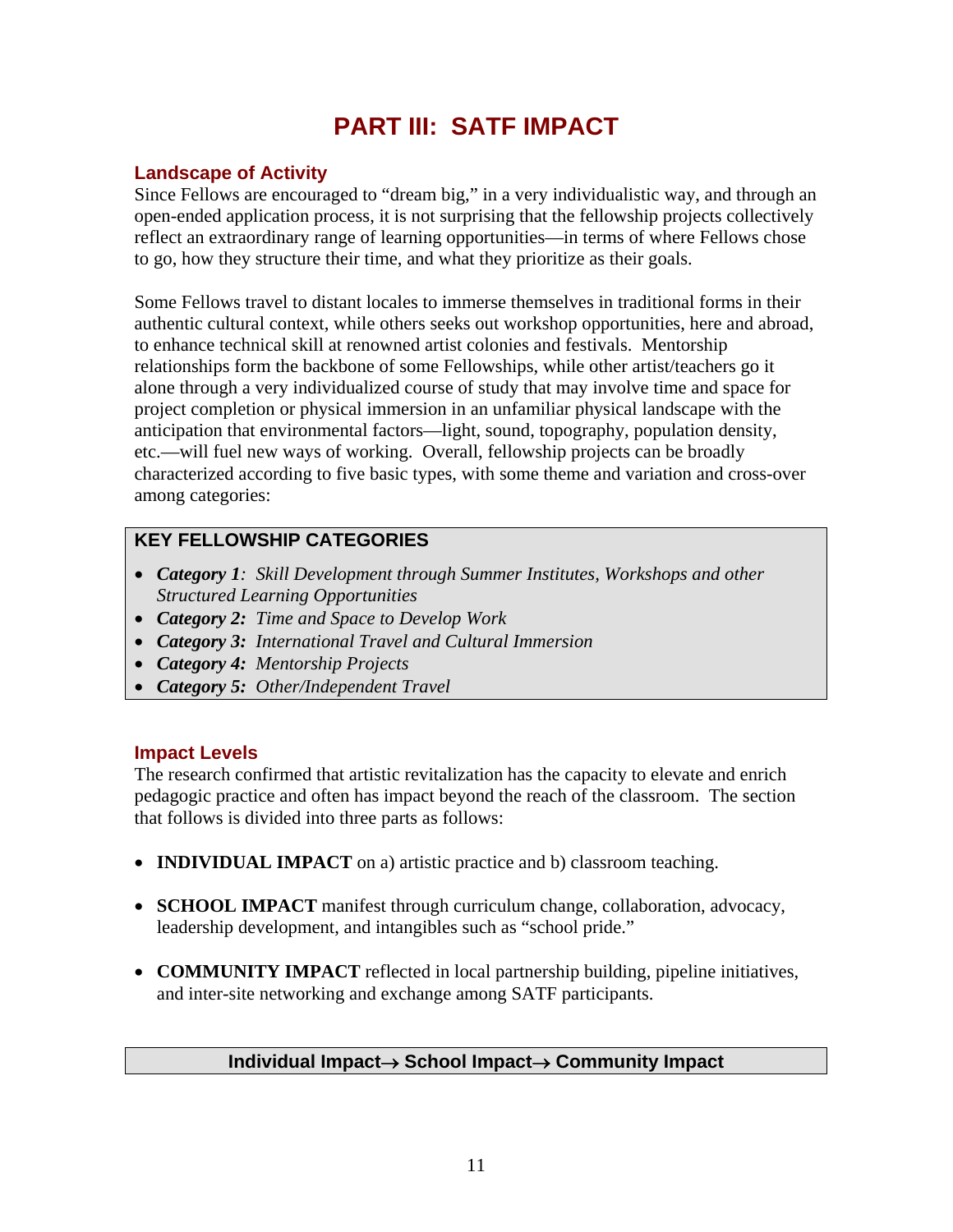# **PART III: SATF IMPACT**

# **Landscape of Activity**

Since Fellows are encouraged to "dream big," in a very individualistic way, and through an open-ended application process, it is not surprising that the fellowship projects collectively reflect an extraordinary range of learning opportunities—in terms of where Fellows chose to go, how they structure their time, and what they prioritize as their goals.

Some Fellows travel to distant locales to immerse themselves in traditional forms in their authentic cultural context, while others seeks out workshop opportunities, here and abroad, to enhance technical skill at renowned artist colonies and festivals. Mentorship relationships form the backbone of some Fellowships, while other artist/teachers go it alone through a very individualized course of study that may involve time and space for project completion or physical immersion in an unfamiliar physical landscape with the anticipation that environmental factors—light, sound, topography, population density, etc.—will fuel new ways of working. Overall, fellowship projects can be broadly characterized according to five basic types, with some theme and variation and cross-over among categories:

# **KEY FELLOWSHIP CATEGORIES**

- *Category 1: Skill Development through Summer Institutes, Workshops and other Structured Learning Opportunities*
- *Category 2: Time and Space to Develop Work*
- *Category 3: International Travel and Cultural Immersion*
- *Category 4: Mentorship Projects*
- *Category 5: Other/Independent Travel*

# **Impact Levels**

The research confirmed that artistic revitalization has the capacity to elevate and enrich pedagogic practice and often has impact beyond the reach of the classroom. The section that follows is divided into three parts as follows:

- **INDIVIDUAL IMPACT** on a) artistic practice and b) classroom teaching.
- **SCHOOL IMPACT** manifest through curriculum change, collaboration, advocacy, leadership development, and intangibles such as "school pride."
- **COMMUNITY IMPACT** reflected in local partnership building, pipeline initiatives, and inter-site networking and exchange among SATF participants.

# **Individual Impact**→ **School Impact**→ **Community Impact**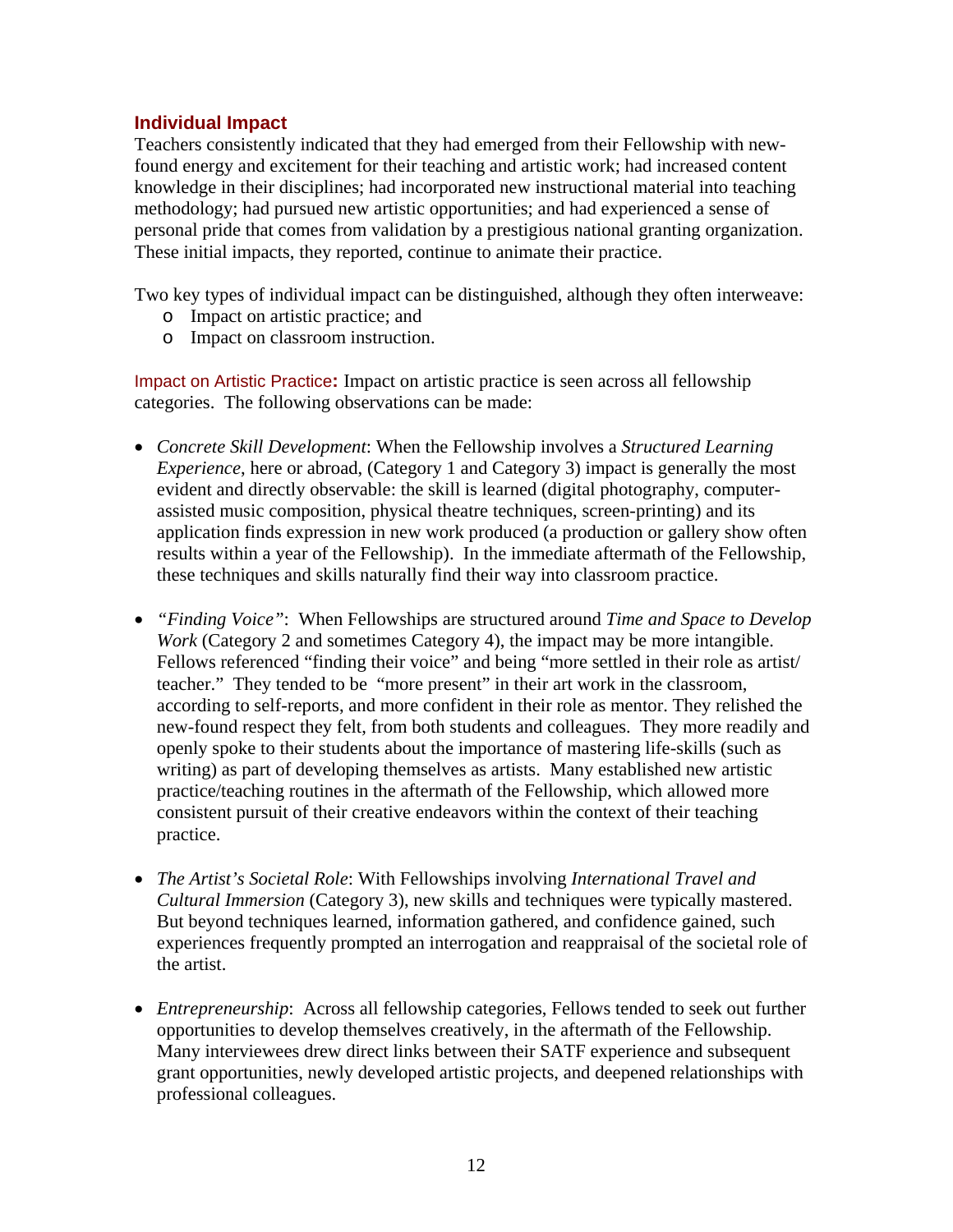# **Individual Impact**

Teachers consistently indicated that they had emerged from their Fellowship with newfound energy and excitement for their teaching and artistic work; had increased content knowledge in their disciplines; had incorporated new instructional material into teaching methodology; had pursued new artistic opportunities; and had experienced a sense of personal pride that comes from validation by a prestigious national granting organization. These initial impacts, they reported, continue to animate their practice.

Two key types of individual impact can be distinguished, although they often interweave:

- o Impact on artistic practice; and
- o Impact on classroom instruction.

Impact on Artistic Practice**:** Impact on artistic practice is seen across all fellowship categories. The following observations can be made:

- *Concrete Skill Development*: When the Fellowship involves a *Structured Learning Experience*, here or abroad, (Category 1 and Category 3) impact is generally the most evident and directly observable: the skill is learned (digital photography, computerassisted music composition, physical theatre techniques, screen-printing) and its application finds expression in new work produced (a production or gallery show often results within a year of the Fellowship). In the immediate aftermath of the Fellowship, these techniques and skills naturally find their way into classroom practice.
- *"Finding Voice"*: When Fellowships are structured around *Time and Space to Develop Work* (Category 2 and sometimes Category 4), the impact may be more intangible. Fellows referenced "finding their voice" and being "more settled in their role as artist/ teacher." They tended to be "more present" in their art work in the classroom, according to self-reports, and more confident in their role as mentor. They relished the new-found respect they felt, from both students and colleagues. They more readily and openly spoke to their students about the importance of mastering life-skills (such as writing) as part of developing themselves as artists. Many established new artistic practice/teaching routines in the aftermath of the Fellowship, which allowed more consistent pursuit of their creative endeavors within the context of their teaching practice.
- *The Artist's Societal Role*: With Fellowships involving *International Travel and Cultural Immersion* (Category 3), new skills and techniques were typically mastered. But beyond techniques learned, information gathered, and confidence gained, such experiences frequently prompted an interrogation and reappraisal of the societal role of the artist.
- *Entrepreneurship*: Across all fellowship categories, Fellows tended to seek out further opportunities to develop themselves creatively, in the aftermath of the Fellowship. Many interviewees drew direct links between their SATF experience and subsequent grant opportunities, newly developed artistic projects, and deepened relationships with professional colleagues.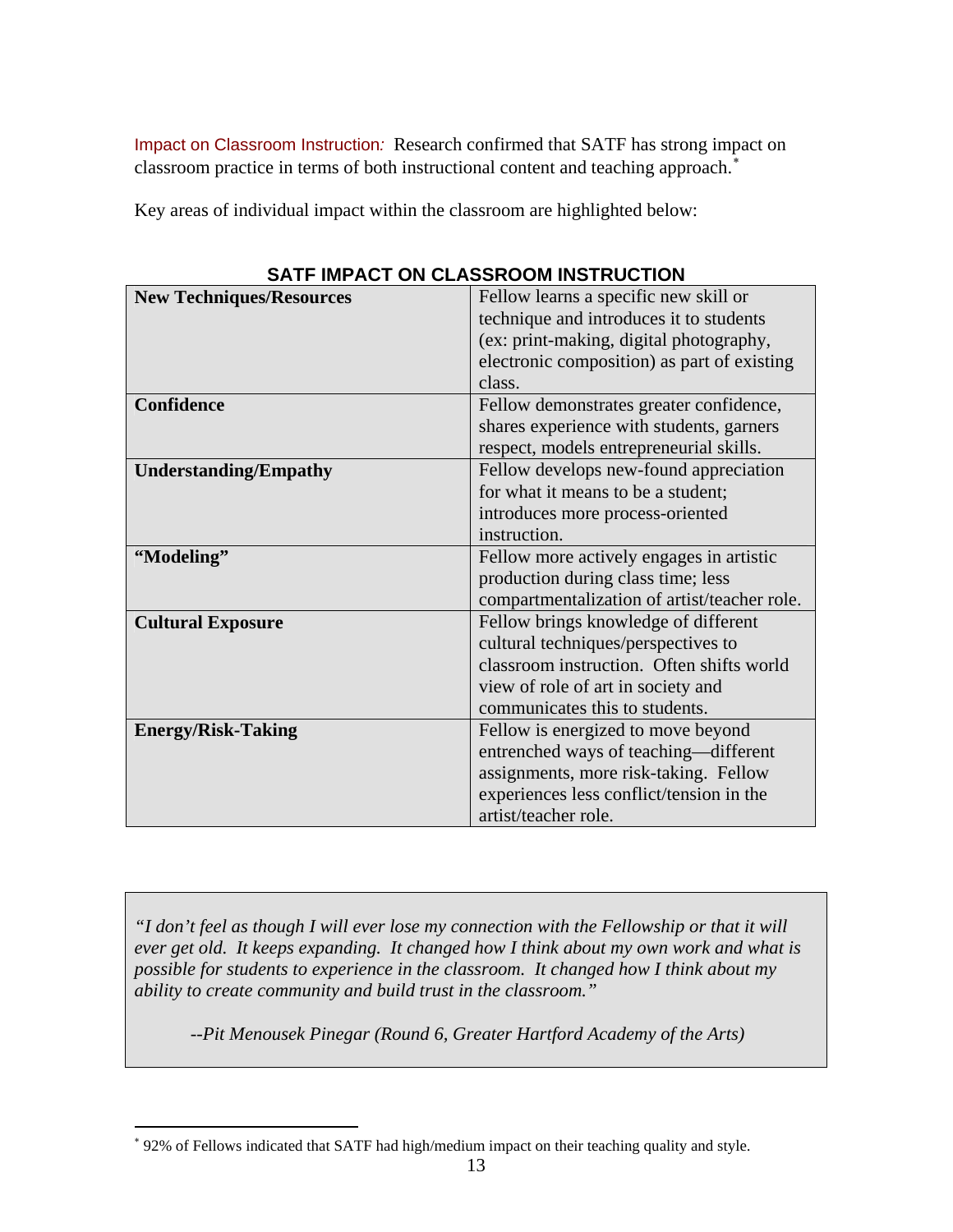Impact on Classroom Instruction*:* Research confirmed that SATF has strong impact on classroom practice in terms of both instructional content and teaching approach.<sup>[∗](#page-16-0)</sup>

Key areas of individual impact within the classroom are highlighted below:

| <b>New Techniques/Resources</b> | Fellow learns a specific new skill or        |  |  |  |
|---------------------------------|----------------------------------------------|--|--|--|
|                                 | technique and introduces it to students      |  |  |  |
|                                 | (ex: print-making, digital photography,      |  |  |  |
|                                 | electronic composition) as part of existing  |  |  |  |
|                                 | class.                                       |  |  |  |
| <b>Confidence</b>               | Fellow demonstrates greater confidence,      |  |  |  |
|                                 | shares experience with students, garners     |  |  |  |
|                                 | respect, models entrepreneurial skills.      |  |  |  |
| <b>Understanding/Empathy</b>    | Fellow develops new-found appreciation       |  |  |  |
|                                 | for what it means to be a student;           |  |  |  |
|                                 | introduces more process-oriented             |  |  |  |
|                                 | instruction.                                 |  |  |  |
| "Modeling"                      | Fellow more actively engages in artistic     |  |  |  |
|                                 | production during class time; less           |  |  |  |
|                                 | compartmentalization of artist/teacher role. |  |  |  |
| <b>Cultural Exposure</b>        | Fellow brings knowledge of different         |  |  |  |
|                                 | cultural techniques/perspectives to          |  |  |  |
|                                 | classroom instruction. Often shifts world    |  |  |  |
|                                 | view of role of art in society and           |  |  |  |
|                                 | communicates this to students.               |  |  |  |
| <b>Energy/Risk-Taking</b>       | Fellow is energized to move beyond           |  |  |  |
|                                 | entrenched ways of teaching—different        |  |  |  |
|                                 | assignments, more risk-taking. Fellow        |  |  |  |
|                                 | experiences less conflict/tension in the     |  |  |  |
|                                 | artist/teacher role.                         |  |  |  |

**SATF IMPACT ON CLASSROOM INSTRUCTION** 

*"I don't feel as though I will ever lose my connection with the Fellowship or that it will ever get old. It keeps expanding. It changed how I think about my own work and what is possible for students to experience in the classroom. It changed how I think about my ability to create community and build trust in the classroom."* 

 *--Pit Menousek Pinegar (Round 6, Greater Hartford Academy of the Arts)* 

 $\overline{a}$ 

<span id="page-16-0"></span><sup>∗</sup> 92% of Fellows indicated that SATF had high/medium impact on their teaching quality and style.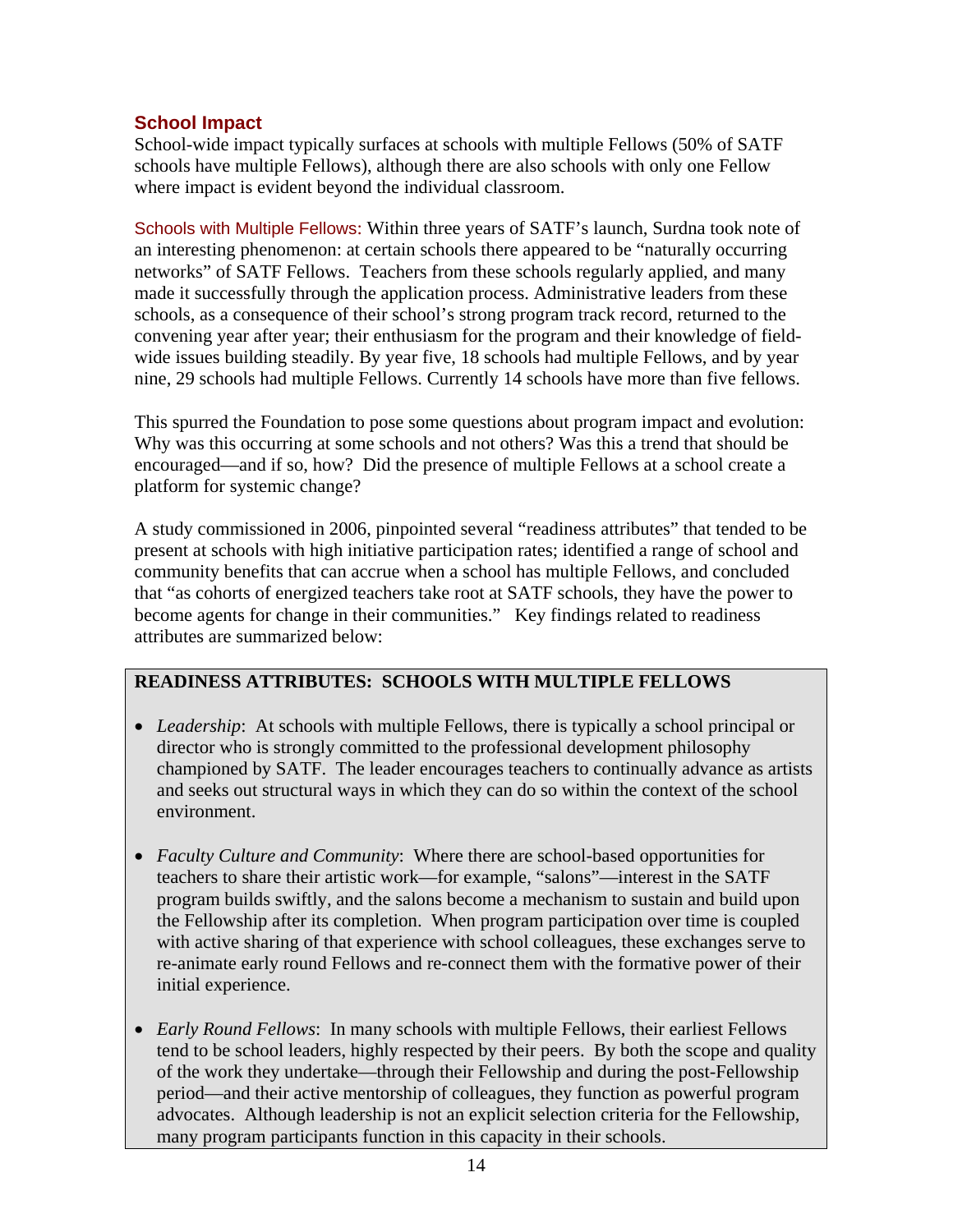# **School Impact**

School-wide impact typically surfaces at schools with multiple Fellows (50% of SATF schools have multiple Fellows), although there are also schools with only one Fellow where impact is evident beyond the individual classroom.

Schools with Multiple Fellows: Within three years of SATF's launch, Surdna took note of an interesting phenomenon: at certain schools there appeared to be "naturally occurring networks" of SATF Fellows. Teachers from these schools regularly applied, and many made it successfully through the application process. Administrative leaders from these schools, as a consequence of their school's strong program track record, returned to the convening year after year; their enthusiasm for the program and their knowledge of fieldwide issues building steadily. By year five, 18 schools had multiple Fellows, and by year nine, 29 schools had multiple Fellows. Currently 14 schools have more than five fellows.

This spurred the Foundation to pose some questions about program impact and evolution: Why was this occurring at some schools and not others? Was this a trend that should be encouraged—and if so, how? Did the presence of multiple Fellows at a school create a platform for systemic change?

A study commissioned in 2006, pinpointed several "readiness attributes" that tended to be present at schools with high initiative participation rates; identified a range of school and community benefits that can accrue when a school has multiple Fellows, and concluded that "as cohorts of energized teachers take root at SATF schools, they have the power to become agents for change in their communities." Key findings related to readiness attributes are summarized below:

# **READINESS ATTRIBUTES: SCHOOLS WITH MULTIPLE FELLOWS**

- *Leadership*: At schools with multiple Fellows, there is typically a school principal or director who is strongly committed to the professional development philosophy championed by SATF. The leader encourages teachers to continually advance as artists and seeks out structural ways in which they can do so within the context of the school environment.
- *Faculty Culture and Community*: Where there are school-based opportunities for teachers to share their artistic work—for example, "salons"—interest in the SATF program builds swiftly, and the salons become a mechanism to sustain and build upon the Fellowship after its completion. When program participation over time is coupled with active sharing of that experience with school colleagues, these exchanges serve to re-animate early round Fellows and re-connect them with the formative power of their initial experience.
- *Early Round Fellows*: In many schools with multiple Fellows, their earliest Fellows tend to be school leaders, highly respected by their peers. By both the scope and quality of the work they undertake—through their Fellowship and during the post-Fellowship period—and their active mentorship of colleagues, they function as powerful program advocates. Although leadership is not an explicit selection criteria for the Fellowship, many program participants function in this capacity in their schools.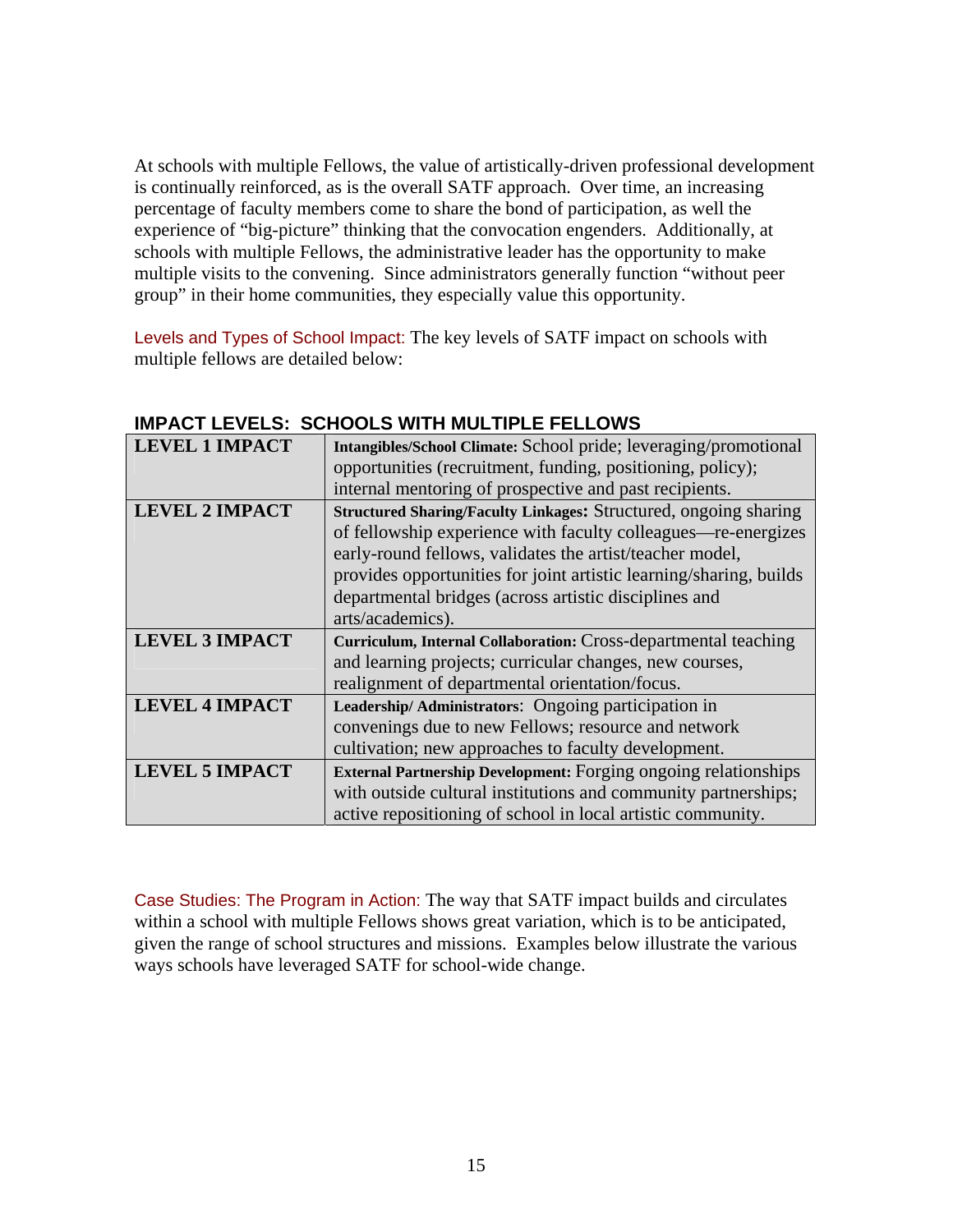At schools with multiple Fellows, the value of artistically-driven professional development is continually reinforced, as is the overall SATF approach. Over time, an increasing percentage of faculty members come to share the bond of participation, as well the experience of "big-picture" thinking that the convocation engenders. Additionally, at schools with multiple Fellows, the administrative leader has the opportunity to make multiple visits to the convening. Since administrators generally function "without peer group" in their home communities, they especially value this opportunity.

Levels and Types of School Impact: The key levels of SATF impact on schools with multiple fellows are detailed below:

| <b>LEVEL 1 IMPACT</b> | Intangibles/School Climate: School pride; leveraging/promotional       |
|-----------------------|------------------------------------------------------------------------|
|                       | opportunities (recruitment, funding, positioning, policy);             |
|                       | internal mentoring of prospective and past recipients.                 |
| <b>LEVEL 2 IMPACT</b> | Structured Sharing/Faculty Linkages: Structured, ongoing sharing       |
|                       | of fellowship experience with faculty colleagues—re-energizes          |
|                       | early-round fellows, validates the artist/teacher model,               |
|                       | provides opportunities for joint artistic learning/sharing, builds     |
|                       | departmental bridges (across artistic disciplines and                  |
|                       | arts/academics).                                                       |
| <b>LEVEL 3 IMPACT</b> | Curriculum, Internal Collaboration: Cross-departmental teaching        |
|                       | and learning projects; curricular changes, new courses,                |
|                       | realignment of departmental orientation/focus.                         |
| <b>LEVEL 4 IMPACT</b> | Leadership/Administrators: Ongoing participation in                    |
|                       | convenings due to new Fellows; resource and network                    |
|                       | cultivation; new approaches to faculty development.                    |
| <b>LEVEL 5 IMPACT</b> | <b>External Partnership Development:</b> Forging ongoing relationships |
|                       | with outside cultural institutions and community partnerships;         |
|                       | active repositioning of school in local artistic community.            |

# **IMPACT LEVELS: SCHOOLS WITH MULTIPLE FELLOWS**

Case Studies: The Program in Action: The way that SATF impact builds and circulates within a school with multiple Fellows shows great variation, which is to be anticipated, given the range of school structures and missions. Examples below illustrate the various ways schools have leveraged SATF for school-wide change.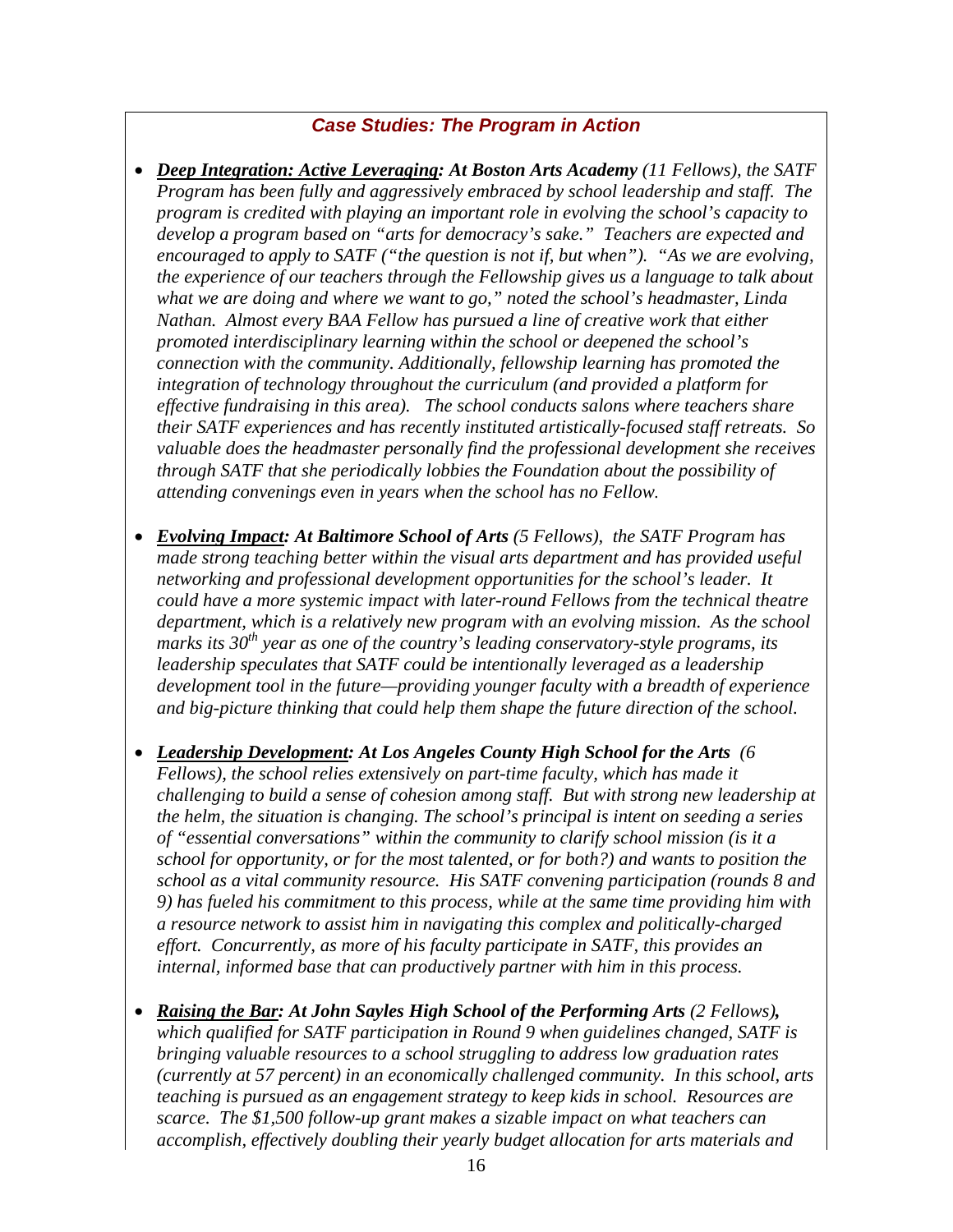# *Case Studies: The Program in Action*

- *Deep Integration: Active Leveraging: At Boston Arts Academy (11 Fellows), the SATF Program has been fully and aggressively embraced by school leadership and staff. The program is credited with playing an important role in evolving the school's capacity to develop a program based on "arts for democracy's sake." Teachers are expected and encouraged to apply to SATF ("the question is not if, but when"). "As we are evolving, the experience of our teachers through the Fellowship gives us a language to talk about what we are doing and where we want to go," noted the school's headmaster, Linda Nathan. Almost every BAA Fellow has pursued a line of creative work that either promoted interdisciplinary learning within the school or deepened the school's connection with the community. Additionally, fellowship learning has promoted the integration of technology throughout the curriculum (and provided a platform for effective fundraising in this area). The school conducts salons where teachers share their SATF experiences and has recently instituted artistically-focused staff retreats. So valuable does the headmaster personally find the professional development she receives through SATF that she periodically lobbies the Foundation about the possibility of attending convenings even in years when the school has no Fellow.*
- *Evolving Impact: At Baltimore School of Arts (5 Fellows), the SATF Program has made strong teaching better within the visual arts department and has provided useful networking and professional development opportunities for the school's leader. It could have a more systemic impact with later-round Fellows from the technical theatre department, which is a relatively new program with an evolving mission. As the school marks its 30th year as one of the country's leading conservatory-style programs, its leadership speculates that SATF could be intentionally leveraged as a leadership development tool in the future—providing younger faculty with a breadth of experience and big-picture thinking that could help them shape the future direction of the school.*
- *Leadership Development: At Los Angeles County High School for the Arts (6 Fellows), the school relies extensively on part-time faculty, which has made it challenging to build a sense of cohesion among staff. But with strong new leadership at the helm, the situation is changing. The school's principal is intent on seeding a series of "essential conversations" within the community to clarify school mission (is it a school for opportunity, or for the most talented, or for both?) and wants to position the school as a vital community resource. His SATF convening participation (rounds 8 and 9) has fueled his commitment to this process, while at the same time providing him with a resource network to assist him in navigating this complex and politically-charged effort. Concurrently, as more of his faculty participate in SATF, this provides an internal, informed base that can productively partner with him in this process.*
- *Raising the Bar: At John Sayles High School of the Performing Arts (2 Fellows)*, *which qualified for SATF participation in Round 9 when guidelines changed, SATF is bringing valuable resources to a school struggling to address low graduation rates (currently at 57 percent) in an economically challenged community. In this school, arts teaching is pursued as an engagement strategy to keep kids in school. Resources are scarce. The \$1,500 follow-up grant makes a sizable impact on what teachers can accomplish, effectively doubling their yearly budget allocation for arts materials and*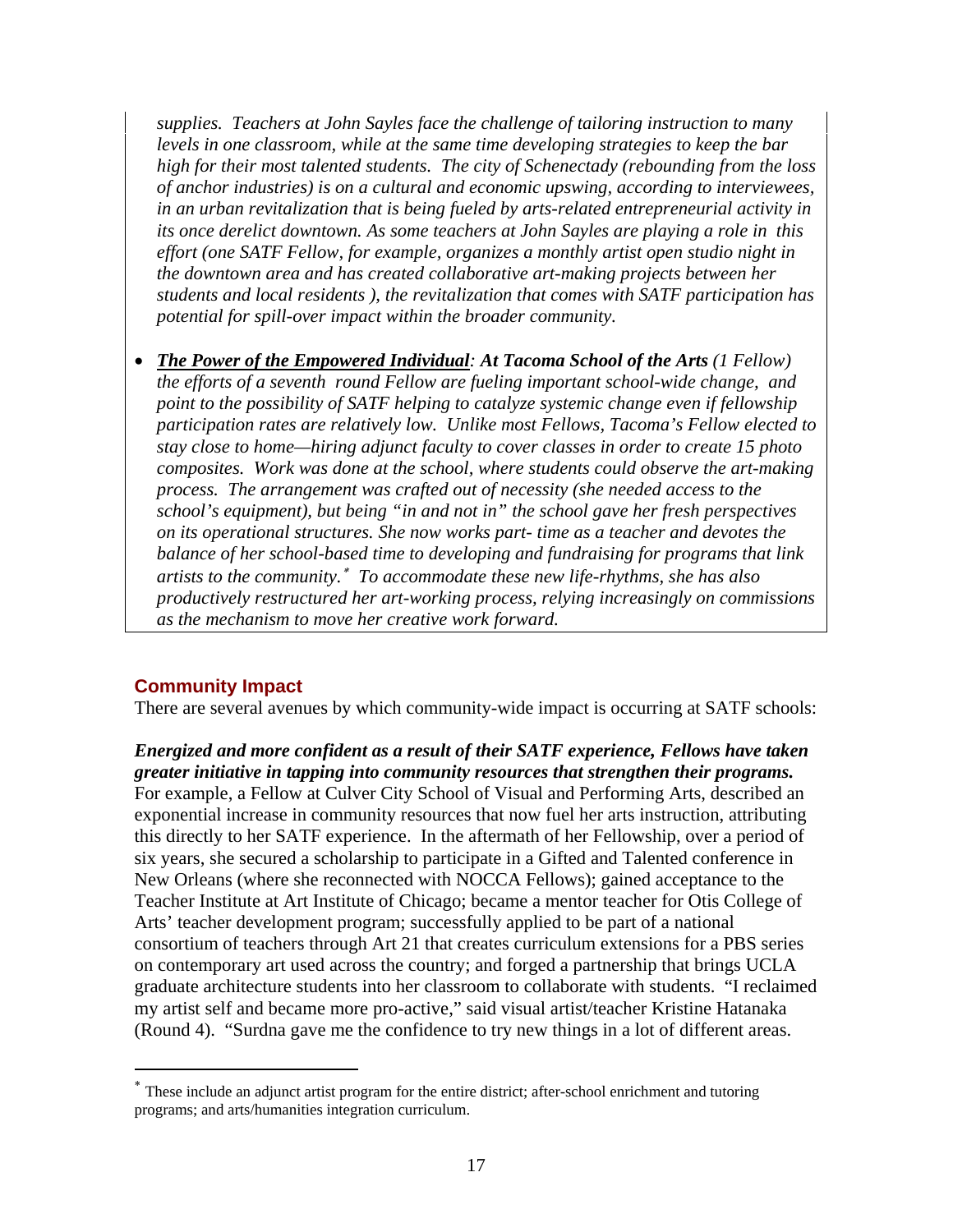*supplies. Teachers at John Sayles face the challenge of tailoring instruction to many levels in one classroom, while at the same time developing strategies to keep the bar high for their most talented students. The city of Schenectady (rebounding from the loss of anchor industries) is on a cultural and economic upswing, according to interviewees, in an urban revitalization that is being fueled by arts-related entrepreneurial activity in its once derelict downtown. As some teachers at John Sayles are playing a role in this effort (one SATF Fellow, for example, organizes a monthly artist open studio night in the downtown area and has created collaborative art-making projects between her students and local residents ), the revitalization that comes with SATF participation has potential for spill-over impact within the broader community.* 

• *The Power of the Empowered Individual: At Tacoma School of the Arts (1 Fellow) the efforts of a seventh round Fellow are fueling important school-wide change, and point to the possibility of SATF helping to catalyze systemic change even if fellowship participation rates are relatively low. Unlike most Fellows, Tacoma's Fellow elected to stay close to home—hiring adjunct faculty to cover classes in order to create 15 photo composites. Work was done at the school, where students could observe the art-making process. The arrangement was crafted out of necessity (she needed access to the school's equipment), but being "in and not in" the school gave her fresh perspectives on its operational structures. She now works part- time as a teacher and devotes the balance of her school-based time to developing and fundraising for programs that link artists to the community.*<sup>∗</sup> *To accommodate these new life-rhythms, she has also productively restructured her art-working process, relying increasingly on commissions as the mechanism to move her creative work forward.* 

# **Community Impact**

 $\overline{a}$ 

There are several avenues by which community-wide impact is occurring at SATF schools:

# *Energized and more confident as a result of their SATF experience, Fellows have taken greater initiative in tapping into community resources that strengthen their programs.*

For example, a Fellow at Culver City School of Visual and Performing Arts, described an exponential increase in community resources that now fuel her arts instruction, attributing this directly to her SATF experience. In the aftermath of her Fellowship, over a period of six years, she secured a scholarship to participate in a Gifted and Talented conference in New Orleans (where she reconnected with NOCCA Fellows); gained acceptance to the Teacher Institute at Art Institute of Chicago; became a mentor teacher for Otis College of Arts' teacher development program; successfully applied to be part of a national consortium of teachers through Art 21 that creates curriculum extensions for a PBS series on contemporary art used across the country; and forged a partnership that brings UCLA graduate architecture students into her classroom to collaborate with students. "I reclaimed my artist self and became more pro-active," said visual artist/teacher Kristine Hatanaka (Round 4). "Surdna gave me the confidence to try new things in a lot of different areas.

<sup>∗</sup> These include an adjunct artist program for the entire district; after-school enrichment and tutoring programs; and arts/humanities integration curriculum.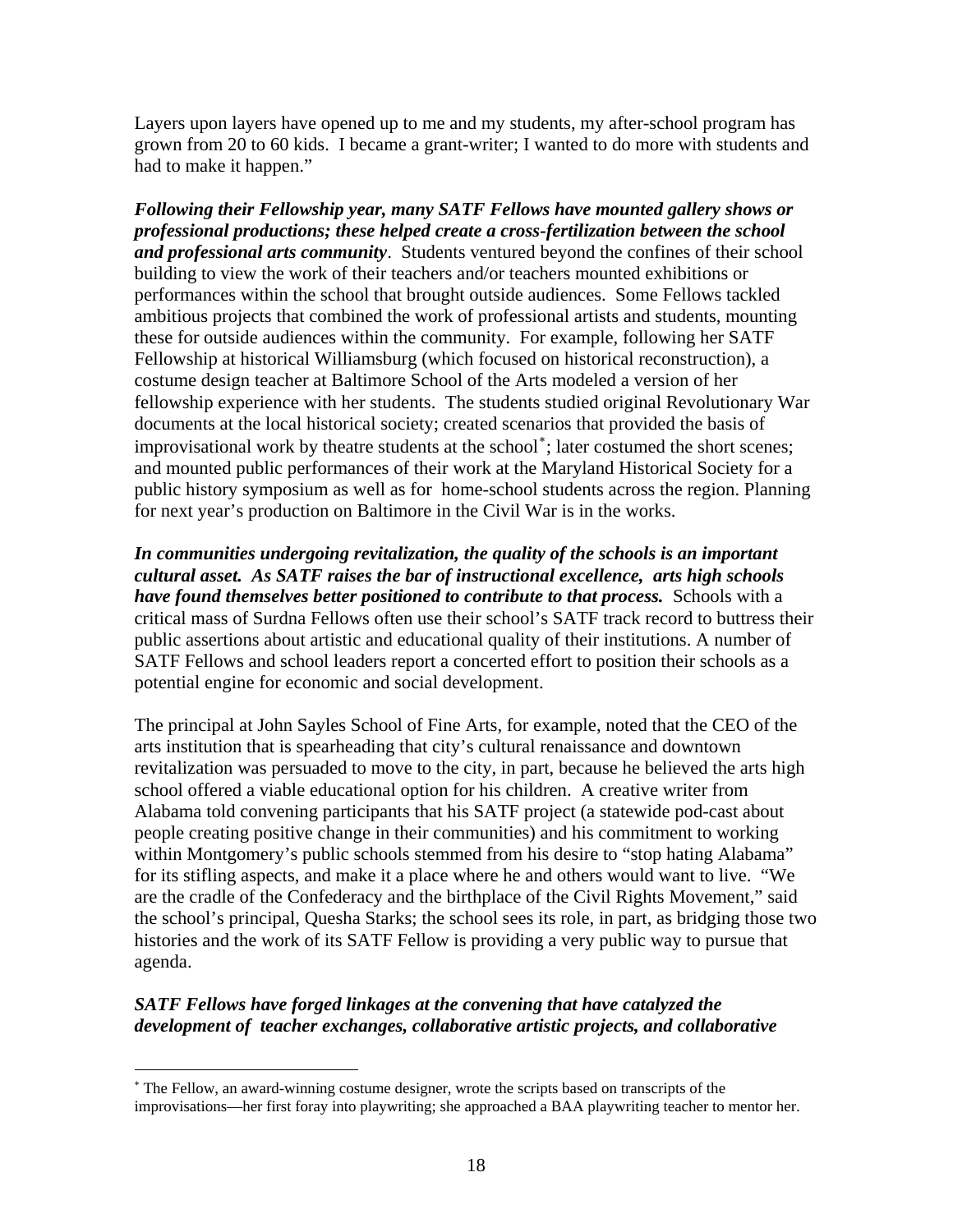Layers upon layers have opened up to me and my students, my after-school program has grown from 20 to 60 kids. I became a grant-writer; I wanted to do more with students and had to make it happen."

*Following their Fellowship year, many SATF Fellows have mounted gallery shows or professional productions; these helped create a cross-fertilization between the school and professional arts community*. Students ventured beyond the confines of their school building to view the work of their teachers and/or teachers mounted exhibitions or performances within the school that brought outside audiences. Some Fellows tackled ambitious projects that combined the work of professional artists and students, mounting these for outside audiences within the community. For example, following her SATF Fellowship at historical Williamsburg (which focused on historical reconstruction), a costume design teacher at Baltimore School of the Arts modeled a version of her fellowship experience with her students. The students studied original Revolutionary War documents at the local historical society; created scenarios that provided the basis of improvisational work by theatre students at the school[∗](#page-21-0) ; later costumed the short scenes; and mounted public performances of their work at the Maryland Historical Society for a public history symposium as well as for home-school students across the region. Planning for next year's production on Baltimore in the Civil War is in the works.

*In communities undergoing revitalization, the quality of the schools is an important cultural asset. As SATF raises the bar of instructional excellence, arts high schools have found themselves better positioned to contribute to that process.* Schools with a critical mass of Surdna Fellows often use their school's SATF track record to buttress their public assertions about artistic and educational quality of their institutions. A number of SATF Fellows and school leaders report a concerted effort to position their schools as a potential engine for economic and social development.

The principal at John Sayles School of Fine Arts, for example, noted that the CEO of the arts institution that is spearheading that city's cultural renaissance and downtown revitalization was persuaded to move to the city, in part, because he believed the arts high school offered a viable educational option for his children. A creative writer from Alabama told convening participants that his SATF project (a statewide pod-cast about people creating positive change in their communities) and his commitment to working within Montgomery's public schools stemmed from his desire to "stop hating Alabama" for its stifling aspects, and make it a place where he and others would want to live. "We are the cradle of the Confederacy and the birthplace of the Civil Rights Movement," said the school's principal, Quesha Starks; the school sees its role, in part, as bridging those two histories and the work of its SATF Fellow is providing a very public way to pursue that agenda.

# *SATF Fellows have forged linkages at the convening that have catalyzed the development of teacher exchanges, collaborative artistic projects, and collaborative*

 $\overline{a}$ 

<span id="page-21-0"></span><sup>∗</sup> The Fellow, an award-winning costume designer, wrote the scripts based on transcripts of the improvisations—her first foray into playwriting; she approached a BAA playwriting teacher to mentor her.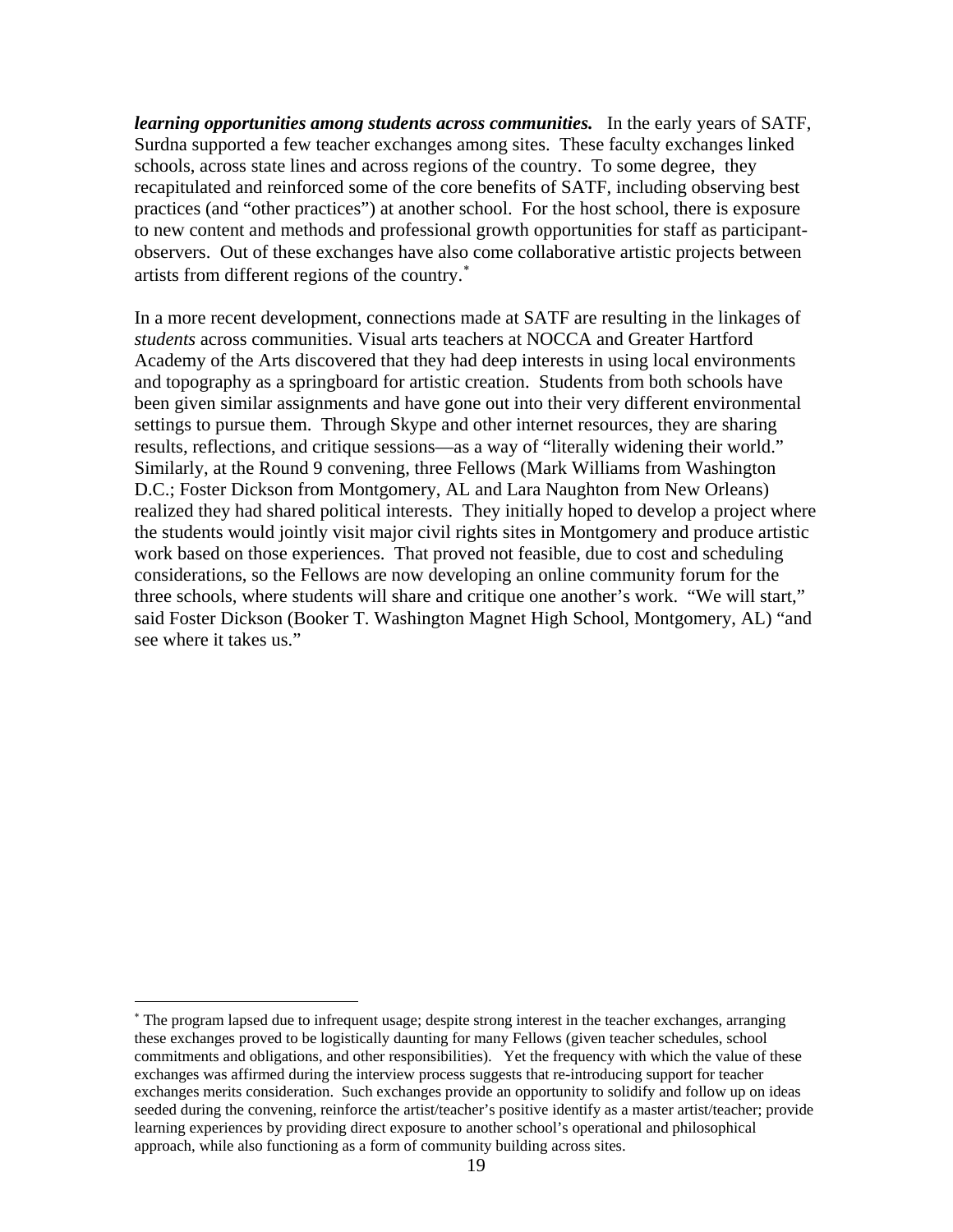*learning opportunities among students across communities.* In the early years of SATF, Surdna supported a few teacher exchanges among sites. These faculty exchanges linked schools, across state lines and across regions of the country. To some degree, they recapitulated and reinforced some of the core benefits of SATF, including observing best practices (and "other practices") at another school. For the host school, there is exposure to new content and methods and professional growth opportunities for staff as participantobservers. Out of these exchanges have also come collaborative artistic projects between artists from different regions of the country.<sup>\*</sup>

In a more recent development, connections made at SATF are resulting in the linkages of *students* across communities. Visual arts teachers at NOCCA and Greater Hartford Academy of the Arts discovered that they had deep interests in using local environments and topography as a springboard for artistic creation. Students from both schools have been given similar assignments and have gone out into their very different environmental settings to pursue them. Through Skype and other internet resources, they are sharing results, reflections, and critique sessions—as a way of "literally widening their world." Similarly, at the Round 9 convening, three Fellows (Mark Williams from Washington D.C.; Foster Dickson from Montgomery, AL and Lara Naughton from New Orleans) realized they had shared political interests. They initially hoped to develop a project where the students would jointly visit major civil rights sites in Montgomery and produce artistic work based on those experiences. That proved not feasible, due to cost and scheduling considerations, so the Fellows are now developing an online community forum for the three schools, where students will share and critique one another's work. "We will start," said Foster Dickson (Booker T. Washington Magnet High School, Montgomery, AL) "and see where it takes us."

 $\overline{a}$ 

<span id="page-22-0"></span><sup>∗</sup> The program lapsed due to infrequent usage; despite strong interest in the teacher exchanges, arranging these exchanges proved to be logistically daunting for many Fellows (given teacher schedules, school commitments and obligations, and other responsibilities). Yet the frequency with which the value of these exchanges was affirmed during the interview process suggests that re-introducing support for teacher exchanges merits consideration. Such exchanges provide an opportunity to solidify and follow up on ideas seeded during the convening, reinforce the artist/teacher's positive identify as a master artist/teacher; provide learning experiences by providing direct exposure to another school's operational and philosophical approach, while also functioning as a form of community building across sites.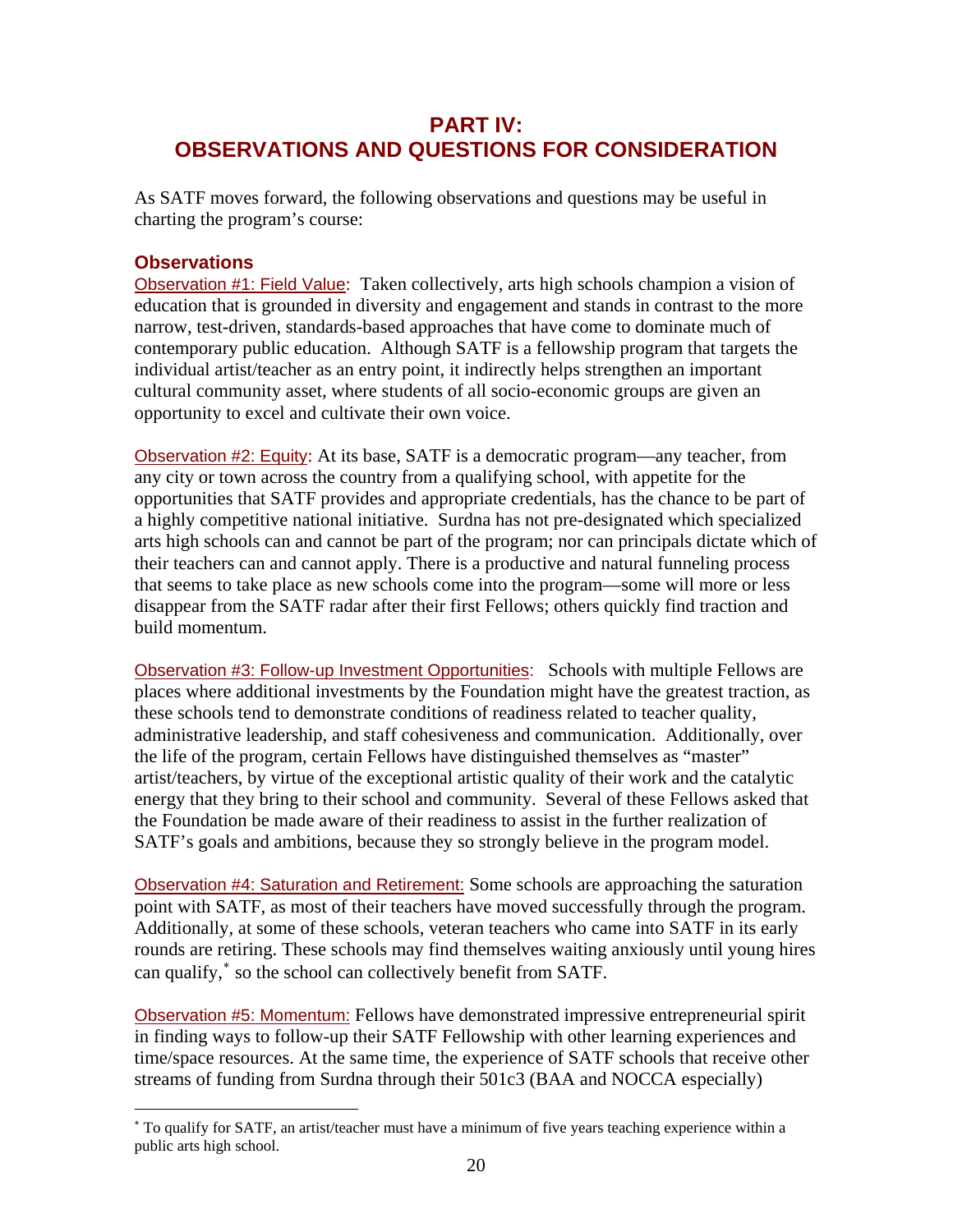# **PART IV: OBSERVATIONS AND QUESTIONS FOR CONSIDERATION**

As SATF moves forward, the following observations and questions may be useful in charting the program's course:

## **Observations**

 $\overline{a}$ 

Observation #1: Field Value: Taken collectively, arts high schools champion a vision of education that is grounded in diversity and engagement and stands in contrast to the more narrow, test-driven, standards-based approaches that have come to dominate much of contemporary public education. Although SATF is a fellowship program that targets the individual artist/teacher as an entry point, it indirectly helps strengthen an important cultural community asset, where students of all socio-economic groups are given an opportunity to excel and cultivate their own voice.

Observation #2: Equity: At its base, SATF is a democratic program—any teacher, from any city or town across the country from a qualifying school, with appetite for the opportunities that SATF provides and appropriate credentials, has the chance to be part of a highly competitive national initiative. Surdna has not pre-designated which specialized arts high schools can and cannot be part of the program; nor can principals dictate which of their teachers can and cannot apply. There is a productive and natural funneling process that seems to take place as new schools come into the program—some will more or less disappear from the SATF radar after their first Fellows; others quickly find traction and build momentum.

Observation #3: Follow-up Investment Opportunities: Schools with multiple Fellows are places where additional investments by the Foundation might have the greatest traction, as these schools tend to demonstrate conditions of readiness related to teacher quality, administrative leadership, and staff cohesiveness and communication. Additionally, over the life of the program, certain Fellows have distinguished themselves as "master" artist/teachers, by virtue of the exceptional artistic quality of their work and the catalytic energy that they bring to their school and community. Several of these Fellows asked that the Foundation be made aware of their readiness to assist in the further realization of SATF's goals and ambitions, because they so strongly believe in the program model.

Observation #4: Saturation and Retirement: Some schools are approaching the saturation point with SATF, as most of their teachers have moved successfully through the program. Additionally, at some of these schools, veteran teachers who came into SATF in its early rounds are retiring. These schools may find themselves waiting anxiously until young hires can qualify,<sup>\*</sup> so the school can collectively benefit from SATF.

Observation #5: Momentum: Fellows have demonstrated impressive entrepreneurial spirit in finding ways to follow-up their SATF Fellowship with other learning experiences and time/space resources. At the same time, the experience of SATF schools that receive other streams of funding from Surdna through their 501c3 (BAA and NOCCA especially)

<span id="page-23-0"></span><sup>∗</sup> To qualify for SATF, an artist/teacher must have a minimum of five years teaching experience within a public arts high school.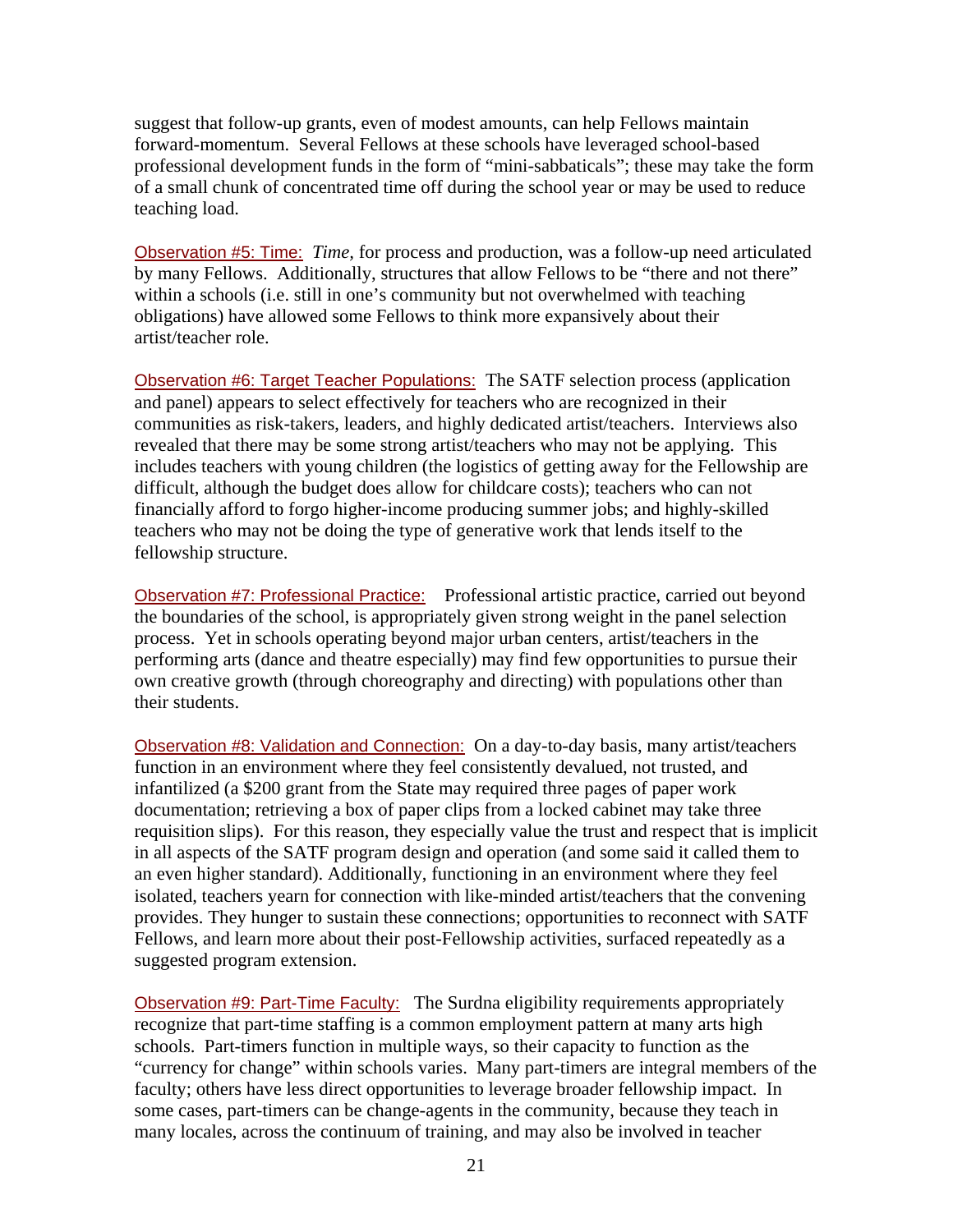suggest that follow-up grants, even of modest amounts, can help Fellows maintain forward-momentum. Several Fellows at these schools have leveraged school-based professional development funds in the form of "mini-sabbaticals"; these may take the form of a small chunk of concentrated time off during the school year or may be used to reduce teaching load.

Observation #5: Time: *Time,* for process and production, was a follow-up need articulated by many Fellows. Additionally, structures that allow Fellows to be "there and not there" within a schools (i.e. still in one's community but not overwhelmed with teaching obligations) have allowed some Fellows to think more expansively about their artist/teacher role.

Observation #6: Target Teacher Populations: The SATF selection process (application and panel) appears to select effectively for teachers who are recognized in their communities as risk-takers, leaders, and highly dedicated artist/teachers. Interviews also revealed that there may be some strong artist/teachers who may not be applying. This includes teachers with young children (the logistics of getting away for the Fellowship are difficult, although the budget does allow for childcare costs); teachers who can not financially afford to forgo higher-income producing summer jobs; and highly-skilled teachers who may not be doing the type of generative work that lends itself to the fellowship structure.

Observation #7: Professional Practice: Professional artistic practice, carried out beyond the boundaries of the school, is appropriately given strong weight in the panel selection process. Yet in schools operating beyond major urban centers, artist/teachers in the performing arts (dance and theatre especially) may find few opportunities to pursue their own creative growth (through choreography and directing) with populations other than their students.

Observation #8: Validation and Connection: On a day-to-day basis, many artist/teachers function in an environment where they feel consistently devalued, not trusted, and infantilized (a \$200 grant from the State may required three pages of paper work documentation; retrieving a box of paper clips from a locked cabinet may take three requisition slips). For this reason, they especially value the trust and respect that is implicit in all aspects of the SATF program design and operation (and some said it called them to an even higher standard). Additionally, functioning in an environment where they feel isolated, teachers yearn for connection with like-minded artist/teachers that the convening provides. They hunger to sustain these connections; opportunities to reconnect with SATF Fellows, and learn more about their post-Fellowship activities, surfaced repeatedly as a suggested program extension.

Observation #9: Part-Time Faculty: The Surdna eligibility requirements appropriately recognize that part-time staffing is a common employment pattern at many arts high schools. Part-timers function in multiple ways, so their capacity to function as the "currency for change" within schools varies. Many part-timers are integral members of the faculty; others have less direct opportunities to leverage broader fellowship impact. In some cases, part-timers can be change-agents in the community, because they teach in many locales, across the continuum of training, and may also be involved in teacher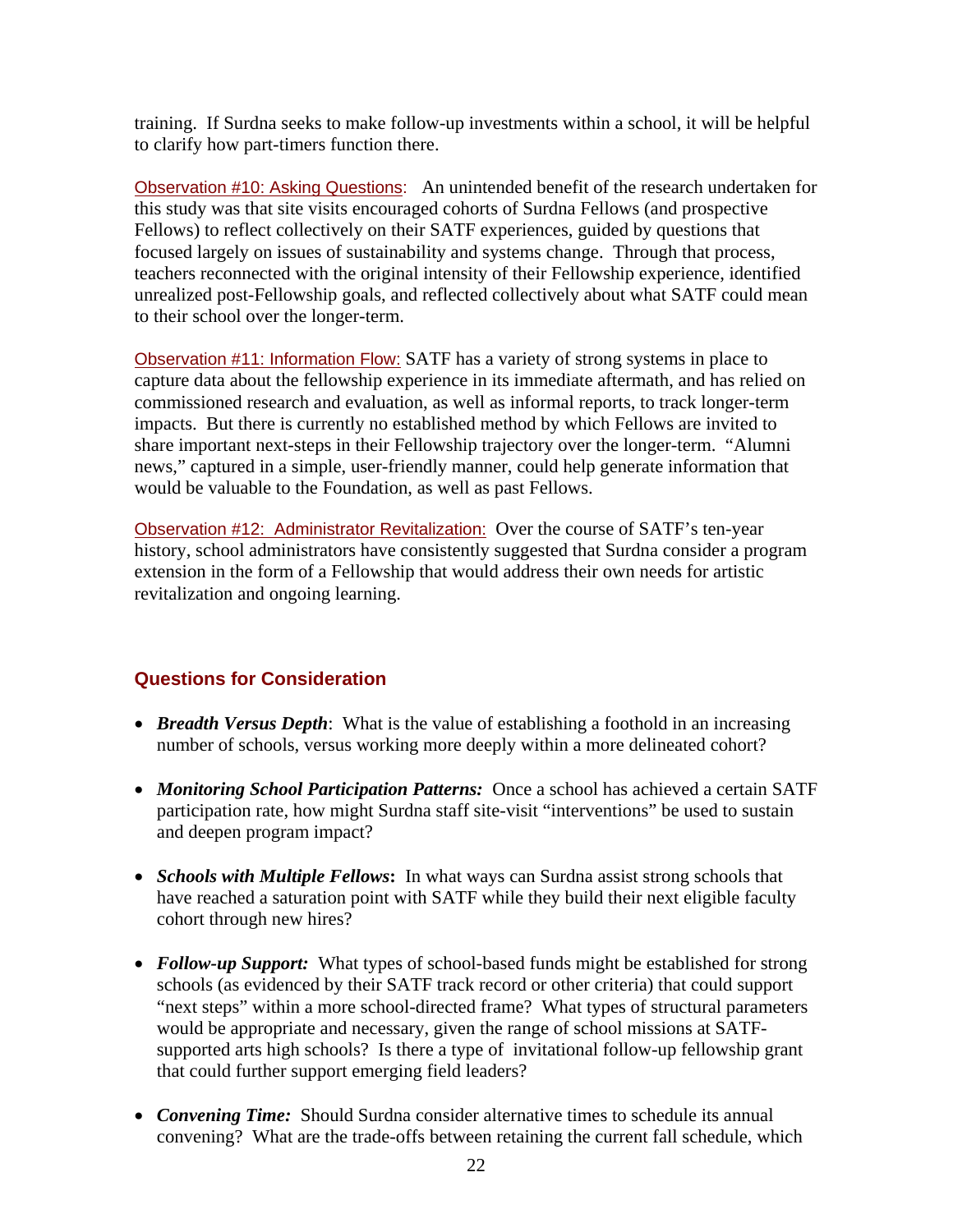training. If Surdna seeks to make follow-up investments within a school, it will be helpful to clarify how part-timers function there.

Observation #10: Asking Questions: An unintended benefit of the research undertaken for this study was that site visits encouraged cohorts of Surdna Fellows (and prospective Fellows) to reflect collectively on their SATF experiences, guided by questions that focused largely on issues of sustainability and systems change. Through that process, teachers reconnected with the original intensity of their Fellowship experience, identified unrealized post-Fellowship goals, and reflected collectively about what SATF could mean to their school over the longer-term.

Observation #11: Information Flow: SATF has a variety of strong systems in place to capture data about the fellowship experience in its immediate aftermath, and has relied on commissioned research and evaluation, as well as informal reports, to track longer-term impacts. But there is currently no established method by which Fellows are invited to share important next-steps in their Fellowship trajectory over the longer-term. "Alumni news," captured in a simple, user-friendly manner, could help generate information that would be valuable to the Foundation, as well as past Fellows.

Observation #12: Administrator Revitalization: Over the course of SATF's ten-year history, school administrators have consistently suggested that Surdna consider a program extension in the form of a Fellowship that would address their own needs for artistic revitalization and ongoing learning.

# **Questions for Consideration**

- *Breadth Versus Depth*: What is the value of establishing a foothold in an increasing number of schools, versus working more deeply within a more delineated cohort?
- *Monitoring School Participation Patterns:* Once a school has achieved a certain SATF participation rate, how might Surdna staff site-visit "interventions" be used to sustain and deepen program impact?
- *Schools with Multiple Fellows***:** In what ways can Surdna assist strong schools that have reached a saturation point with SATF while they build their next eligible faculty cohort through new hires?
- *Follow-up Support:* What types of school-based funds might be established for strong schools (as evidenced by their SATF track record or other criteria) that could support "next steps" within a more school-directed frame? What types of structural parameters would be appropriate and necessary, given the range of school missions at SATFsupported arts high schools? Is there a type of invitational follow-up fellowship grant that could further support emerging field leaders?
- *Convening Time:* Should Surdna consider alternative times to schedule its annual convening? What are the trade-offs between retaining the current fall schedule, which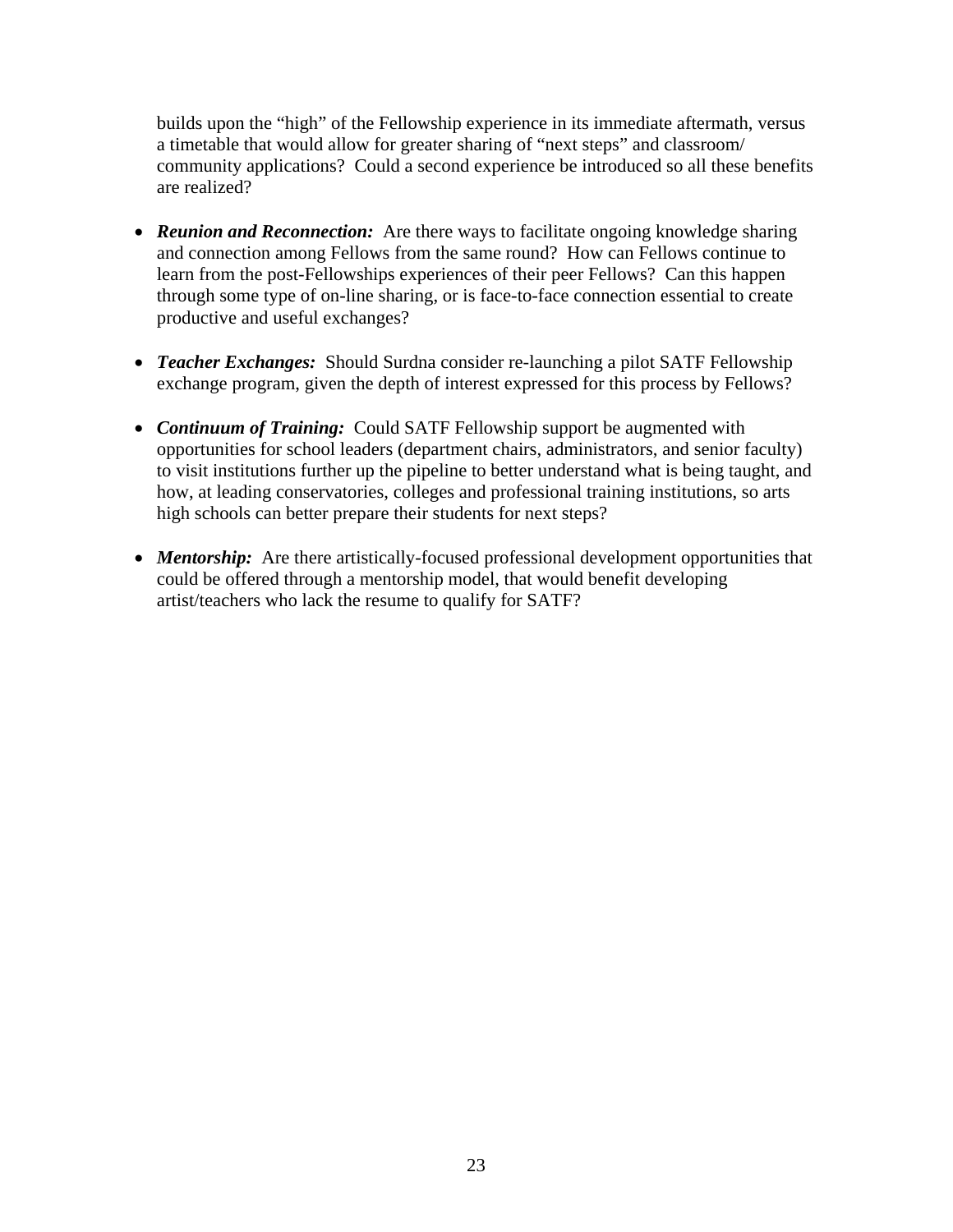builds upon the "high" of the Fellowship experience in its immediate aftermath, versus a timetable that would allow for greater sharing of "next steps" and classroom/ community applications? Could a second experience be introduced so all these benefits are realized?

- *Reunion and Reconnection:* Are there ways to facilitate ongoing knowledge sharing and connection among Fellows from the same round? How can Fellows continue to learn from the post-Fellowships experiences of their peer Fellows? Can this happen through some type of on-line sharing, or is face-to-face connection essential to create productive and useful exchanges?
- *Teacher Exchanges:* Should Surdna consider re-launching a pilot SATF Fellowship exchange program, given the depth of interest expressed for this process by Fellows?
- *Continuum of Training:* Could SATF Fellowship support be augmented with opportunities for school leaders (department chairs, administrators, and senior faculty) to visit institutions further up the pipeline to better understand what is being taught, and how, at leading conservatories, colleges and professional training institutions, so arts high schools can better prepare their students for next steps?
- *Mentorship*: Are there artistically-focused professional development opportunities that could be offered through a mentorship model, that would benefit developing artist/teachers who lack the resume to qualify for SATF?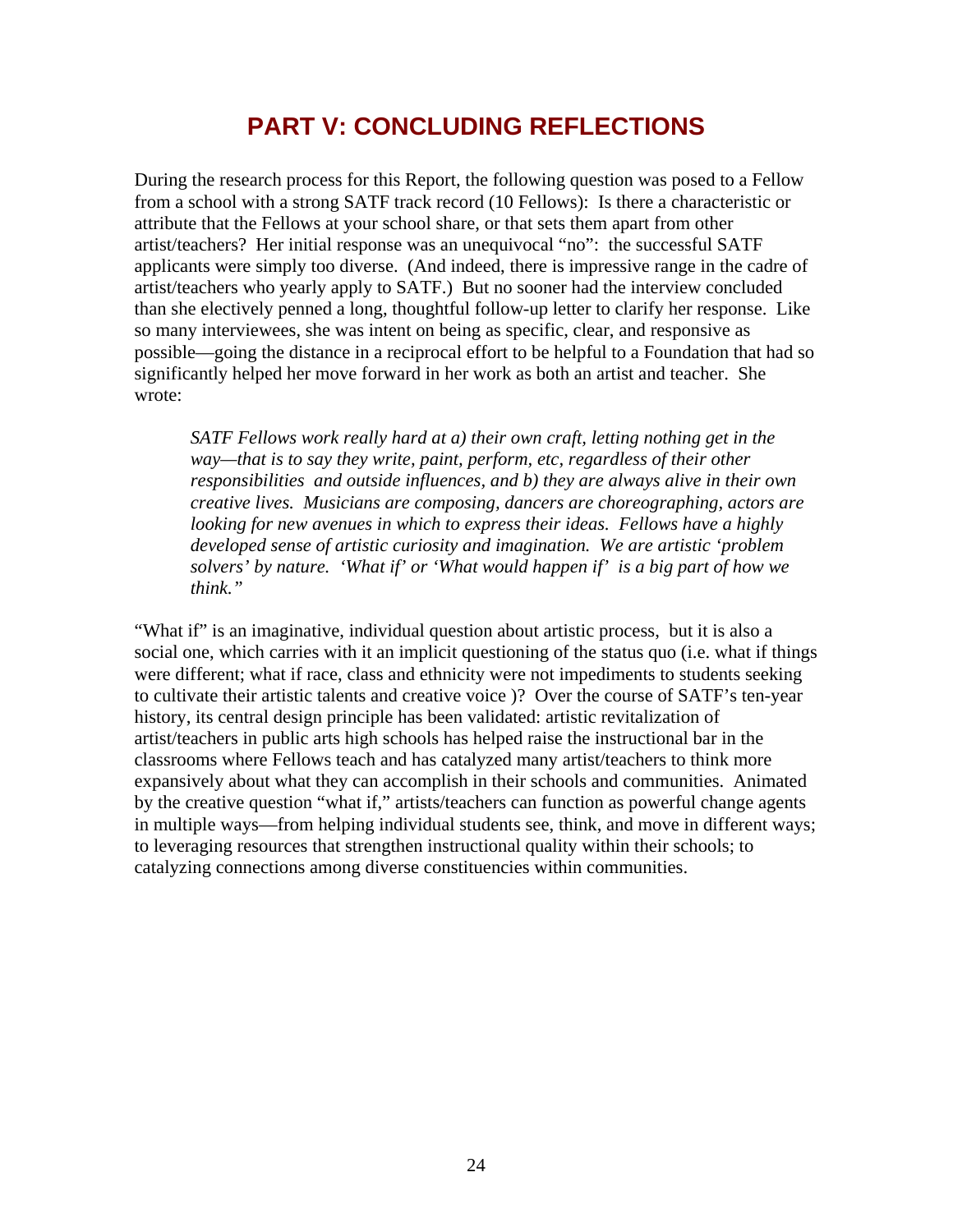# **PART V: CONCLUDING REFLECTIONS**

During the research process for this Report, the following question was posed to a Fellow from a school with a strong SATF track record (10 Fellows): Is there a characteristic or attribute that the Fellows at your school share, or that sets them apart from other artist/teachers? Her initial response was an unequivocal "no": the successful SATF applicants were simply too diverse. (And indeed, there is impressive range in the cadre of artist/teachers who yearly apply to SATF.) But no sooner had the interview concluded than she electively penned a long, thoughtful follow-up letter to clarify her response. Like so many interviewees, she was intent on being as specific, clear, and responsive as possible—going the distance in a reciprocal effort to be helpful to a Foundation that had so significantly helped her move forward in her work as both an artist and teacher. She wrote:

*SATF Fellows work really hard at a) their own craft, letting nothing get in the way—that is to say they write, paint, perform, etc, regardless of their other responsibilities and outside influences, and b) they are always alive in their own creative lives. Musicians are composing, dancers are choreographing, actors are looking for new avenues in which to express their ideas. Fellows have a highly developed sense of artistic curiosity and imagination. We are artistic 'problem solvers' by nature. 'What if' or 'What would happen if' is a big part of how we think."* 

"What if" is an imaginative, individual question about artistic process, but it is also a social one, which carries with it an implicit questioning of the status quo (i.e. what if things were different; what if race, class and ethnicity were not impediments to students seeking to cultivate their artistic talents and creative voice )? Over the course of SATF's ten-year history, its central design principle has been validated: artistic revitalization of artist/teachers in public arts high schools has helped raise the instructional bar in the classrooms where Fellows teach and has catalyzed many artist/teachers to think more expansively about what they can accomplish in their schools and communities. Animated by the creative question "what if," artists/teachers can function as powerful change agents in multiple ways—from helping individual students see, think, and move in different ways; to leveraging resources that strengthen instructional quality within their schools; to catalyzing connections among diverse constituencies within communities.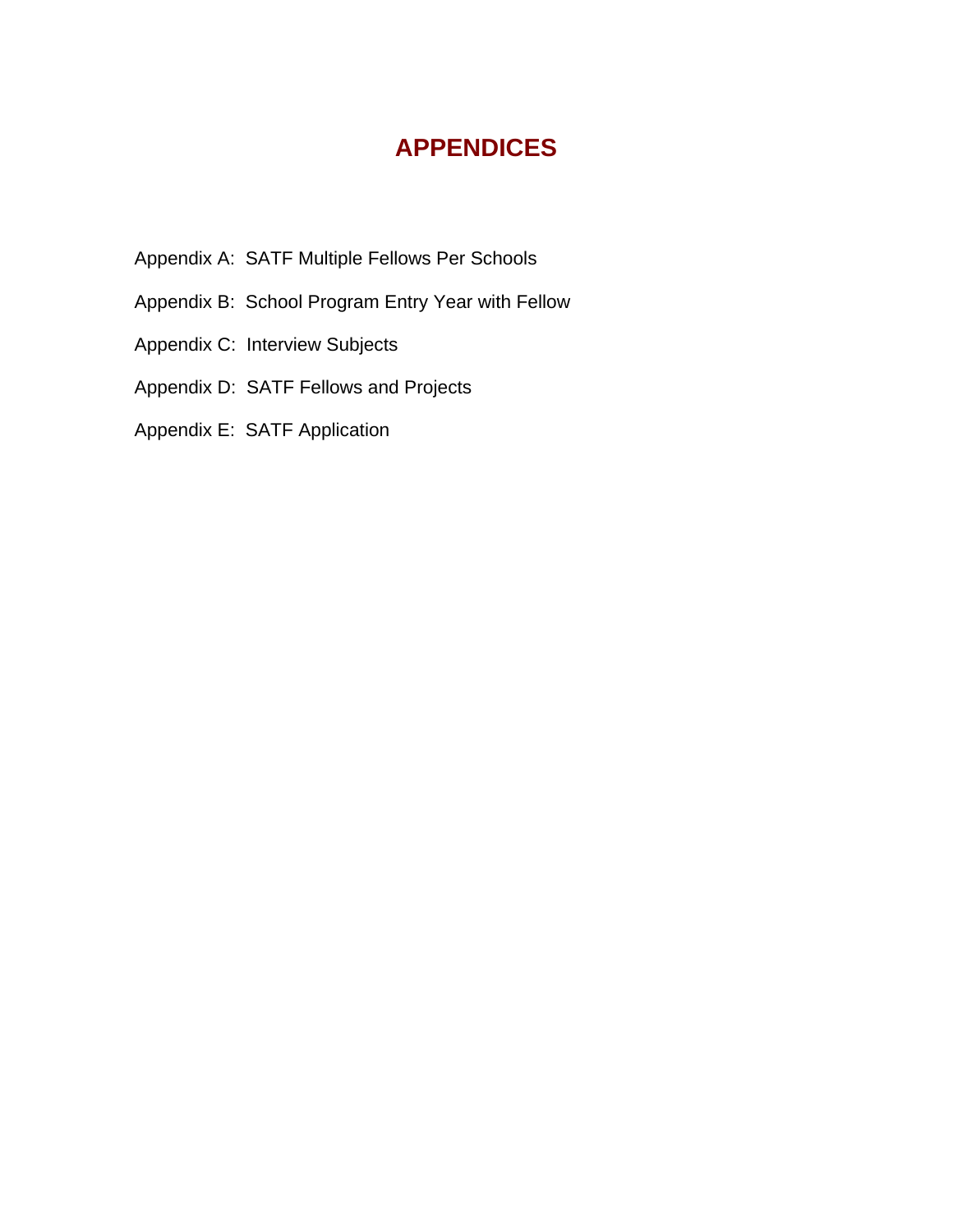# **APPENDICES**

- Appendix A: SATF Multiple Fellows Per Schools
- Appendix B: School Program Entry Year with Fellow
- Appendix C: Interview Subjects
- Appendix D: SATF Fellows and Projects
- Appendix E: SATF Application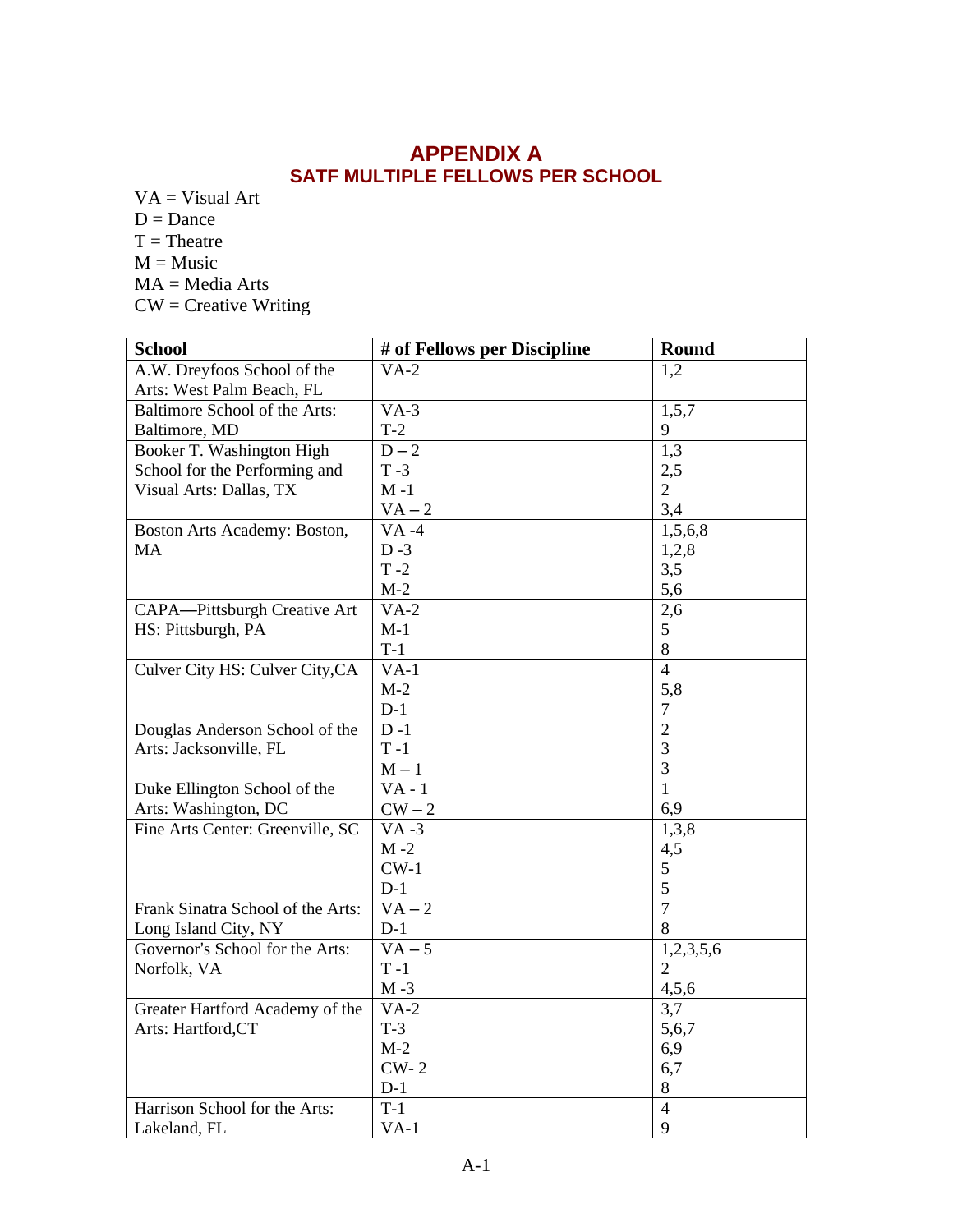# **APPENDIX A SATF MULTIPLE FELLOWS PER SCHOOL**

- $VA = Visual Art$  $D = D$ ance
- $T = The$ atre
- $M = Music$
- MA = Media Arts
- CW = Creative Writing

| <b>School</b>                     | # of Fellows per Discipline | Round          |
|-----------------------------------|-----------------------------|----------------|
| A.W. Dreyfoos School of the       | $VA-2$                      | 1,2            |
| Arts: West Palm Beach, FL         |                             |                |
| Baltimore School of the Arts:     | $VA-3$                      | 1,5,7          |
| Baltimore, MD                     | $T-2$                       | 9              |
| Booker T. Washington High         | $D-2$                       | 1,3            |
| School for the Performing and     | $T - 3$                     | 2,5            |
| Visual Arts: Dallas, TX           | $M - 1$                     | $\overline{2}$ |
|                                   | $VA - 2$                    | 3,4            |
| Boston Arts Academy: Boston,      | $VA -4$                     | 1,5,6,8        |
| <b>MA</b>                         | $D-3$                       | 1,2,8          |
|                                   | $T - 2$                     | 3,5            |
|                                   | $M-2$                       | 5,6            |
| CAPA-Pittsburgh Creative Art      | $VA-2$                      | 2,6            |
| HS: Pittsburgh, PA                | $M-1$                       | 5              |
|                                   | $T-1$                       | 8              |
| Culver City HS: Culver City, CA   | $VA-1$                      | $\overline{4}$ |
|                                   | $M-2$                       | 5,8            |
|                                   | $D-1$                       | 7              |
| Douglas Anderson School of the    | $D-1$                       | $\overline{2}$ |
| Arts: Jacksonville, FL            | $T - 1$                     | 3              |
|                                   | $M-1$                       | 3              |
| Duke Ellington School of the      | $\overline{V}A - 1$         | $\overline{1}$ |
| Arts: Washington, DC              | ${\rm CW-2}$                | 6,9            |
| Fine Arts Center: Greenville, SC  | $VA -3$                     | 1,3,8          |
|                                   | $M - 2$                     | 4,5            |
|                                   | $CW-1$                      | 5              |
|                                   | $D-1$                       | 5              |
| Frank Sinatra School of the Arts: | $VA - 2$                    | $\overline{7}$ |
| Long Island City, NY              | $D-1$                       | 8              |
| Governor's School for the Arts:   | $VA - 5$                    | 1,2,3,5,6      |
| Norfolk, VA                       | $T - 1$                     | $\overline{2}$ |
|                                   | $M - 3$                     | 4,5,6          |
| Greater Hartford Academy of the   | $VA-2$                      | 3,7            |
| Arts: Hartford,CT                 | $T-3$                       | 5,6,7          |
|                                   | $M-2$                       | 6,9            |
|                                   | $CW-2$                      | 6,7            |
|                                   | $D-1$                       | 8              |
| Harrison School for the Arts:     | $T-1$                       | $\overline{4}$ |
| Lakeland, FL                      | $VA-1$                      | 9              |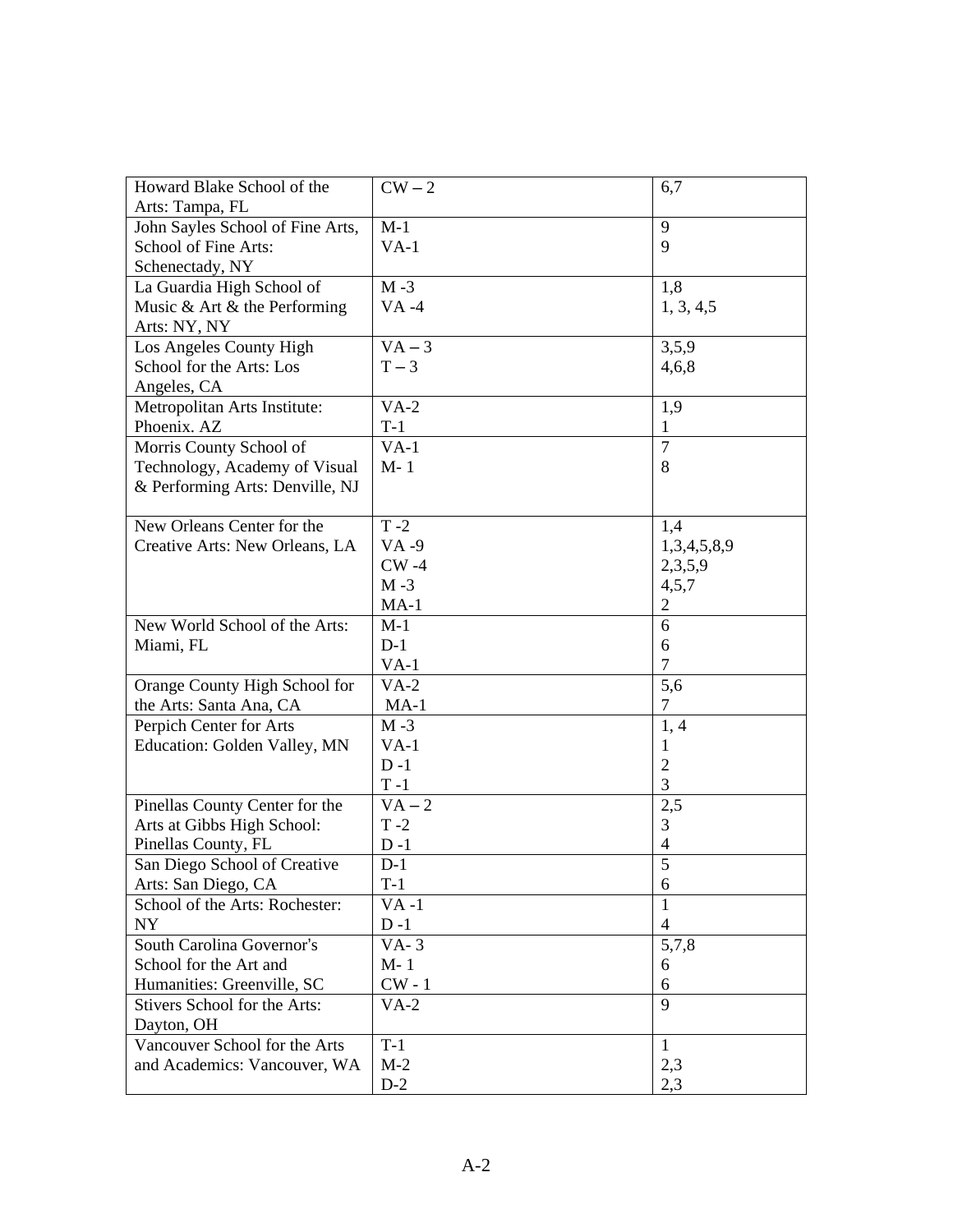| Howard Blake School of the       | $CW-2$   | 6,7            |
|----------------------------------|----------|----------------|
| Arts: Tampa, FL                  |          |                |
| John Sayles School of Fine Arts, | $M-1$    | 9              |
| School of Fine Arts:             | $VA-1$   | 9              |
| Schenectady, NY                  |          |                |
| La Guardia High School of        | $M - 3$  | 1,8            |
| Music & Art & the Performing     | $VA -4$  | 1, 3, 4, 5     |
| Arts: NY, NY                     |          |                |
| Los Angeles County High          | $VA - 3$ | 3,5,9          |
| School for the Arts: Los         | $T-3$    | 4,6,8          |
| Angeles, CA                      |          |                |
| Metropolitan Arts Institute:     | $VA-2$   | 1,9            |
| Phoenix. AZ                      | $T-1$    | 1              |
| Morris County School of          | $VA-1$   | 7              |
| Technology, Academy of Visual    | $M-1$    | 8              |
| & Performing Arts: Denville, NJ  |          |                |
|                                  |          |                |
| New Orleans Center for the       | $T - 2$  | 1,4            |
| Creative Arts: New Orleans, LA   | $VA -9$  | 1,3,4,5,8,9    |
|                                  | $CW -4$  | 2,3,5,9        |
|                                  | $M - 3$  | 4,5,7          |
|                                  | $MA-1$   | $\overline{c}$ |
| New World School of the Arts:    | $M-1$    | 6              |
| Miami, FL                        | $D-1$    | 6              |
|                                  | $VA-1$   | $\overline{7}$ |
| Orange County High School for    | $VA-2$   | 5,6            |
| the Arts: Santa Ana, CA          | $MA-1$   | $\overline{7}$ |
| Perpich Center for Arts          | $M - 3$  | 1,4            |
| Education: Golden Valley, MN     | $VA-1$   | 1              |
|                                  | $D-1$    | $\overline{2}$ |
|                                  | $T - 1$  | 3              |
| Pinellas County Center for the   | $VA - 2$ | 2,5            |
| Arts at Gibbs High School:       | $T - 2$  | 3              |
| Pinellas County, FL              | $D - 1$  | $\overline{4}$ |
| San Diego School of Creative     | $D-1$    | $\overline{5}$ |
| Arts: San Diego, CA              | $T-1$    | 6              |
| School of the Arts: Rochester:   | $VA -1$  | 1              |
| <b>NY</b>                        | $D-1$    | $\overline{4}$ |
| South Carolina Governor's        | $VA-3$   | 5,7,8          |
| School for the Art and           | $M-1$    | 6              |
| Humanities: Greenville, SC       | $CW - 1$ | 6              |
| Stivers School for the Arts:     | $VA-2$   | 9              |
| Dayton, OH                       |          |                |
| Vancouver School for the Arts    | $T-1$    | 1              |
| and Academics: Vancouver, WA     | $M-2$    | 2,3            |
|                                  | $D-2$    | 2,3            |
|                                  |          |                |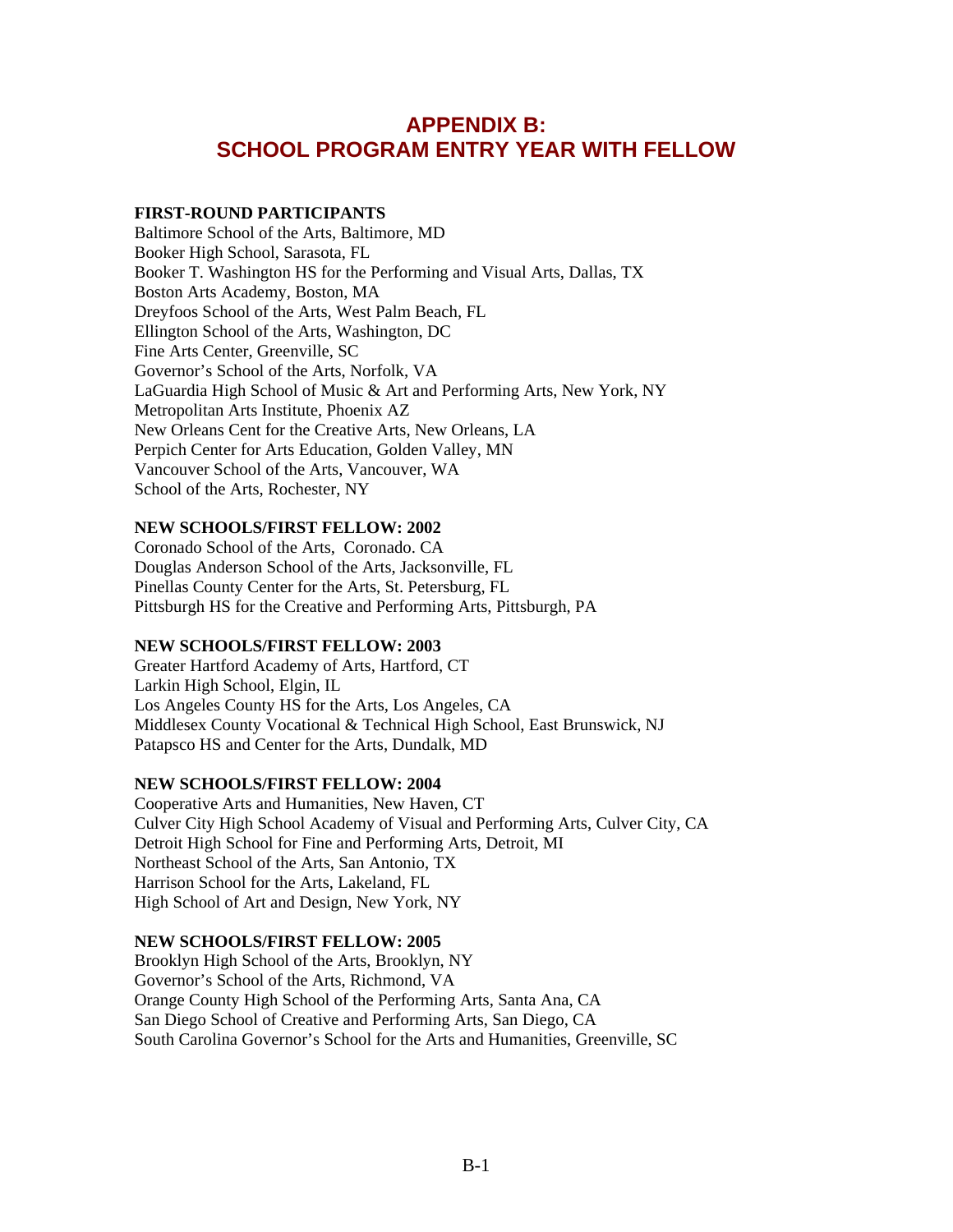# **APPENDIX B: SCHOOL PROGRAM ENTRY YEAR WITH FELLOW**

#### **FIRST-ROUND PARTICIPANTS**

Baltimore School of the Arts, Baltimore, MD Booker High School, Sarasota, FL Booker T. Washington HS for the Performing and Visual Arts, Dallas, TX Boston Arts Academy, Boston, MA Dreyfoos School of the Arts, West Palm Beach, FL Ellington School of the Arts, Washington, DC Fine Arts Center, Greenville, SC Governor's School of the Arts, Norfolk, VA LaGuardia High School of Music & Art and Performing Arts, New York, NY Metropolitan Arts Institute, Phoenix AZ New Orleans Cent for the Creative Arts, New Orleans, LA Perpich Center for Arts Education, Golden Valley, MN Vancouver School of the Arts, Vancouver, WA School of the Arts, Rochester, NY

### **NEW SCHOOLS/FIRST FELLOW: 2002**

Coronado School of the Arts, Coronado. CA Douglas Anderson School of the Arts, Jacksonville, FL Pinellas County Center for the Arts, St. Petersburg, FL Pittsburgh HS for the Creative and Performing Arts, Pittsburgh, PA

### **NEW SCHOOLS/FIRST FELLOW: 2003**

Greater Hartford Academy of Arts, Hartford, CT Larkin High School, Elgin, IL Los Angeles County HS for the Arts, Los Angeles, CA Middlesex County Vocational & Technical High School, East Brunswick, NJ Patapsco HS and Center for the Arts, Dundalk, MD

### **NEW SCHOOLS/FIRST FELLOW: 2004**

Cooperative Arts and Humanities, New Haven, CT Culver City High School Academy of Visual and Performing Arts, Culver City, CA Detroit High School for Fine and Performing Arts, Detroit, MI Northeast School of the Arts, San Antonio, TX Harrison School for the Arts, Lakeland, FL High School of Art and Design, New York, NY

### **NEW SCHOOLS/FIRST FELLOW: 2005**

Brooklyn High School of the Arts, Brooklyn, NY Governor's School of the Arts, Richmond, VA Orange County High School of the Performing Arts, Santa Ana, CA San Diego School of Creative and Performing Arts, San Diego, CA South Carolina Governor's School for the Arts and Humanities, Greenville, SC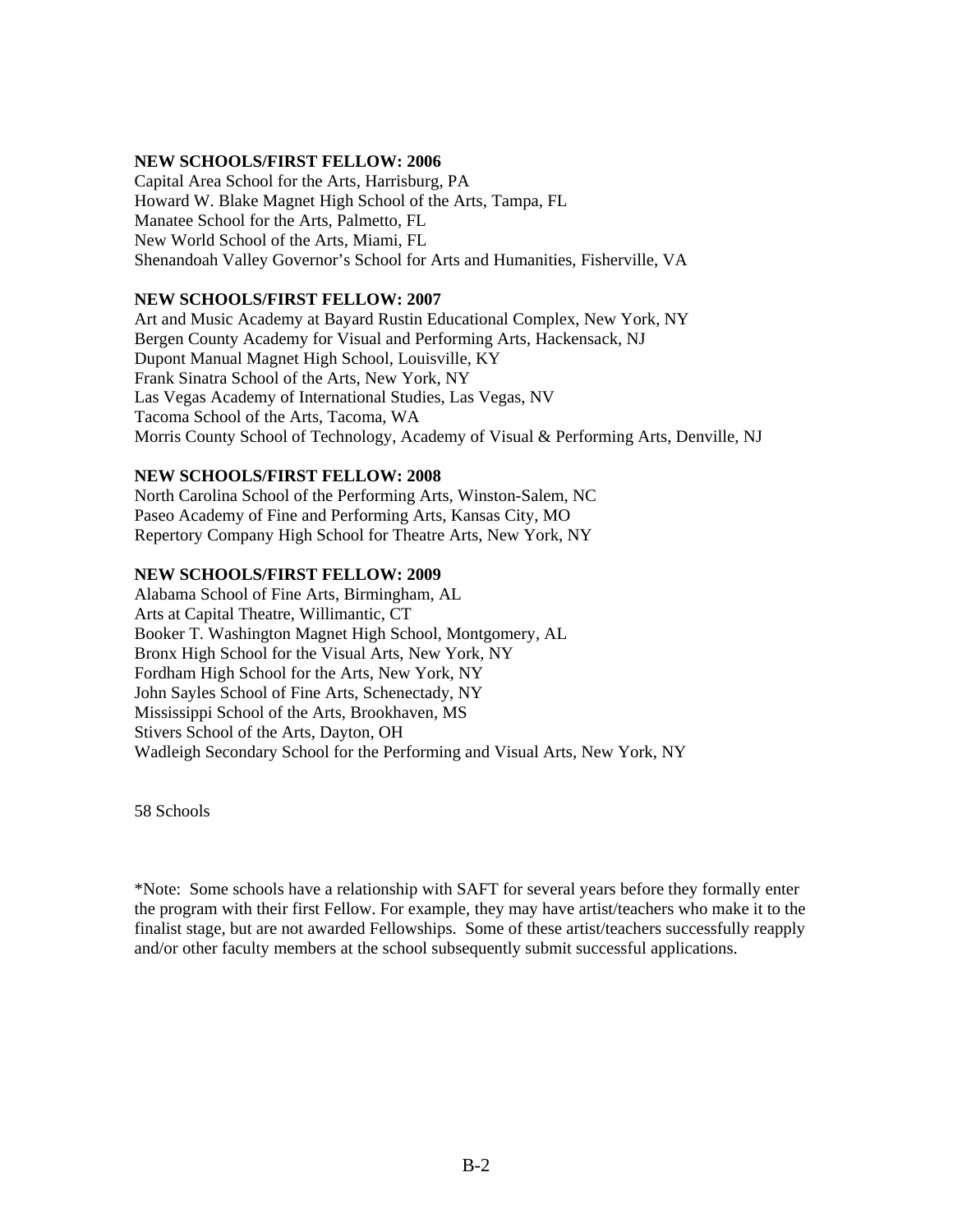#### **NEW SCHOOLS/FIRST FELLOW: 2006**

Capital Area School for the Arts, Harrisburg, PA Howard W. Blake Magnet High School of the Arts, Tampa, FL Manatee School for the Arts, Palmetto, FL New World School of the Arts, Miami, FL Shenandoah Valley Governor's School for Arts and Humanities, Fisherville, VA

#### **NEW SCHOOLS/FIRST FELLOW: 2007**

Art and Music Academy at Bayard Rustin Educational Complex, New York, NY Bergen County Academy for Visual and Performing Arts, Hackensack, NJ Dupont Manual Magnet High School, Louisville, KY Frank Sinatra School of the Arts, New York, NY Las Vegas Academy of International Studies, Las Vegas, NV Tacoma School of the Arts, Tacoma, WA Morris County School of Technology, Academy of Visual & Performing Arts, Denville, NJ

#### **NEW SCHOOLS/FIRST FELLOW: 2008**

North Carolina School of the Performing Arts, Winston-Salem, NC Paseo Academy of Fine and Performing Arts, Kansas City, MO Repertory Company High School for Theatre Arts, New York, NY

#### **NEW SCHOOLS/FIRST FELLOW: 2009**

Alabama School of Fine Arts, Birmingham, AL Arts at Capital Theatre, Willimantic, CT Booker T. Washington Magnet High School, Montgomery, AL Bronx High School for the Visual Arts, New York, NY Fordham High School for the Arts, New York, NY John Sayles School of Fine Arts, Schenectady, NY Mississippi School of the Arts, Brookhaven, MS Stivers School of the Arts, Dayton, OH Wadleigh Secondary School for the Performing and Visual Arts, New York, NY

58 Schools

\*Note: Some schools have a relationship with SAFT for several years before they formally enter the program with their first Fellow. For example, they may have artist/teachers who make it to the finalist stage, but are not awarded Fellowships. Some of these artist/teachers successfully reapply and/or other faculty members at the school subsequently submit successful applications.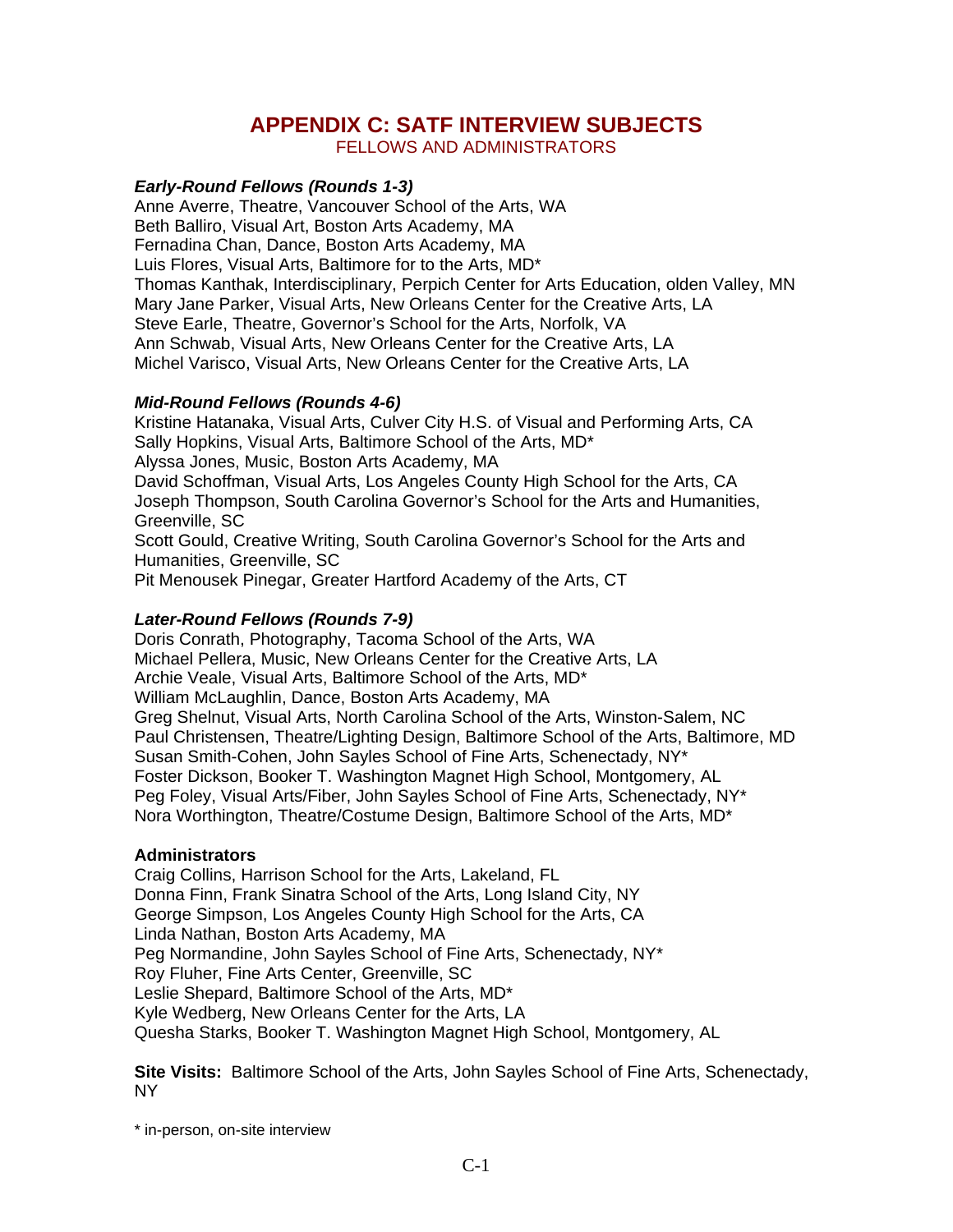# **APPENDIX C: SATF INTERVIEW SUBJECTS**

FELLOWS AND ADMINISTRATORS

### *Early-Round Fellows (Rounds 1-3)*

Anne Averre, Theatre, Vancouver School of the Arts, WA Beth Balliro, Visual Art, Boston Arts Academy, MA Fernadina Chan, Dance, Boston Arts Academy, MA Luis Flores, Visual Arts, Baltimore for to the Arts, MD\* Thomas Kanthak, Interdisciplinary, Perpich Center for Arts Education, olden Valley, MN Mary Jane Parker, Visual Arts, New Orleans Center for the Creative Arts, LA Steve Earle, Theatre, Governor's School for the Arts, Norfolk, VA Ann Schwab, Visual Arts, New Orleans Center for the Creative Arts, LA Michel Varisco, Visual Arts, New Orleans Center for the Creative Arts, LA

### *Mid-Round Fellows (Rounds 4-6)*

Kristine Hatanaka, Visual Arts, Culver City H.S. of Visual and Performing Arts, CA Sally Hopkins, Visual Arts, Baltimore School of the Arts, MD\* Alyssa Jones, Music, Boston Arts Academy, MA David Schoffman, Visual Arts, Los Angeles County High School for the Arts, CA Joseph Thompson, South Carolina Governor's School for the Arts and Humanities, Greenville, SC Scott Gould, Creative Writing, South Carolina Governor's School for the Arts and Humanities, Greenville, SC

Pit Menousek Pinegar, Greater Hartford Academy of the Arts, CT

### *Later-Round Fellows (Rounds 7-9)*

Doris Conrath, Photography, Tacoma School of the Arts, WA Michael Pellera, Music, New Orleans Center for the Creative Arts, LA Archie Veale, Visual Arts, Baltimore School of the Arts, MD\* William McLaughlin, Dance, Boston Arts Academy, MA Greg Shelnut, Visual Arts, North Carolina School of the Arts, Winston-Salem, NC Paul Christensen, Theatre/Lighting Design, Baltimore School of the Arts, Baltimore, MD Susan Smith-Cohen, John Sayles School of Fine Arts, Schenectady, NY\* Foster Dickson, Booker T. Washington Magnet High School, Montgomery, AL Peg Foley, Visual Arts/Fiber, John Sayles School of Fine Arts, Schenectady, NY\* Nora Worthington, Theatre/Costume Design, Baltimore School of the Arts, MD\*

#### **Administrators**

Craig Collins, Harrison School for the Arts, Lakeland, FL Donna Finn, Frank Sinatra School of the Arts, Long Island City, NY George Simpson, Los Angeles County High School for the Arts, CA Linda Nathan, Boston Arts Academy, MA Peg Normandine, John Sayles School of Fine Arts, Schenectady, NY\* Roy Fluher, Fine Arts Center, Greenville, SC Leslie Shepard, Baltimore School of the Arts, MD\* Kyle Wedberg, New Orleans Center for the Arts, LA Quesha Starks, Booker T. Washington Magnet High School, Montgomery, AL

**Site Visits:** Baltimore School of the Arts, John Sayles School of Fine Arts, Schenectady, NY

\* in-person, on-site interview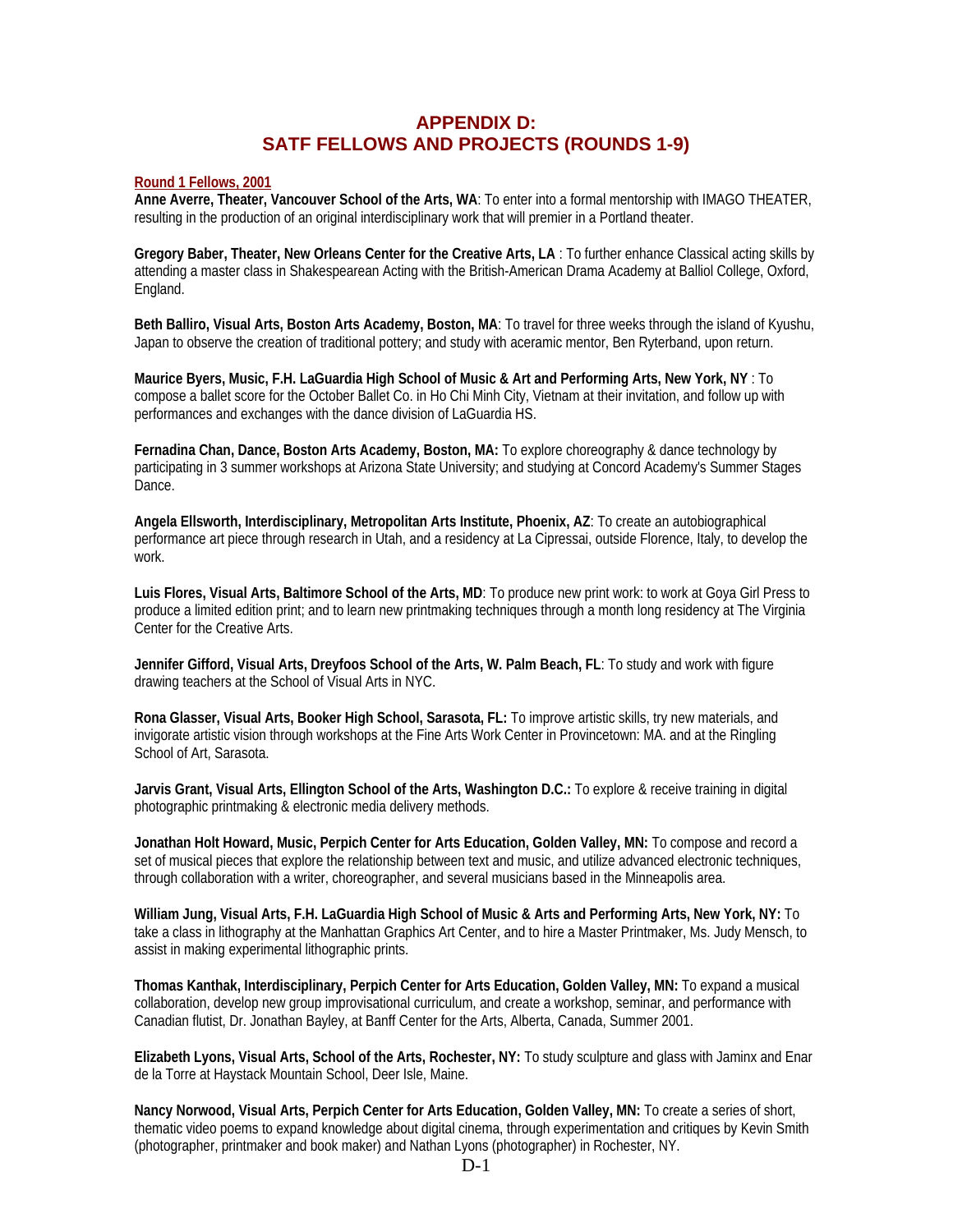## **APPENDIX D: SATF FELLOWS AND PROJECTS (ROUNDS 1-9)**

#### **Round 1 Fellows, 2001**

**Anne Averre, Theater, Vancouver School of the Arts, WA**: To enter into a formal mentorship with IMAGO THEATER, resulting in the production of an original interdisciplinary work that will premier in a Portland theater.

**Gregory Baber, Theater, New Orleans Center for the Creative Arts, LA** : To further enhance Classical acting skills by attending a master class in Shakespearean Acting with the British-American Drama Academy at Balliol College, Oxford, England.

**Beth Balliro, Visual Arts, Boston Arts Academy, Boston, MA**: To travel for three weeks through the island of Kyushu, Japan to observe the creation of traditional pottery; and study with aceramic mentor, Ben Ryterband, upon return.

**Maurice Byers, Music, F.H. LaGuardia High School of Music & Art and Performing Arts, New York, NY** : To compose a ballet score for the October Ballet Co. in Ho Chi Minh City, Vietnam at their invitation, and follow up with performances and exchanges with the dance division of LaGuardia HS.

**Fernadina Chan, Dance, Boston Arts Academy, Boston, MA:** To explore choreography & dance technology by participating in 3 summer workshops at Arizona State University; and studying at Concord Academy's Summer Stages Dance.

**Angela Ellsworth, Interdisciplinary, Metropolitan Arts Institute, Phoenix, AZ**: To create an autobiographical performance art piece through research in Utah, and a residency at La Cipressai, outside Florence, Italy, to develop the work.

**Luis Flores, Visual Arts, Baltimore School of the Arts, MD**: To produce new print work: to work at Goya Girl Press to produce a limited edition print; and to learn new printmaking techniques through a month long residency at The Virginia Center for the Creative Arts.

**Jennifer Gifford, Visual Arts, Dreyfoos School of the Arts, W. Palm Beach, FL**: To study and work with figure drawing teachers at the School of Visual Arts in NYC.

**Rona Glasser, Visual Arts, Booker High School, Sarasota, FL:** To improve artistic skills, try new materials, and invigorate artistic vision through workshops at the Fine Arts Work Center in Provincetown: MA. and at the Ringling School of Art, Sarasota.

**Jarvis Grant, Visual Arts, Ellington School of the Arts, Washington D.C.:** To explore & receive training in digital photographic printmaking & electronic media delivery methods.

**Jonathan Holt Howard, Music, Perpich Center for Arts Education, Golden Valley, MN:** To compose and record a set of musical pieces that explore the relationship between text and music, and utilize advanced electronic techniques, through collaboration with a writer, choreographer, and several musicians based in the Minneapolis area.

**William Jung, Visual Arts, F.H. LaGuardia High School of Music & Arts and Performing Arts, New York, NY:** To take a class in lithography at the Manhattan Graphics Art Center, and to hire a Master Printmaker, Ms. Judy Mensch, to assist in making experimental lithographic prints.

**Thomas Kanthak, Interdisciplinary, Perpich Center for Arts Education, Golden Valley, MN:** To expand a musical collaboration, develop new group improvisational curriculum, and create a workshop, seminar, and performance with Canadian flutist, Dr. Jonathan Bayley, at Banff Center for the Arts, Alberta, Canada, Summer 2001.

**Elizabeth Lyons, Visual Arts, School of the Arts, Rochester, NY:** To study sculpture and glass with Jaminx and Enar de la Torre at Haystack Mountain School, Deer Isle, Maine.

**Nancy Norwood, Visual Arts, Perpich Center for Arts Education, Golden Valley, MN:** To create a series of short, thematic video poems to expand knowledge about digital cinema, through experimentation and critiques by Kevin Smith (photographer, printmaker and book maker) and Nathan Lyons (photographer) in Rochester, NY.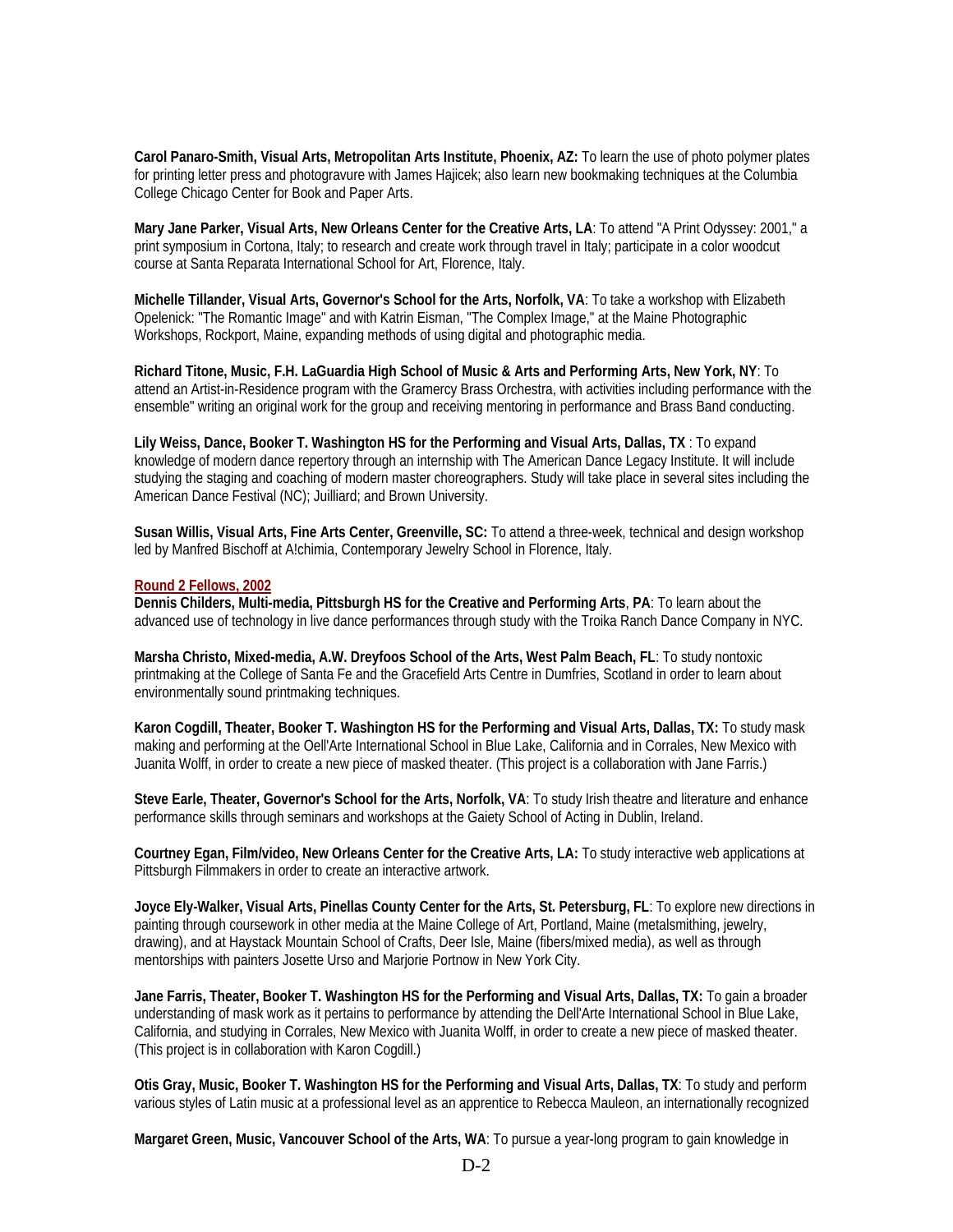**Carol Panaro-Smith, Visual Arts, Metropolitan Arts Institute, Phoenix, AZ:** To learn the use of photo polymer plates for printing letter press and photogravure with James Hajicek; also learn new bookmaking techniques at the Columbia College Chicago Center for Book and Paper Arts.

**Mary Jane Parker, Visual Arts, New Orleans Center for the Creative Arts, LA**: To attend "A Print Odyssey: 2001," a print symposium in Cortona, Italy; to research and create work through travel in Italy; participate in a color woodcut course at Santa Reparata International School for Art, Florence, Italy.

**Michelle Tillander, Visual Arts, Governor's School for the Arts, Norfolk, VA**: To take a workshop with Elizabeth Opelenick: "The Romantic Image" and with Katrin Eisman, "The Complex Image," at the Maine Photographic Workshops, Rockport, Maine, expanding methods of using digital and photographic media.

**Richard Titone, Music, F.H. LaGuardia High School of Music & Arts and Performing Arts, New York, NY**: To attend an Artist-in-Residence program with the Gramercy Brass Orchestra, with activities including performance with the ensemble" writing an original work for the group and receiving mentoring in performance and Brass Band conducting.

**Lily Weiss, Dance, Booker T. Washington HS for the Performing and Visual Arts, Dallas, TX** : To expand knowledge of modern dance repertory through an internship with The American Dance Legacy Institute. It will include studying the staging and coaching of modern master choreographers. Study will take place in several sites including the American Dance Festival (NC); Juilliard; and Brown University.

**Susan Willis, Visual Arts, Fine Arts Center, Greenville, SC:** To attend a three-week, technical and design workshop led by Manfred Bischoff at A!chimia, Contemporary Jewelry School in Florence, Italy.

#### **Round 2 Fellows, 2002**

**Dennis Childers, Multi-media, Pittsburgh HS for the Creative and Performing Arts**, **PA**: To learn about the advanced use of technology in live dance performances through study with the Troika Ranch Dance Company in NYC.

**Marsha Christo, Mixed-media, A.W. Dreyfoos School of the Arts, West Palm Beach, FL**: To study nontoxic printmaking at the College of Santa Fe and the Gracefield Arts Centre in Dumfries, Scotland in order to learn about environmentally sound printmaking techniques.

**Karon Cogdill, Theater, Booker T. Washington HS for the Performing and Visual Arts, Dallas, TX:** To study mask making and performing at the Oell'Arte International School in Blue Lake, California and in Corrales, New Mexico with Juanita Wolff, in order to create a new piece of masked theater. (This project is a collaboration with Jane Farris.)

**Steve Earle, Theater, Governor's School for the Arts, Norfolk, VA**: To study Irish theatre and literature and enhance performance skills through seminars and workshops at the Gaiety School of Acting in Dublin, Ireland.

**Courtney Egan, Film/video, New Orleans Center for the Creative Arts, LA:** To study interactive web applications at Pittsburgh Filmmakers in order to create an interactive artwork.

**Joyce Ely-Walker, Visual Arts, Pinellas County Center for the Arts, St. Petersburg, FL**: To explore new directions in painting through coursework in other media at the Maine College of Art, Portland, Maine (metalsmithing, jewelry, drawing), and at Haystack Mountain School of Crafts, Deer Isle, Maine (fibers/mixed media), as well as through mentorships with painters Josette Urso and Marjorie Portnow in New York City.

**Jane Farris, Theater, Booker T. Washington HS for the Performing and Visual Arts, Dallas, TX:** To gain a broader understanding of mask work as it pertains to performance by attending the Dell'Arte International School in Blue Lake, California, and studying in Corrales, New Mexico with Juanita Wolff, in order to create a new piece of masked theater. (This project is in collaboration with Karon Cogdill.)

**Otis Gray, Music, Booker T. Washington HS for the Performing and Visual Arts, Dallas, TX**: To study and perform various styles of Latin music at a professional level as an apprentice to Rebecca Mauleon, an internationally recognized

**Margaret Green, Music, Vancouver School of the Arts, WA**: To pursue a year-long program to gain knowledge in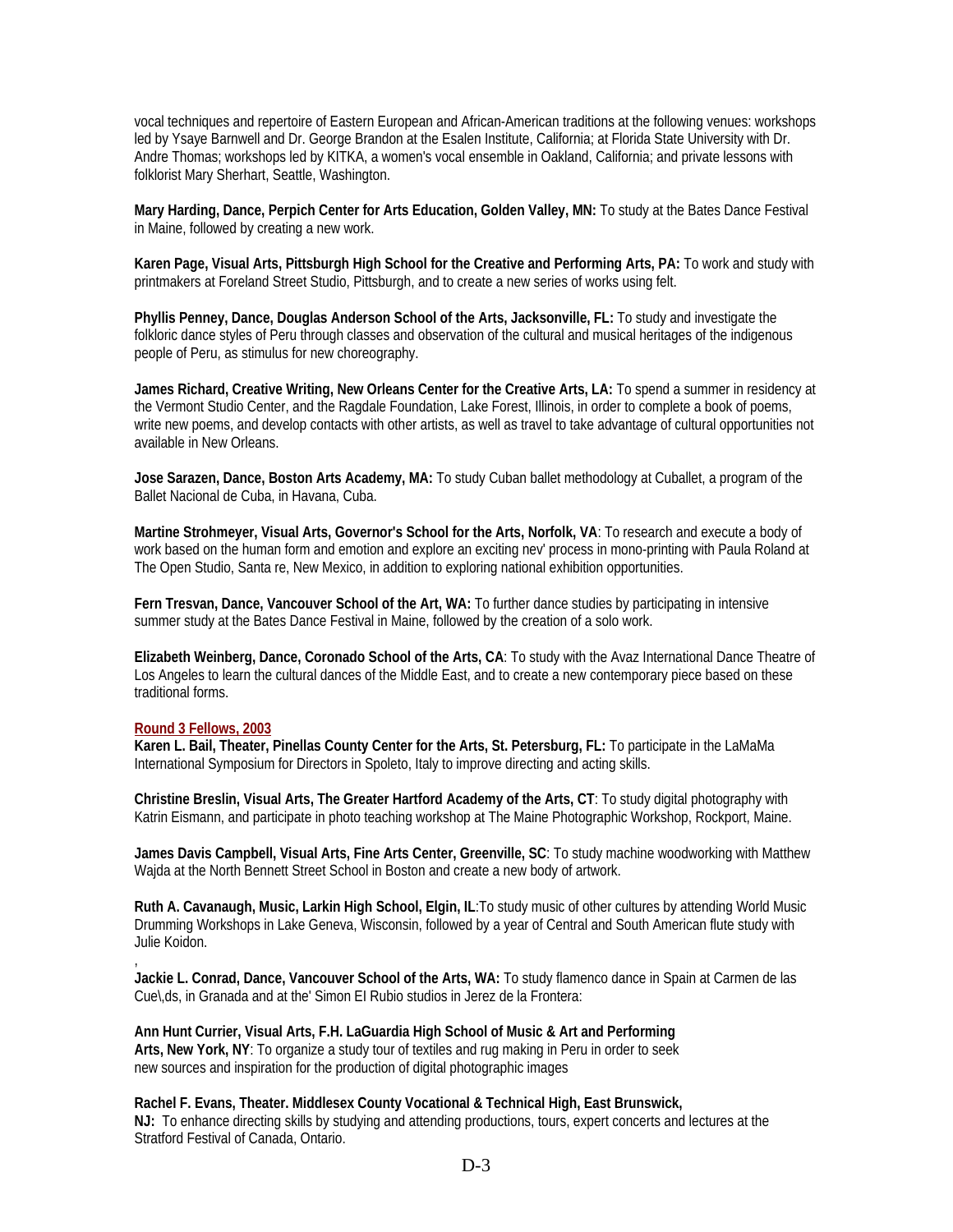vocal techniques and repertoire of Eastern European and African-American traditions at the following venues: workshops led by Ysaye Barnwell and Dr. George Brandon at the Esalen Institute, California; at Florida State University with Dr. Andre Thomas; workshops led by KITKA, a women's vocal ensemble in Oakland, California; and private lessons with folklorist Mary Sherhart, Seattle, Washington.

**Mary Harding, Dance, Perpich Center for Arts Education, Golden Valley, MN:** To study at the Bates Dance Festival in Maine, followed by creating a new work.

**Karen Page, Visual Arts, Pittsburgh High School for the Creative and Performing Arts, PA:** To work and study with printmakers at Foreland Street Studio, Pittsburgh, and to create a new series of works using felt.

**Phyllis Penney, Dance, Douglas Anderson School of the Arts, Jacksonville, FL:** To study and investigate the folkloric dance styles of Peru through classes and observation of the cultural and musical heritages of the indigenous people of Peru, as stimulus for new choreography.

**James Richard, Creative Writing, New Orleans Center for the Creative Arts, LA:** To spend a summer in residency at the Vermont Studio Center, and the Ragdale Foundation, Lake Forest, Illinois, in order to complete a book of poems, write new poems, and develop contacts with other artists, as well as travel to take advantage of cultural opportunities not available in New Orleans.

**Jose Sarazen, Dance, Boston Arts Academy, MA:** To study Cuban ballet methodology at Cuballet, a program of the Ballet Nacional de Cuba, in Havana, Cuba.

**Martine Strohmeyer, Visual Arts, Governor's School for the Arts, Norfolk, VA**: To research and execute a body of work based on the human form and emotion and explore an exciting nev' process in mono-printing with Paula Roland at The Open Studio, Santa re, New Mexico, in addition to exploring national exhibition opportunities.

**Fern Tresvan, Dance, Vancouver School of the Art, WA:** To further dance studies by participating in intensive summer study at the Bates Dance Festival in Maine, followed by the creation of a solo work.

**Elizabeth Weinberg, Dance, Coronado School of the Arts, CA**: To study with the Avaz International Dance Theatre of Los Angeles to learn the cultural dances of the Middle East, and to create a new contemporary piece based on these traditional forms.

#### **Round 3 Fellows, 2003**

,

**Karen L. Bail, Theater, Pinellas County Center for the Arts, St. Petersburg, FL:** To participate in the LaMaMa International Symposium for Directors in Spoleto, Italy to improve directing and acting skills.

**Christine Breslin, Visual Arts, The Greater Hartford Academy of the Arts, CT**: To study digital photography with Katrin Eismann, and participate in photo teaching workshop at The Maine Photographic Workshop, Rockport, Maine.

**James Davis Campbell, Visual Arts, Fine Arts Center, Greenville, SC**: To study machine woodworking with Matthew Wajda at the North Bennett Street School in Boston and create a new body of artwork.

**Ruth A. Cavanaugh, Music, Larkin High School, Elgin, IL**:To study music of other cultures by attending World Music Drumming Workshops in Lake Geneva, Wisconsin, followed by a year of Central and South American flute study with Julie Koidon.

**Jackie L. Conrad, Dance, Vancouver School of the Arts, WA:** To study flamenco dance in Spain at Carmen de las Cue\,ds, in Granada and at the' Simon EI Rubio studios in Jerez de la Frontera:

**Ann Hunt Currier, Visual Arts, F.H. LaGuardia High School of Music & Art and Performing Arts, New York, NY**: To organize a study tour of textiles and rug making in Peru in order to seek new sources and inspiration for the production of digital photographic images

**Rachel F. Evans, Theater. Middlesex County Vocational & Technical High, East Brunswick, NJ:** To enhance directing skills by studying and attending productions, tours, expert concerts and lectures at the Stratford Festival of Canada, Ontario.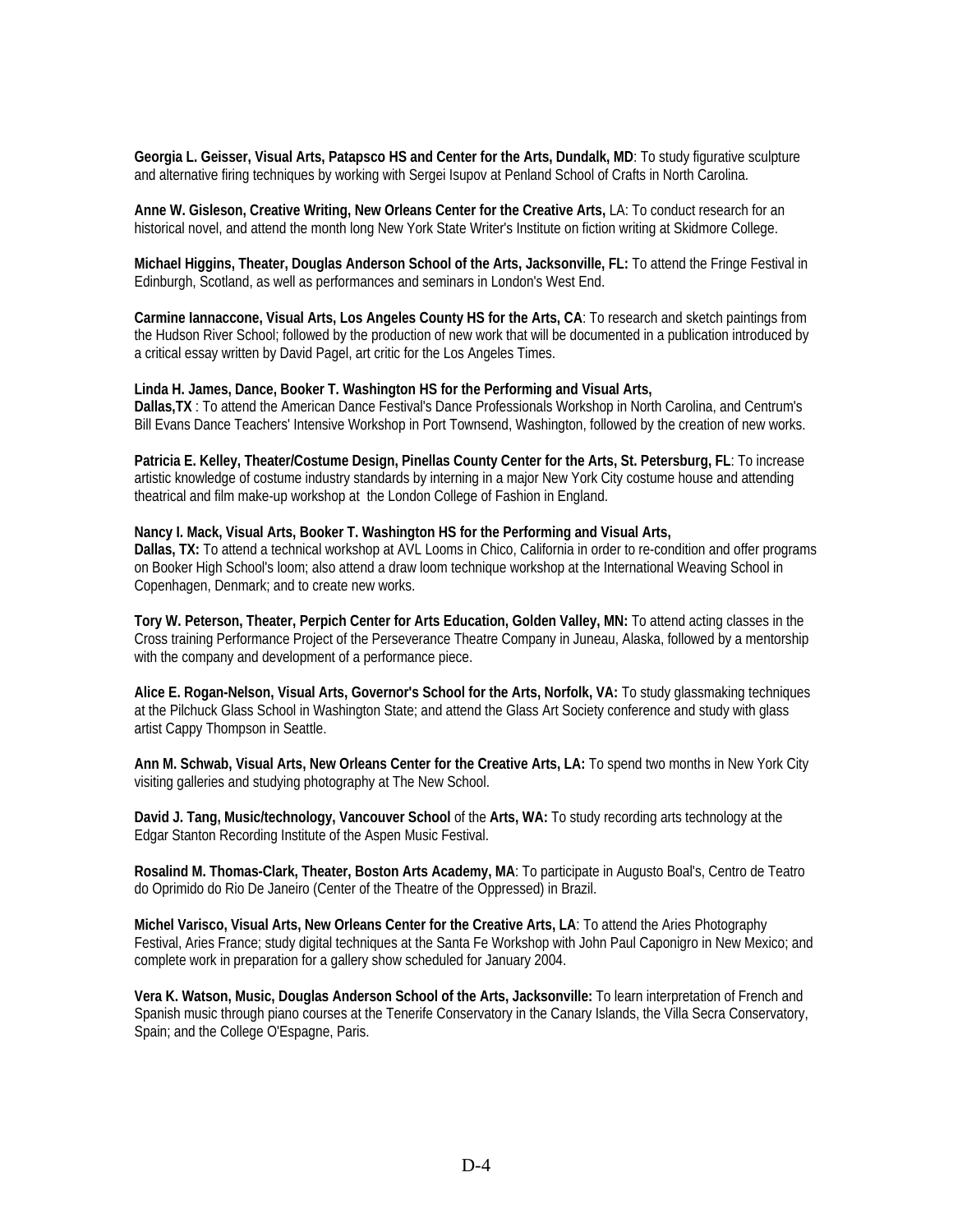**Georgia L. Geisser, Visual Arts, Patapsco HS and Center for the Arts, Dundalk, MD**: To study figurative sculpture and alternative firing techniques by working with Sergei Isupov at Penland School of Crafts in North Carolina.

**Anne W. Gisleson, Creative Writing, New Orleans Center for the Creative Arts,** LA: To conduct research for an historical novel, and attend the month long New York State Writer's Institute on fiction writing at Skidmore College.

**Michael Higgins, Theater, Douglas Anderson School of the Arts, Jacksonville, FL:** To attend the Fringe Festival in Edinburgh, Scotland, as well as performances and seminars in London's West End.

**Carmine Iannaccone, Visual Arts, Los Angeles County HS for the Arts, CA**: To research and sketch paintings from the Hudson River School; followed by the production of new work that will be documented in a publication introduced by a critical essay written by David Pagel, art critic for the Los Angeles Times.

#### **Linda H. James, Dance, Booker T. Washington HS for the Performing and Visual Arts,**

**Dallas,TX** : To attend the American Dance Festival's Dance Professionals Workshop in North Carolina, and Centrum's Bill Evans Dance Teachers' Intensive Workshop in Port Townsend, Washington, followed by the creation of new works.

**Patricia E. Kelley, Theater/Costume Design, Pinellas County Center for the Arts, St. Petersburg, FL**: To increase artistic knowledge of costume industry standards by interning in a major New York City costume house and attending theatrical and film make-up workshop at the London College of Fashion in England.

#### **Nancy I. Mack, Visual Arts, Booker T. Washington HS for the Performing and Visual Arts,**

**Dallas, TX:** To attend a technical workshop at AVL Looms in Chico, California in order to re-condition and offer programs on Booker High School's loom; also attend a draw loom technique workshop at the International Weaving School in Copenhagen, Denmark; and to create new works.

**Tory W. Peterson, Theater, Perpich Center for Arts Education, Golden Valley, MN:** To attend acting classes in the Cross training Performance Project of the Perseverance Theatre Company in Juneau, Alaska, followed by a mentorship with the company and development of a performance piece.

**Alice E. Rogan-Nelson, Visual Arts, Governor's School for the Arts, Norfolk, VA:** To study glassmaking techniques at the Pilchuck Glass School in Washington State; and attend the Glass Art Society conference and study with glass artist Cappy Thompson in Seattle.

**Ann M. Schwab, Visual Arts, New Orleans Center for the Creative Arts, LA:** To spend two months in New York City visiting galleries and studying photography at The New School.

**David J. Tang, Music/technology, Vancouver School** of the **Arts, WA:** To study recording arts technology at the Edgar Stanton Recording Institute of the Aspen Music Festival.

**Rosalind M. Thomas-Clark, Theater, Boston Arts Academy, MA**: To participate in Augusto Boal's, Centro de Teatro do Oprimido do Rio De Janeiro (Center of the Theatre of the Oppressed) in Brazil.

**Michel Varisco, Visual Arts, New Orleans Center for the Creative Arts, LA**: To attend the Aries Photography Festival, Aries France; study digital techniques at the Santa Fe Workshop with John Paul Caponigro in New Mexico; and complete work in preparation for a gallery show scheduled for January 2004.

**Vera K. Watson, Music, Douglas Anderson School of the Arts, Jacksonville:** To learn interpretation of French and Spanish music through piano courses at the Tenerife Conservatory in the Canary Islands, the Villa Secra Conservatory, Spain; and the College O'Espagne, Paris.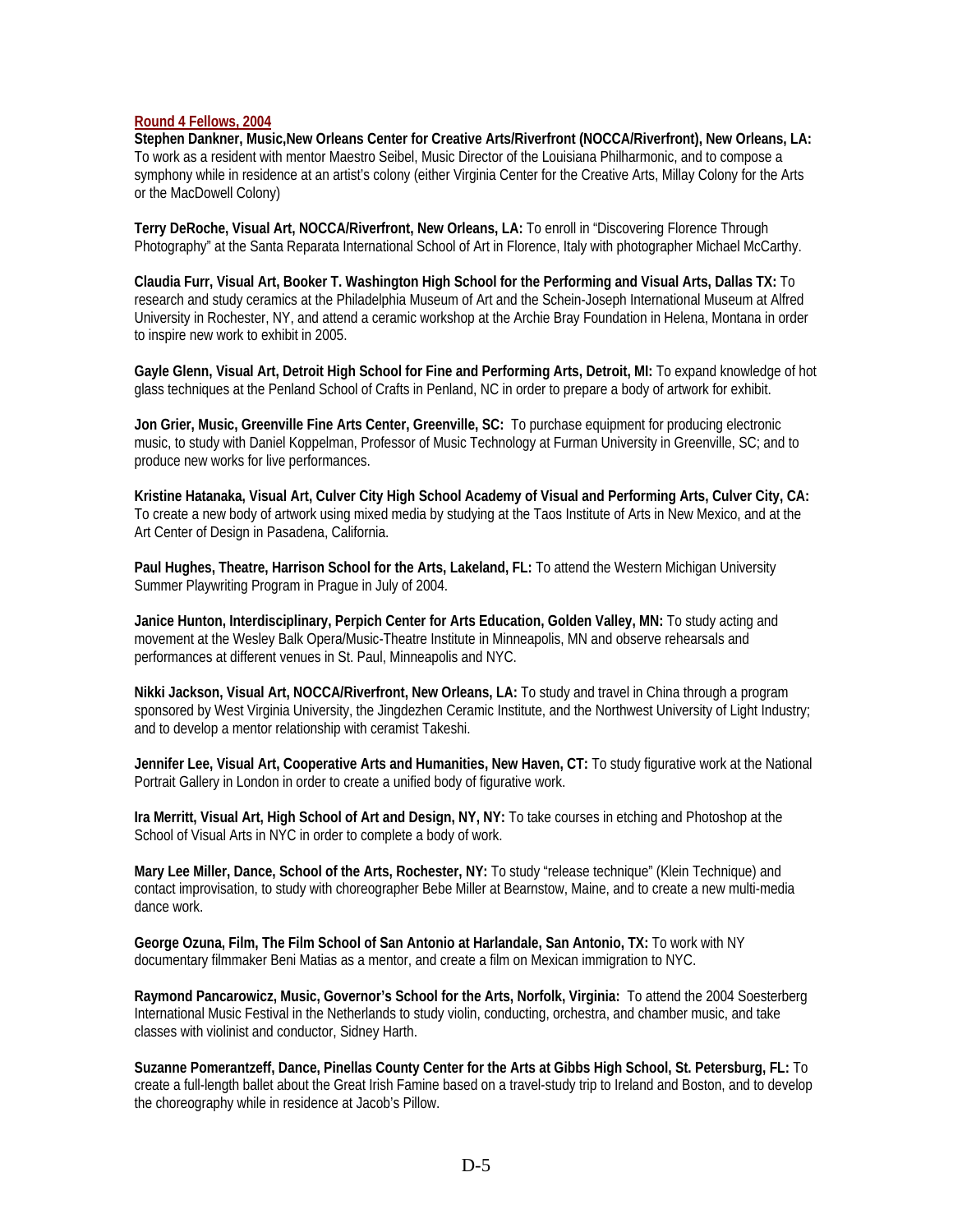#### **Round 4 Fellows, 2004**

**Stephen Dankner, Music,New Orleans Center for Creative Arts/Riverfront (NOCCA/Riverfront), New Orleans, LA:**  To work as a resident with mentor Maestro Seibel, Music Director of the Louisiana Philharmonic, and to compose a symphony while in residence at an artist's colony (either Virginia Center for the Creative Arts, Millay Colony for the Arts or the MacDowell Colony)

**Terry DeRoche, Visual Art, NOCCA/Riverfront, New Orleans, LA:** To enroll in "Discovering Florence Through Photography" at the Santa Reparata International School of Art in Florence, Italy with photographer Michael McCarthy.

**Claudia Furr, Visual Art, Booker T. Washington High School for the Performing and Visual Arts, Dallas TX:** To research and study ceramics at the Philadelphia Museum of Art and the Schein-Joseph International Museum at Alfred University in Rochester, NY, and attend a ceramic workshop at the Archie Bray Foundation in Helena, Montana in order to inspire new work to exhibit in 2005.

**Gayle Glenn, Visual Art, Detroit High School for Fine and Performing Arts, Detroit, MI:** To expand knowledge of hot glass techniques at the Penland School of Crafts in Penland, NC in order to prepare a body of artwork for exhibit.

**Jon Grier, Music, Greenville Fine Arts Center, Greenville, SC:** To purchase equipment for producing electronic music, to study with Daniel Koppelman, Professor of Music Technology at Furman University in Greenville, SC; and to produce new works for live performances.

**Kristine Hatanaka, Visual Art, Culver City High School Academy of Visual and Performing Arts, Culver City, CA:**  To create a new body of artwork using mixed media by studying at the Taos Institute of Arts in New Mexico, and at the Art Center of Design in Pasadena, California.

**Paul Hughes, Theatre, Harrison School for the Arts, Lakeland, FL:** To attend the Western Michigan University Summer Playwriting Program in Prague in July of 2004.

**Janice Hunton, Interdisciplinary, Perpich Center for Arts Education, Golden Valley, MN:** To study acting and movement at the Wesley Balk Opera/Music-Theatre Institute in Minneapolis, MN and observe rehearsals and performances at different venues in St. Paul, Minneapolis and NYC.

**Nikki Jackson, Visual Art, NOCCA/Riverfront, New Orleans, LA:** To study and travel in China through a program sponsored by West Virginia University, the Jingdezhen Ceramic Institute, and the Northwest University of Light Industry; and to develop a mentor relationship with ceramist Takeshi.

**Jennifer Lee, Visual Art, Cooperative Arts and Humanities, New Haven, CT:** To study figurative work at the National Portrait Gallery in London in order to create a unified body of figurative work.

**Ira Merritt, Visual Art, High School of Art and Design, NY, NY:** To take courses in etching and Photoshop at the School of Visual Arts in NYC in order to complete a body of work.

**Mary Lee Miller, Dance, School of the Arts, Rochester, NY:** To study "release technique" (Klein Technique) and contact improvisation, to study with choreographer Bebe Miller at Bearnstow, Maine, and to create a new multi-media dance work.

**George Ozuna, Film, The Film School of San Antonio at Harlandale, San Antonio, TX:** To work with NY documentary filmmaker Beni Matias as a mentor, and create a film on Mexican immigration to NYC.

**Raymond Pancarowicz, Music, Governor's School for the Arts, Norfolk, Virginia:** To attend the 2004 Soesterberg International Music Festival in the Netherlands to study violin, conducting, orchestra, and chamber music, and take classes with violinist and conductor, Sidney Harth.

**Suzanne Pomerantzeff, Dance, Pinellas County Center for the Arts at Gibbs High School, St. Petersburg, FL:** To create a full-length ballet about the Great Irish Famine based on a travel-study trip to Ireland and Boston, and to develop the choreography while in residence at Jacob's Pillow.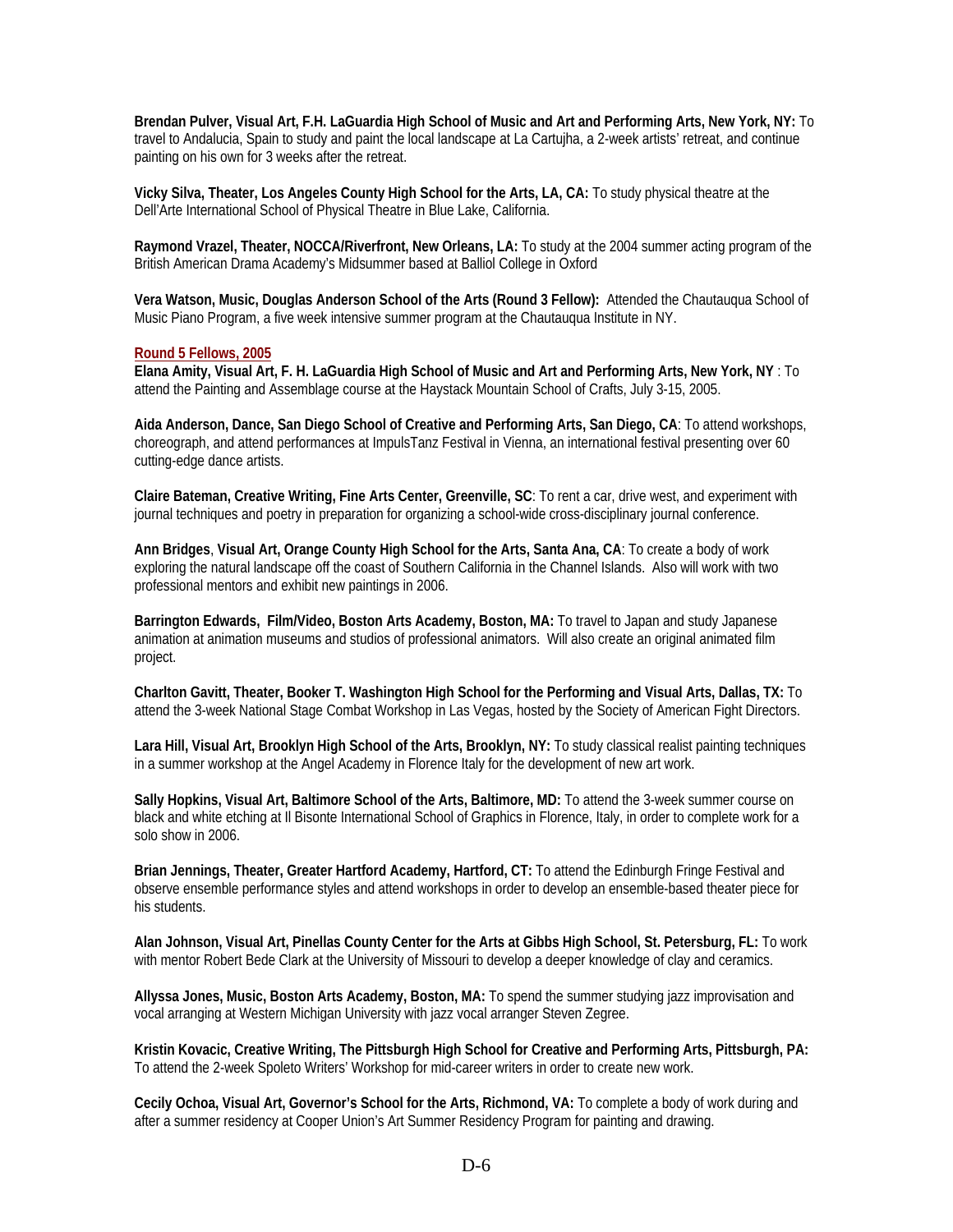**Brendan Pulver, Visual Art, F.H. LaGuardia High School of Music and Art and Performing Arts, New York, NY:** To travel to Andalucia, Spain to study and paint the local landscape at La Cartujha, a 2-week artists' retreat, and continue painting on his own for 3 weeks after the retreat.

**Vicky Silva, Theater, Los Angeles County High School for the Arts, LA, CA:** To study physical theatre at the Dell'Arte International School of Physical Theatre in Blue Lake, California.

**Raymond Vrazel, Theater, NOCCA/Riverfront, New Orleans, LA:** To study at the 2004 summer acting program of the British American Drama Academy's Midsummer based at Balliol College in Oxford

**Vera Watson, Music, Douglas Anderson School of the Arts (Round 3 Fellow):** Attended the Chautauqua School of Music Piano Program, a five week intensive summer program at the Chautauqua Institute in NY.

#### **Round 5 Fellows, 2005**

**Elana Amity, Visual Art, F. H. LaGuardia High School of Music and Art and Performing Arts, New York, NY** : To attend the Painting and Assemblage course at the Haystack Mountain School of Crafts, July 3-15, 2005.

**Aida Anderson, Dance, San Diego School of Creative and Performing Arts, San Diego, CA**: To attend workshops, choreograph, and attend performances at ImpulsTanz Festival in Vienna, an international festival presenting over 60 cutting-edge dance artists.

**Claire Bateman, Creative Writing, Fine Arts Center, Greenville, SC**: To rent a car, drive west, and experiment with journal techniques and poetry in preparation for organizing a school-wide cross-disciplinary journal conference.

**Ann Bridges**, **Visual Art, Orange County High School for the Arts, Santa Ana, CA**: To create a body of work exploring the natural landscape off the coast of Southern California in the Channel Islands. Also will work with two professional mentors and exhibit new paintings in 2006.

**Barrington Edwards, Film/Video, Boston Arts Academy, Boston, MA:** To travel to Japan and study Japanese animation at animation museums and studios of professional animators. Will also create an original animated film project.

**Charlton Gavitt, Theater, Booker T. Washington High School for the Performing and Visual Arts, Dallas, TX:** To attend the 3-week National Stage Combat Workshop in Las Vegas, hosted by the Society of American Fight Directors.

**Lara Hill, Visual Art, Brooklyn High School of the Arts, Brooklyn, NY:** To study classical realist painting techniques in a summer workshop at the Angel Academy in Florence Italy for the development of new art work.

**Sally Hopkins, Visual Art, Baltimore School of the Arts, Baltimore, MD:** To attend the 3-week summer course on black and white etching at Il Bisonte International School of Graphics in Florence, Italy, in order to complete work for a solo show in 2006.

**Brian Jennings, Theater, Greater Hartford Academy, Hartford, CT:** To attend the Edinburgh Fringe Festival and observe ensemble performance styles and attend workshops in order to develop an ensemble-based theater piece for his students.

**Alan Johnson, Visual Art, Pinellas County Center for the Arts at Gibbs High School, St. Petersburg, FL:** To work with mentor Robert Bede Clark at the University of Missouri to develop a deeper knowledge of clay and ceramics.

**Allyssa Jones, Music, Boston Arts Academy, Boston, MA:** To spend the summer studying jazz improvisation and vocal arranging at Western Michigan University with jazz vocal arranger Steven Zegree.

**Kristin Kovacic, Creative Writing, The Pittsburgh High School for Creative and Performing Arts, Pittsburgh, PA:**  To attend the 2-week Spoleto Writers' Workshop for mid-career writers in order to create new work.

**Cecily Ochoa, Visual Art, Governor's School for the Arts, Richmond, VA:** To complete a body of work during and after a summer residency at Cooper Union's Art Summer Residency Program for painting and drawing.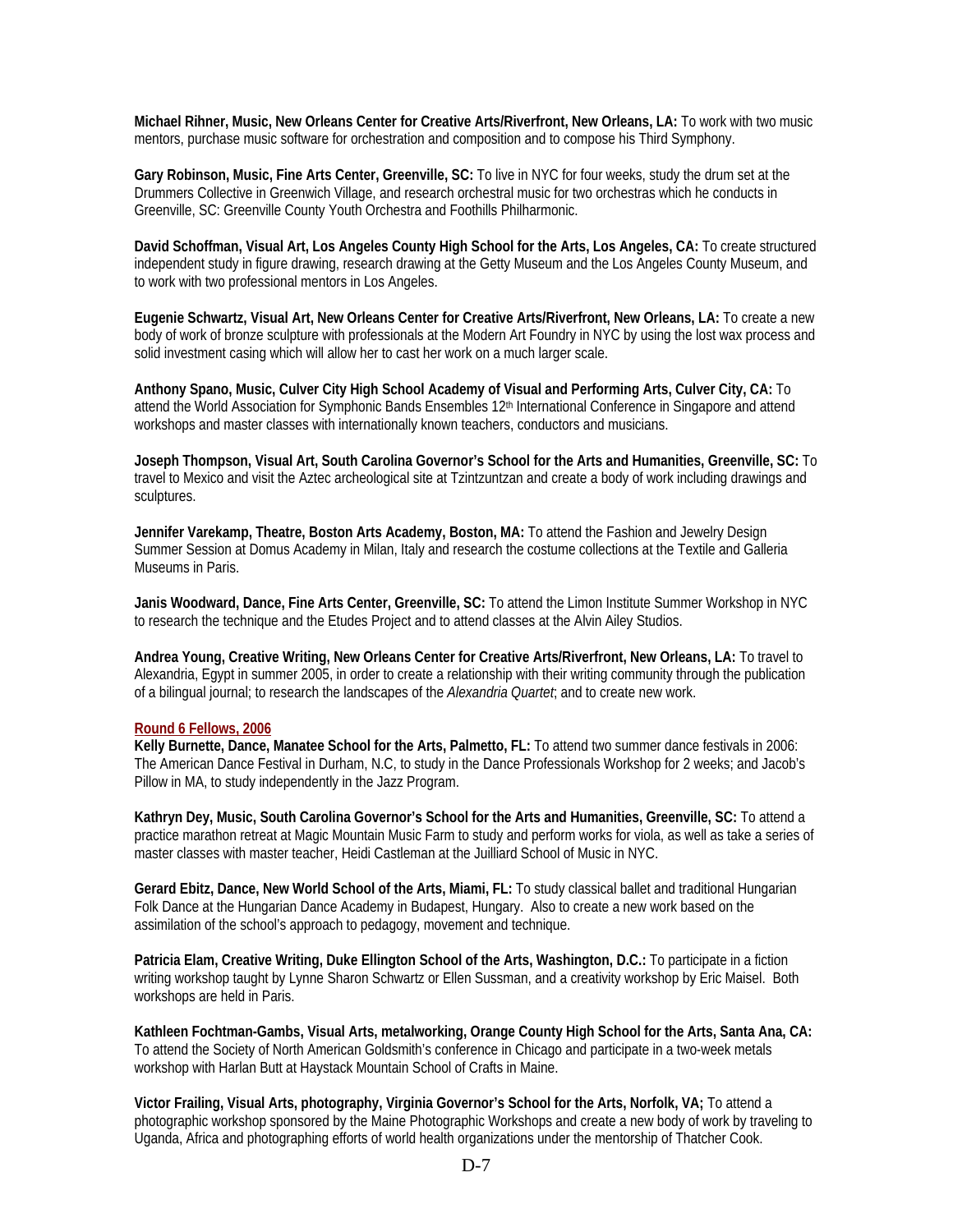**Michael Rihner, Music, New Orleans Center for Creative Arts/Riverfront, New Orleans, LA:** To work with two music mentors, purchase music software for orchestration and composition and to compose his Third Symphony.

**Gary Robinson, Music, Fine Arts Center, Greenville, SC:** To live in NYC for four weeks, study the drum set at the Drummers Collective in Greenwich Village, and research orchestral music for two orchestras which he conducts in Greenville, SC: Greenville County Youth Orchestra and Foothills Philharmonic.

**David Schoffman, Visual Art, Los Angeles County High School for the Arts, Los Angeles, CA:** To create structured independent study in figure drawing, research drawing at the Getty Museum and the Los Angeles County Museum, and to work with two professional mentors in Los Angeles.

**Eugenie Schwartz, Visual Art, New Orleans Center for Creative Arts/Riverfront, New Orleans, LA:** To create a new body of work of bronze sculpture with professionals at the Modern Art Foundry in NYC by using the lost wax process and solid investment casing which will allow her to cast her work on a much larger scale.

**Anthony Spano, Music, Culver City High School Academy of Visual and Performing Arts, Culver City, CA:** To attend the World Association for Symphonic Bands Ensembles 12<sup>th</sup> International Conference in Singapore and attend workshops and master classes with internationally known teachers, conductors and musicians.

**Joseph Thompson, Visual Art, South Carolina Governor's School for the Arts and Humanities, Greenville, SC:** To travel to Mexico and visit the Aztec archeological site at Tzintzuntzan and create a body of work including drawings and sculptures.

**Jennifer Varekamp, Theatre, Boston Arts Academy, Boston, MA:** To attend the Fashion and Jewelry Design Summer Session at Domus Academy in Milan, Italy and research the costume collections at the Textile and Galleria Museums in Paris.

**Janis Woodward, Dance, Fine Arts Center, Greenville, SC:** To attend the Limon Institute Summer Workshop in NYC to research the technique and the Etudes Project and to attend classes at the Alvin Ailey Studios.

**Andrea Young, Creative Writing, New Orleans Center for Creative Arts/Riverfront, New Orleans, LA:** To travel to Alexandria, Egypt in summer 2005, in order to create a relationship with their writing community through the publication of a bilingual journal; to research the landscapes of the *Alexandria Quartet*; and to create new work.

#### **Round 6 Fellows, 2006**

**Kelly Burnette, Dance, Manatee School for the Arts, Palmetto, FL:** To attend two summer dance festivals in 2006: The American Dance Festival in Durham, N.C, to study in the Dance Professionals Workshop for 2 weeks; and Jacob's Pillow in MA, to study independently in the Jazz Program.

**Kathryn Dey, Music, South Carolina Governor's School for the Arts and Humanities, Greenville, SC:** To attend a practice marathon retreat at Magic Mountain Music Farm to study and perform works for viola, as well as take a series of master classes with master teacher, Heidi Castleman at the Juilliard School of Music in NYC.

**Gerard Ebitz, Dance, New World School of the Arts, Miami, FL:** To study classical ballet and traditional Hungarian Folk Dance at the Hungarian Dance Academy in Budapest, Hungary. Also to create a new work based on the assimilation of the school's approach to pedagogy, movement and technique.

**Patricia Elam, Creative Writing, Duke Ellington School of the Arts, Washington, D.C.:** To participate in a fiction writing workshop taught by Lynne Sharon Schwartz or Ellen Sussman, and a creativity workshop by Eric Maisel. Both workshops are held in Paris.

**Kathleen Fochtman-Gambs, Visual Arts, metalworking, Orange County High School for the Arts, Santa Ana, CA:**  To attend the Society of North American Goldsmith's conference in Chicago and participate in a two-week metals workshop with Harlan Butt at Haystack Mountain School of Crafts in Maine.

**Victor Frailing, Visual Arts, photography, Virginia Governor's School for the Arts, Norfolk, VA;** To attend a photographic workshop sponsored by the Maine Photographic Workshops and create a new body of work by traveling to Uganda, Africa and photographing efforts of world health organizations under the mentorship of Thatcher Cook.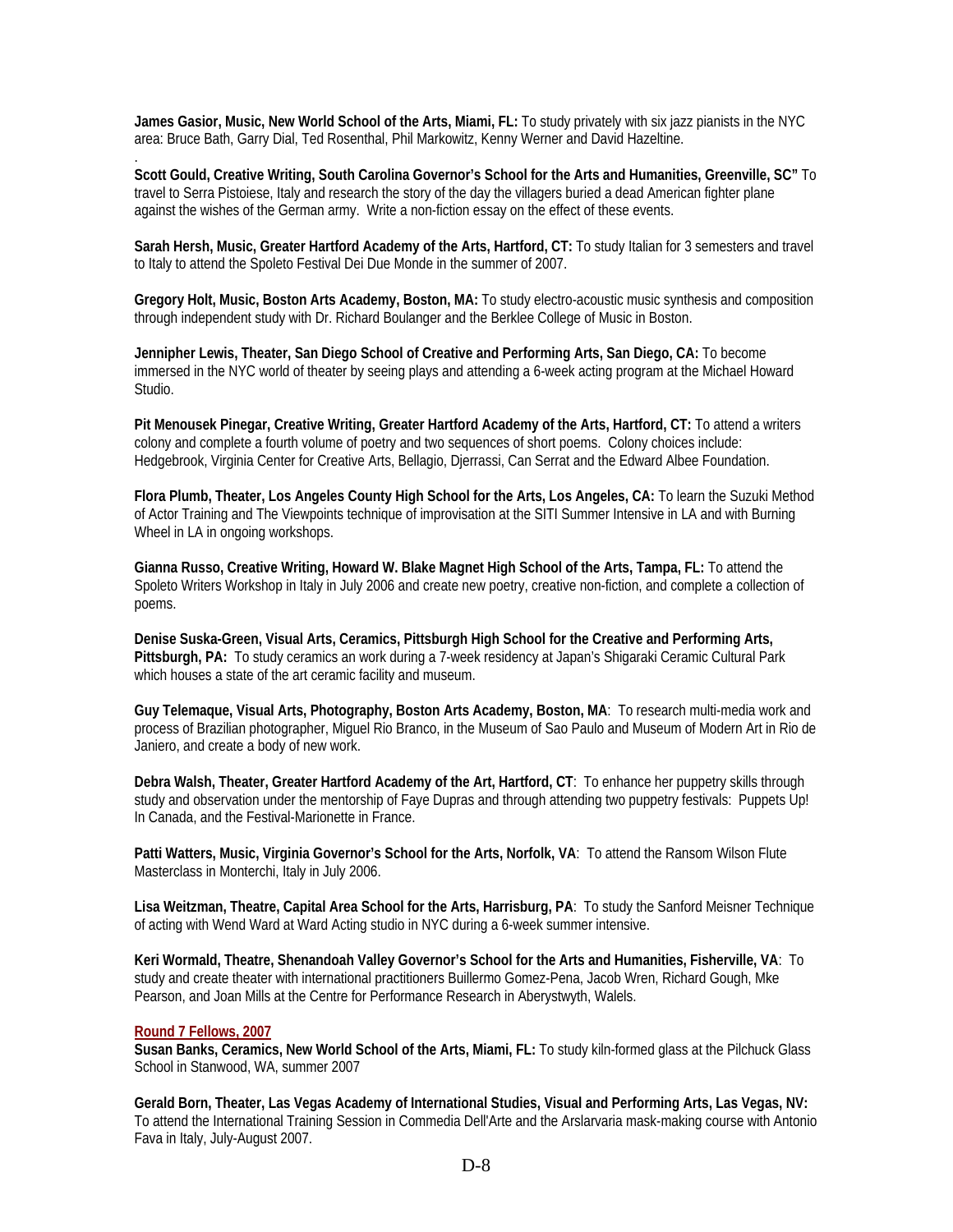**James Gasior, Music, New World School of the Arts, Miami, FL:** To study privately with six jazz pianists in the NYC area: Bruce Bath, Garry Dial, Ted Rosenthal, Phil Markowitz, Kenny Werner and David Hazeltine.

**Scott Gould, Creative Writing, South Carolina Governor's School for the Arts and Humanities, Greenville, SC"** To travel to Serra Pistoiese, Italy and research the story of the day the villagers buried a dead American fighter plane against the wishes of the German army. Write a non-fiction essay on the effect of these events.

**Sarah Hersh, Music, Greater Hartford Academy of the Arts, Hartford, CT:** To study Italian for 3 semesters and travel to Italy to attend the Spoleto Festival Dei Due Monde in the summer of 2007.

**Gregory Holt, Music, Boston Arts Academy, Boston, MA:** To study electro-acoustic music synthesis and composition through independent study with Dr. Richard Boulanger and the Berklee College of Music in Boston.

**Jennipher Lewis, Theater, San Diego School of Creative and Performing Arts, San Diego, CA:** To become immersed in the NYC world of theater by seeing plays and attending a 6-week acting program at the Michael Howard Studio.

**Pit Menousek Pinegar, Creative Writing, Greater Hartford Academy of the Arts, Hartford, CT:** To attend a writers colony and complete a fourth volume of poetry and two sequences of short poems. Colony choices include: Hedgebrook, Virginia Center for Creative Arts, Bellagio, Djerrassi, Can Serrat and the Edward Albee Foundation.

**Flora Plumb, Theater, Los Angeles County High School for the Arts, Los Angeles, CA:** To learn the Suzuki Method of Actor Training and The Viewpoints technique of improvisation at the SITI Summer Intensive in LA and with Burning Wheel in LA in ongoing workshops.

**Gianna Russo, Creative Writing, Howard W. Blake Magnet High School of the Arts, Tampa, FL:** To attend the Spoleto Writers Workshop in Italy in July 2006 and create new poetry, creative non-fiction, and complete a collection of poems.

**Denise Suska-Green, Visual Arts, Ceramics, Pittsburgh High School for the Creative and Performing Arts, Pittsburgh, PA:** To study ceramics an work during a 7-week residency at Japan's Shigaraki Ceramic Cultural Park which houses a state of the art ceramic facility and museum.

**Guy Telemaque, Visual Arts, Photography, Boston Arts Academy, Boston, MA**: To research multi-media work and process of Brazilian photographer, Miguel Rio Branco, in the Museum of Sao Paulo and Museum of Modern Art in Rio de Janiero, and create a body of new work.

**Debra Walsh, Theater, Greater Hartford Academy of the Art, Hartford, CT**: To enhance her puppetry skills through study and observation under the mentorship of Faye Dupras and through attending two puppetry festivals: Puppets Up! In Canada, and the Festival-Marionette in France.

**Patti Watters, Music, Virginia Governor's School for the Arts, Norfolk, VA**: To attend the Ransom Wilson Flute Masterclass in Monterchi, Italy in July 2006.

**Lisa Weitzman, Theatre, Capital Area School for the Arts, Harrisburg, PA**: To study the Sanford Meisner Technique of acting with Wend Ward at Ward Acting studio in NYC during a 6-week summer intensive.

**Keri Wormald, Theatre, Shenandoah Valley Governor's School for the Arts and Humanities, Fisherville, VA**: To study and create theater with international practitioners Buillermo Gomez-Pena, Jacob Wren, Richard Gough, Mke Pearson, and Joan Mills at the Centre for Performance Research in Aberystwyth, Walels.

#### **Round 7 Fellows, 2007**

.

**Susan Banks, Ceramics, New World School of the Arts, Miami, FL:** To study kiln-formed glass at the Pilchuck Glass School in Stanwood, WA, summer 2007

**Gerald Born, Theater, Las Vegas Academy of International Studies, Visual and Performing Arts, Las Vegas, NV:**  To attend the International Training Session in Commedia Dell'Arte and the Arslarvaria mask-making course with Antonio Fava in Italy, July-August 2007.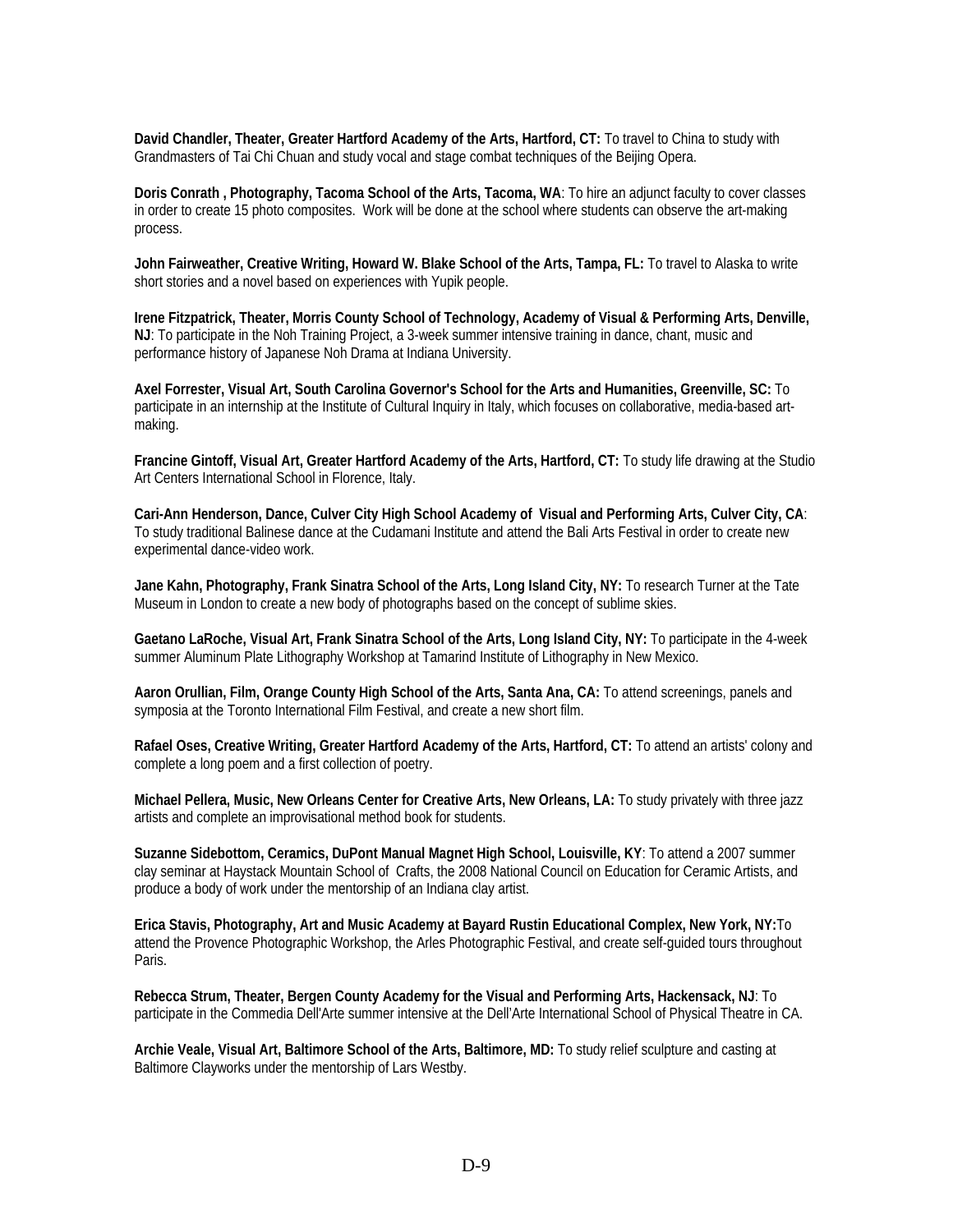**David Chandler, Theater, Greater Hartford Academy of the Arts, Hartford, CT:** To travel to China to study with Grandmasters of Tai Chi Chuan and study vocal and stage combat techniques of the Beijing Opera.

**Doris Conrath , Photography, Tacoma School of the Arts, Tacoma, WA**: To hire an adjunct faculty to cover classes in order to create 15 photo composites. Work will be done at the school where students can observe the art-making process.

**John Fairweather, Creative Writing, Howard W. Blake School of the Arts, Tampa, FL:** To travel to Alaska to write short stories and a novel based on experiences with Yupik people.

**Irene Fitzpatrick, Theater, Morris County School of Technology, Academy of Visual & Performing Arts, Denville, NJ**: To participate in the Noh Training Project, a 3-week summer intensive training in dance, chant, music and performance history of Japanese Noh Drama at Indiana University.

**Axel Forrester, Visual Art, South Carolina Governor's School for the Arts and Humanities, Greenville, SC:** To participate in an internship at the Institute of Cultural Inquiry in Italy, which focuses on collaborative, media-based artmaking.

**Francine Gintoff, Visual Art, Greater Hartford Academy of the Arts, Hartford, CT:** To study life drawing at the Studio Art Centers International School in Florence, Italy.

**Cari-Ann Henderson, Dance, Culver City High School Academy of Visual and Performing Arts, Culver City, CA**: To study traditional Balinese dance at the Cudamani Institute and attend the Bali Arts Festival in order to create new experimental dance-video work.

**Jane Kahn, Photography, Frank Sinatra School of the Arts, Long Island City, NY:** To research Turner at the Tate Museum in London to create a new body of photographs based on the concept of sublime skies.

**Gaetano LaRoche, Visual Art, Frank Sinatra School of the Arts, Long Island City, NY:** To participate in the 4-week summer Aluminum Plate Lithography Workshop at Tamarind Institute of Lithography in New Mexico.

**Aaron Orullian, Film, Orange County High School of the Arts, Santa Ana, CA:** To attend screenings, panels and symposia at the Toronto International Film Festival, and create a new short film.

**Rafael Oses, Creative Writing, Greater Hartford Academy of the Arts, Hartford, CT:** To attend an artists' colony and complete a long poem and a first collection of poetry.

**Michael Pellera, Music, New Orleans Center for Creative Arts, New Orleans, LA:** To study privately with three jazz artists and complete an improvisational method book for students.

**Suzanne Sidebottom, Ceramics, DuPont Manual Magnet High School, Louisville, KY**: To attend a 2007 summer clay seminar at Haystack Mountain School of Crafts, the 2008 National Council on Education for Ceramic Artists, and produce a body of work under the mentorship of an Indiana clay artist.

**Erica Stavis, Photography, Art and Music Academy at Bayard Rustin Educational Complex, New York, NY:**To attend the Provence Photographic Workshop, the Arles Photographic Festival, and create self-guided tours throughout Paris.

**Rebecca Strum, Theater, Bergen County Academy for the Visual and Performing Arts, Hackensack, NJ**: To participate in the Commedia Dell'Arte summer intensive at the Dell'Arte International School of Physical Theatre in CA.

**Archie Veale, Visual Art, Baltimore School of the Arts, Baltimore, MD:** To study relief sculpture and casting at Baltimore Clayworks under the mentorship of Lars Westby.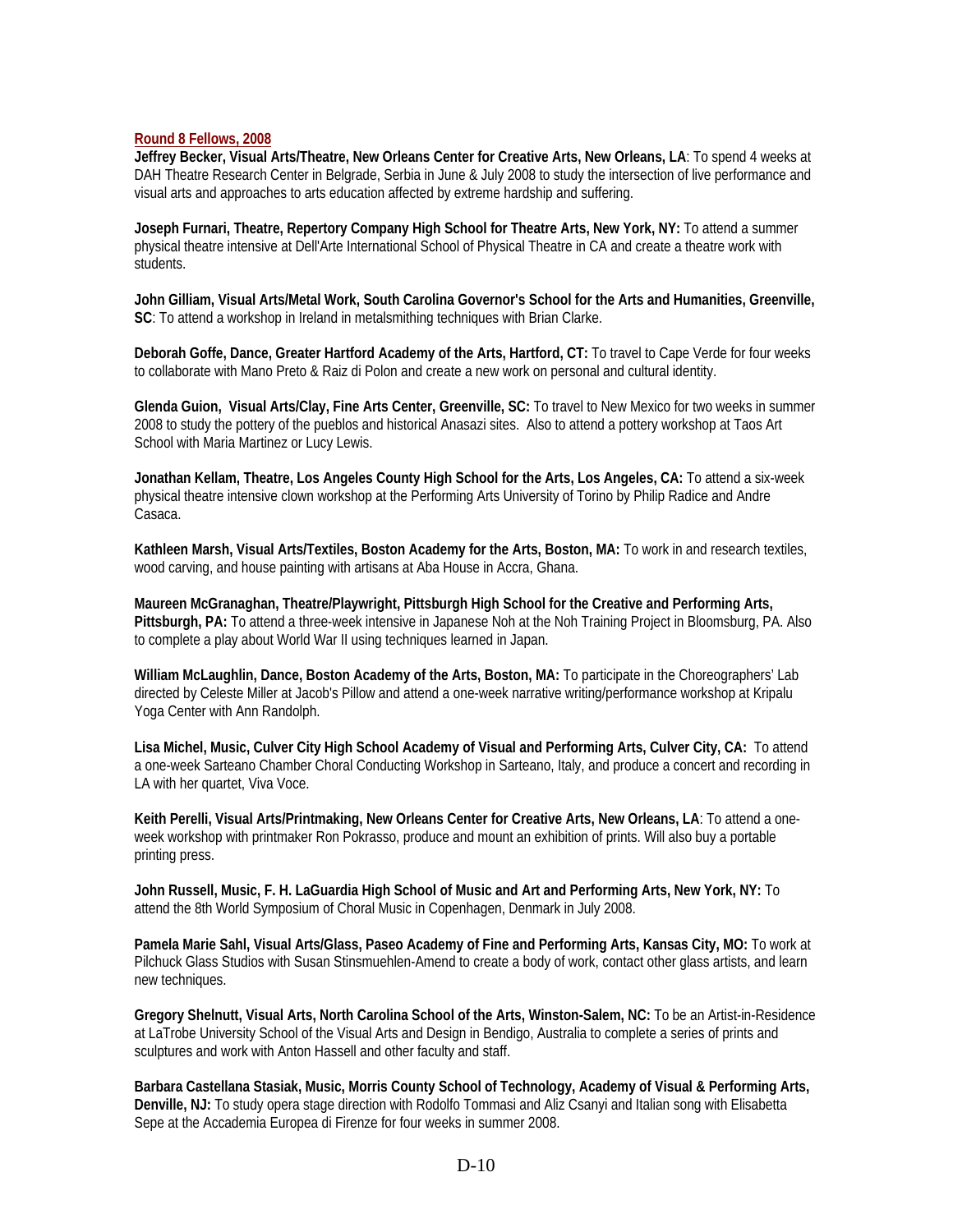#### **Round 8 Fellows, 2008**

**Jeffrey Becker, Visual Arts/Theatre, New Orleans Center for Creative Arts, New Orleans, LA**: To spend 4 weeks at DAH Theatre Research Center in Belgrade, Serbia in June & July 2008 to study the intersection of live performance and visual arts and approaches to arts education affected by extreme hardship and suffering.

**Joseph Furnari, Theatre, Repertory Company High School for Theatre Arts, New York, NY:** To attend a summer physical theatre intensive at Dell'Arte International School of Physical Theatre in CA and create a theatre work with students.

**John Gilliam, Visual Arts/Metal Work, South Carolina Governor's School for the Arts and Humanities, Greenville, SC**: To attend a workshop in Ireland in metalsmithing techniques with Brian Clarke.

**Deborah Goffe, Dance, Greater Hartford Academy of the Arts, Hartford, CT:** To travel to Cape Verde for four weeks to collaborate with Mano Preto & Raiz di Polon and create a new work on personal and cultural identity.

**Glenda Guion, Visual Arts/Clay, Fine Arts Center, Greenville, SC:** To travel to New Mexico for two weeks in summer 2008 to study the pottery of the pueblos and historical Anasazi sites. Also to attend a pottery workshop at Taos Art School with Maria Martinez or Lucy Lewis.

**Jonathan Kellam, Theatre, Los Angeles County High School for the Arts, Los Angeles, CA:** To attend a six-week physical theatre intensive clown workshop at the Performing Arts University of Torino by Philip Radice and Andre Casaca.

**Kathleen Marsh, Visual Arts/Textiles, Boston Academy for the Arts, Boston, MA:** To work in and research textiles, wood carving, and house painting with artisans at Aba House in Accra, Ghana.

**Maureen McGranaghan, Theatre/Playwright, Pittsburgh High School for the Creative and Performing Arts, Pittsburgh, PA:** To attend a three-week intensive in Japanese Noh at the Noh Training Project in Bloomsburg, PA. Also to complete a play about World War II using techniques learned in Japan.

**William McLaughlin, Dance, Boston Academy of the Arts, Boston, MA:** To participate in the Choreographers' Lab directed by Celeste Miller at Jacob's Pillow and attend a one-week narrative writing/performance workshop at Kripalu Yoga Center with Ann Randolph.

**Lisa Michel, Music, Culver City High School Academy of Visual and Performing Arts, Culver City, CA:**To attend a one-week Sarteano Chamber Choral Conducting Workshop in Sarteano, Italy, and produce a concert and recording in LA with her quartet, Viva Voce.

**Keith Perelli, Visual Arts/Printmaking, New Orleans Center for Creative Arts, New Orleans, LA**: To attend a oneweek workshop with printmaker Ron Pokrasso, produce and mount an exhibition of prints. Will also buy a portable printing press.

**John Russell, Music, F. H. LaGuardia High School of Music and Art and Performing Arts, New York, NY:** To attend the 8th World Symposium of Choral Music in Copenhagen, Denmark in July 2008.

**Pamela Marie Sahl, Visual Arts/Glass, Paseo Academy of Fine and Performing Arts, Kansas City, MO:** To work at Pilchuck Glass Studios with Susan Stinsmuehlen-Amend to create a body of work, contact other glass artists, and learn new techniques.

**Gregory Shelnutt, Visual Arts, North Carolina School of the Arts, Winston-Salem, NC:** To be an Artist-in-Residence at LaTrobe University School of the Visual Arts and Design in Bendigo, Australia to complete a series of prints and sculptures and work with Anton Hassell and other faculty and staff.

**Barbara Castellana Stasiak, Music, Morris County School of Technology, Academy of Visual & Performing Arts, Denville, NJ:** To study opera stage direction with Rodolfo Tommasi and Aliz Csanyi and Italian song with Elisabetta Sepe at the Accademia Europea di Firenze for four weeks in summer 2008.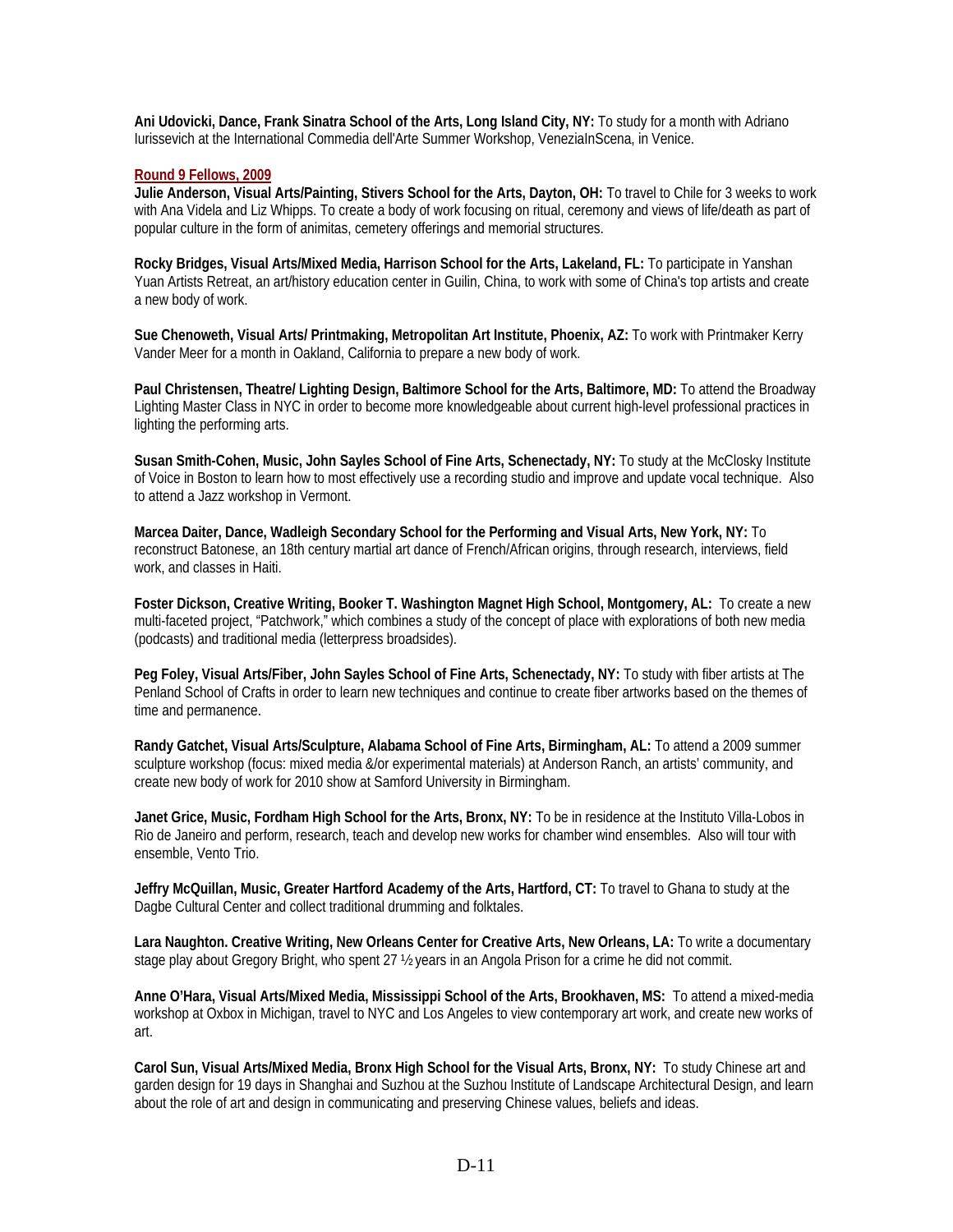**Ani Udovicki, Dance, Frank Sinatra School of the Arts, Long Island City, NY:** To study for a month with Adriano Iurissevich at the International Commedia dell'Arte Summer Workshop, VeneziaInScena, in Venice.

#### **Round 9 Fellows, 2009**

**Julie Anderson, Visual Arts/Painting, Stivers School for the Arts, Dayton, OH:** To travel to Chile for 3 weeks to work with Ana Videla and Liz Whipps. To create a body of work focusing on ritual, ceremony and views of life/death as part of popular culture in the form of animitas, cemetery offerings and memorial structures.

**Rocky Bridges, Visual Arts/Mixed Media, Harrison School for the Arts, Lakeland, FL:** To participate in Yanshan Yuan Artists Retreat, an art/history education center in Guilin, China, to work with some of China's top artists and create a new body of work.

**Sue Chenoweth, Visual Arts/ Printmaking, Metropolitan Art Institute, Phoenix, AZ:** To work with Printmaker Kerry Vander Meer for a month in Oakland, California to prepare a new body of work.

**Paul Christensen, Theatre/ Lighting Design, Baltimore School for the Arts, Baltimore, MD:** To attend the Broadway Lighting Master Class in NYC in order to become more knowledgeable about current high-level professional practices in lighting the performing arts.

**Susan Smith-Cohen, Music, John Sayles School of Fine Arts, Schenectady, NY:** To study at the McClosky Institute of Voice in Boston to learn how to most effectively use a recording studio and improve and update vocal technique. Also to attend a Jazz workshop in Vermont.

**Marcea Daiter, Dance, Wadleigh Secondary School for the Performing and Visual Arts, New York, NY:** To reconstruct Batonese, an 18th century martial art dance of French/African origins, through research, interviews, field work, and classes in Haiti.

**Foster Dickson, Creative Writing, Booker T. Washington Magnet High School, Montgomery, AL:** To create a new multi-faceted project, "Patchwork," which combines a study of the concept of place with explorations of both new media (podcasts) and traditional media (letterpress broadsides).

**Peg Foley, Visual Arts/Fiber, John Sayles School of Fine Arts, Schenectady, NY:** To study with fiber artists at The Penland School of Crafts in order to learn new techniques and continue to create fiber artworks based on the themes of time and permanence.

**Randy Gatchet, Visual Arts/Sculpture, Alabama School of Fine Arts, Birmingham, AL:** To attend a 2009 summer sculpture workshop (focus: mixed media &/or experimental materials) at Anderson Ranch, an artists' community, and create new body of work for 2010 show at Samford University in Birmingham.

**Janet Grice, Music, Fordham High School for the Arts, Bronx, NY:** To be in residence at the Instituto Villa-Lobos in Rio de Janeiro and perform, research, teach and develop new works for chamber wind ensembles. Also will tour with ensemble, Vento Trio.

**Jeffry McQuillan, Music, Greater Hartford Academy of the Arts, Hartford, CT:** To travel to Ghana to study at the Dagbe Cultural Center and collect traditional drumming and folktales.

Lara Naughton. Creative Writing, New Orleans Center for Creative Arts, New Orleans, LA: To write a documentary stage play about Gregory Bright, who spent 27  $\frac{1}{2}$  years in an Angola Prison for a crime he did not commit.

**Anne O'Hara, Visual Arts/Mixed Media, Mississippi School of the Arts, Brookhaven, MS:** To attend a mixed-media workshop at Oxbox in Michigan, travel to NYC and Los Angeles to view contemporary art work, and create new works of art.

**Carol Sun, Visual Arts/Mixed Media, Bronx High School for the Visual Arts, Bronx, NY:** To study Chinese art and garden design for 19 days in Shanghai and Suzhou at the Suzhou Institute of Landscape Architectural Design, and learn about the role of art and design in communicating and preserving Chinese values, beliefs and ideas.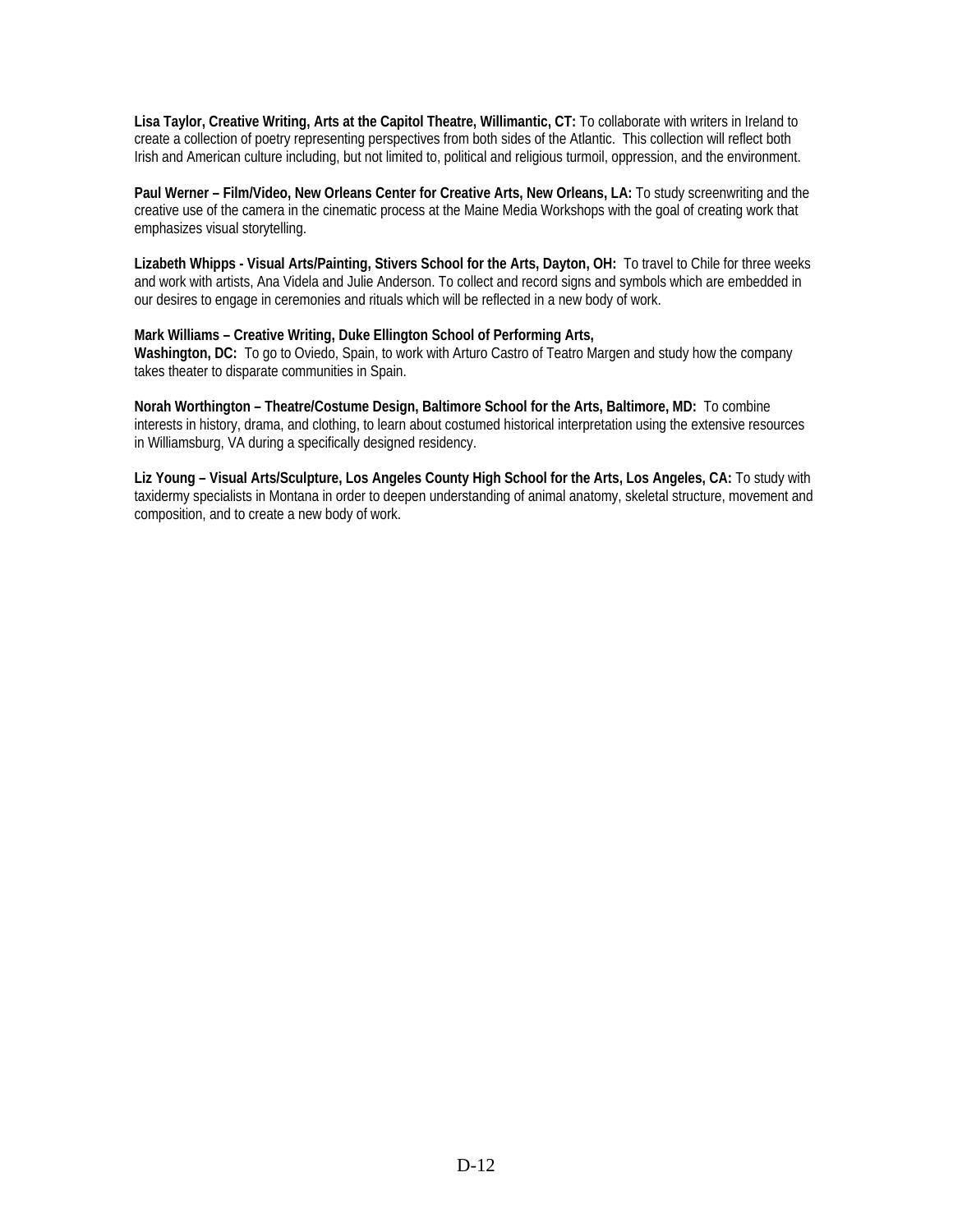**Lisa Taylor, Creative Writing, Arts at the Capitol Theatre, Willimantic, CT:** To collaborate with writers in Ireland to create a collection of poetry representing perspectives from both sides of the Atlantic. This collection will reflect both Irish and American culture including, but not limited to, political and religious turmoil, oppression, and the environment.

**Paul Werner – Film/Video, New Orleans Center for Creative Arts, New Orleans, LA:** To study screenwriting and the creative use of the camera in the cinematic process at the Maine Media Workshops with the goal of creating work that emphasizes visual storytelling.

**Lizabeth Whipps - Visual Arts/Painting, Stivers School for the Arts, Dayton, OH:** To travel to Chile for three weeks and work with artists, Ana Videla and Julie Anderson. To collect and record signs and symbols which are embedded in our desires to engage in ceremonies and rituals which will be reflected in a new body of work.

#### **Mark Williams – Creative Writing, Duke Ellington School of Performing Arts,**

**Washington, DC:** To go to Oviedo, Spain, to work with Arturo Castro of Teatro Margen and study how the company takes theater to disparate communities in Spain.

**Norah Worthington – Theatre/Costume Design, Baltimore School for the Arts, Baltimore, MD:** To combine interests in history, drama, and clothing, to learn about costumed historical interpretation using the extensive resources in Williamsburg, VA during a specifically designed residency.

**Liz Young – Visual Arts/Sculpture, Los Angeles County High School for the Arts, Los Angeles, CA:** To study with taxidermy specialists in Montana in order to deepen understanding of animal anatomy, skeletal structure, movement and composition, and to create a new body of work.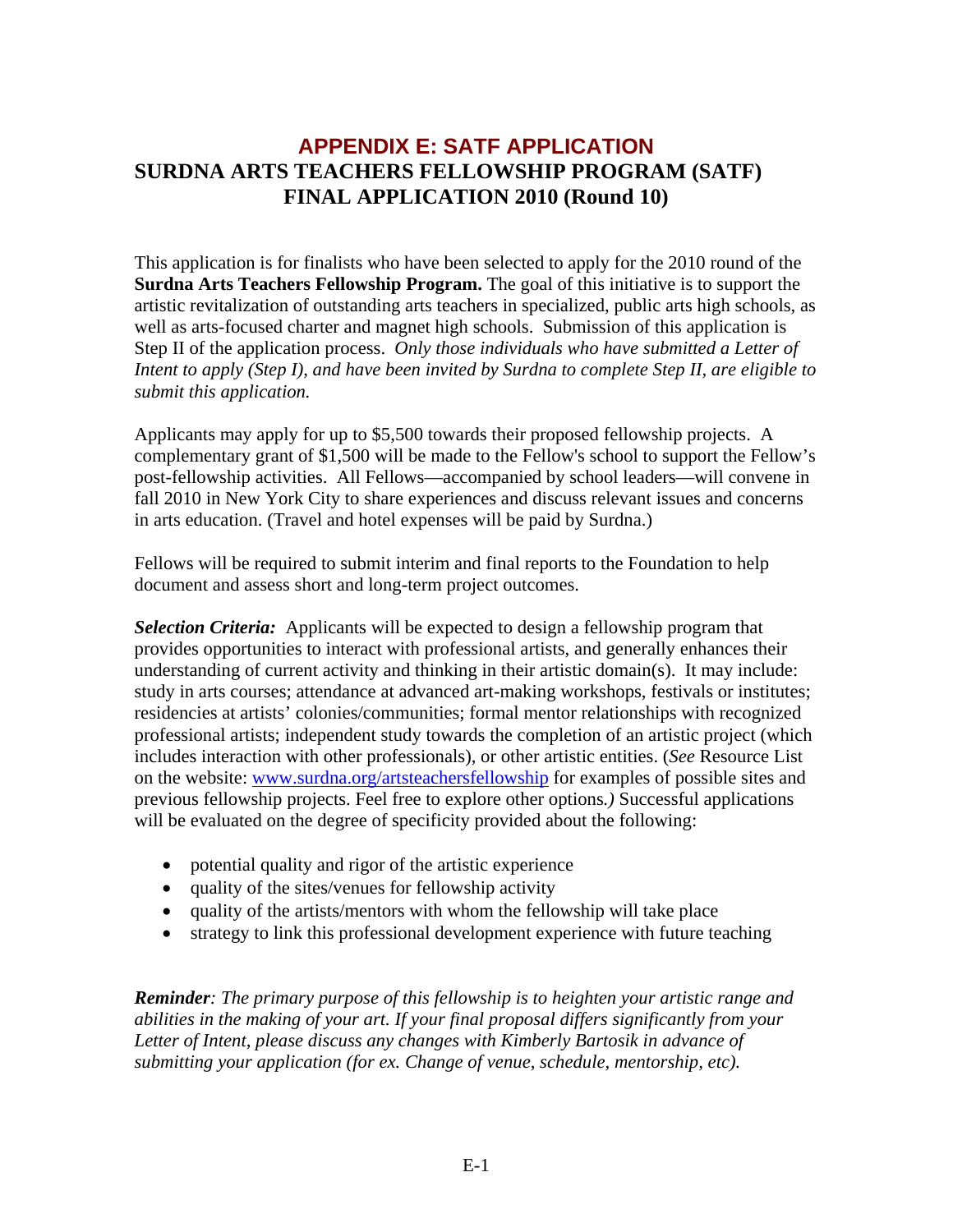# **APPENDIX E: SATF APPLICATION SURDNA ARTS TEACHERS FELLOWSHIP PROGRAM (SATF) FINAL APPLICATION 2010 (Round 10)**

This application is for finalists who have been selected to apply for the 2010 round of the **Surdna Arts Teachers Fellowship Program.** The goal of this initiative is to support the artistic revitalization of outstanding arts teachers in specialized, public arts high schools, as well as arts-focused charter and magnet high schools. Submission of this application is Step II of the application process. *Only those individuals who have submitted a Letter of Intent to apply (Step I), and have been invited by Surdna to complete Step II, are eligible to submit this application.* 

Applicants may apply for up to \$5,500 towards their proposed fellowship projects. A complementary grant of \$1,500 will be made to the Fellow's school to support the Fellow's post-fellowship activities. All Fellows—accompanied by school leaders—will convene in fall 2010 in New York City to share experiences and discuss relevant issues and concerns in arts education. (Travel and hotel expenses will be paid by Surdna.)

Fellows will be required to submit interim and final reports to the Foundation to help document and assess short and long-term project outcomes.

*Selection Criteria:* Applicants will be expected to design a fellowship program that provides opportunities to interact with professional artists, and generally enhances their understanding of current activity and thinking in their artistic domain(s). It may include: study in arts courses; attendance at advanced art-making workshops, festivals or institutes; residencies at artists' colonies/communities; formal mentor relationships with recognized professional artists; independent study towards the completion of an artistic project (which includes interaction with other professionals), or other artistic entities. (*See* Resource List on the website: [www.surdna.org/artsteachersfellowship](http://www.surdna.org/artsteachersfellowship) for examples of possible sites and previous fellowship projects. Feel free to explore other options*.)* Successful applications will be evaluated on the degree of specificity provided about the following:

- potential quality and rigor of the artistic experience
- quality of the sites/venues for fellowship activity
- quality of the artists/mentors with whom the fellowship will take place
- strategy to link this professional development experience with future teaching

*Reminder: The primary purpose of this fellowship is to heighten your artistic range and abilities in the making of your art. If your final proposal differs significantly from your Letter of Intent, please discuss any changes with Kimberly Bartosik in advance of submitting your application (for ex. Change of venue, schedule, mentorship, etc).*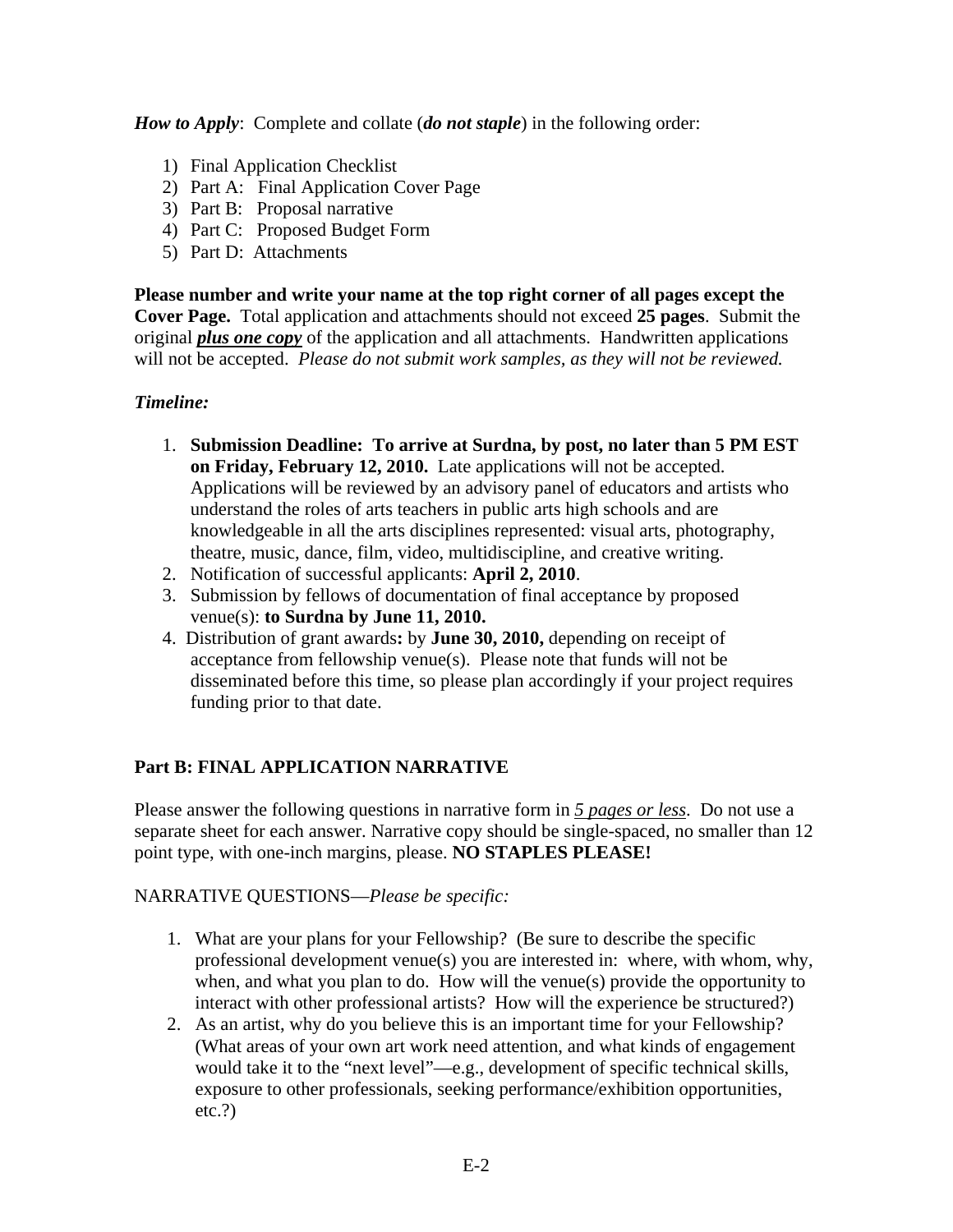*How to Apply*: Complete and collate (*do not staple*) in the following order:

- 1) Final Application Checklist
- 2) Part A: Final Application Cover Page
- 3) Part B: Proposal narrative
- 4) Part C: Proposed Budget Form
- 5) Part D: Attachments

**Please number and write your name at the top right corner of all pages except the Cover Page.** Total application and attachments should not exceed **25 pages**. Submit the original *plus one copy* of the application and all attachments. Handwritten applications will not be accepted. *Please do not submit work samples, as they will not be reviewed.*

# *Timeline:*

- 1. **Submission Deadline: To arrive at Surdna, by post, no later than 5 PM EST on Friday, February 12, 2010.** Late applications will not be accepted. Applications will be reviewed by an advisory panel of educators and artists who understand the roles of arts teachers in public arts high schools and are knowledgeable in all the arts disciplines represented: visual arts, photography, theatre, music, dance, film, video, multidiscipline, and creative writing.
- 2. Notification of successful applicants: **April 2, 2010**.
- 3. Submission by fellows of documentation of final acceptance by proposed venue(s): **to Surdna by June 11, 2010.**
- 4. Distribution of grant awards**:** by **June 30, 2010,** depending on receipt of acceptance from fellowship venue(s). Please note that funds will not be disseminated before this time, so please plan accordingly if your project requires funding prior to that date.

# **Part B: FINAL APPLICATION NARRATIVE**

Please answer the following questions in narrative form in *5 pages or less*. Do not use a separate sheet for each answer. Narrative copy should be single-spaced, no smaller than 12 point type, with one-inch margins, please. **NO STAPLES PLEASE!**

# NARRATIVE QUESTIONS—*Please be specific:*

- 1. What are your plans for your Fellowship? (Be sure to describe the specific professional development venue(s) you are interested in: where, with whom, why, when, and what you plan to do. How will the venue(s) provide the opportunity to interact with other professional artists? How will the experience be structured?)
- 2. As an artist, why do you believe this is an important time for your Fellowship? (What areas of your own art work need attention, and what kinds of engagement would take it to the "next level"—e.g., development of specific technical skills, exposure to other professionals, seeking performance/exhibition opportunities, etc.?)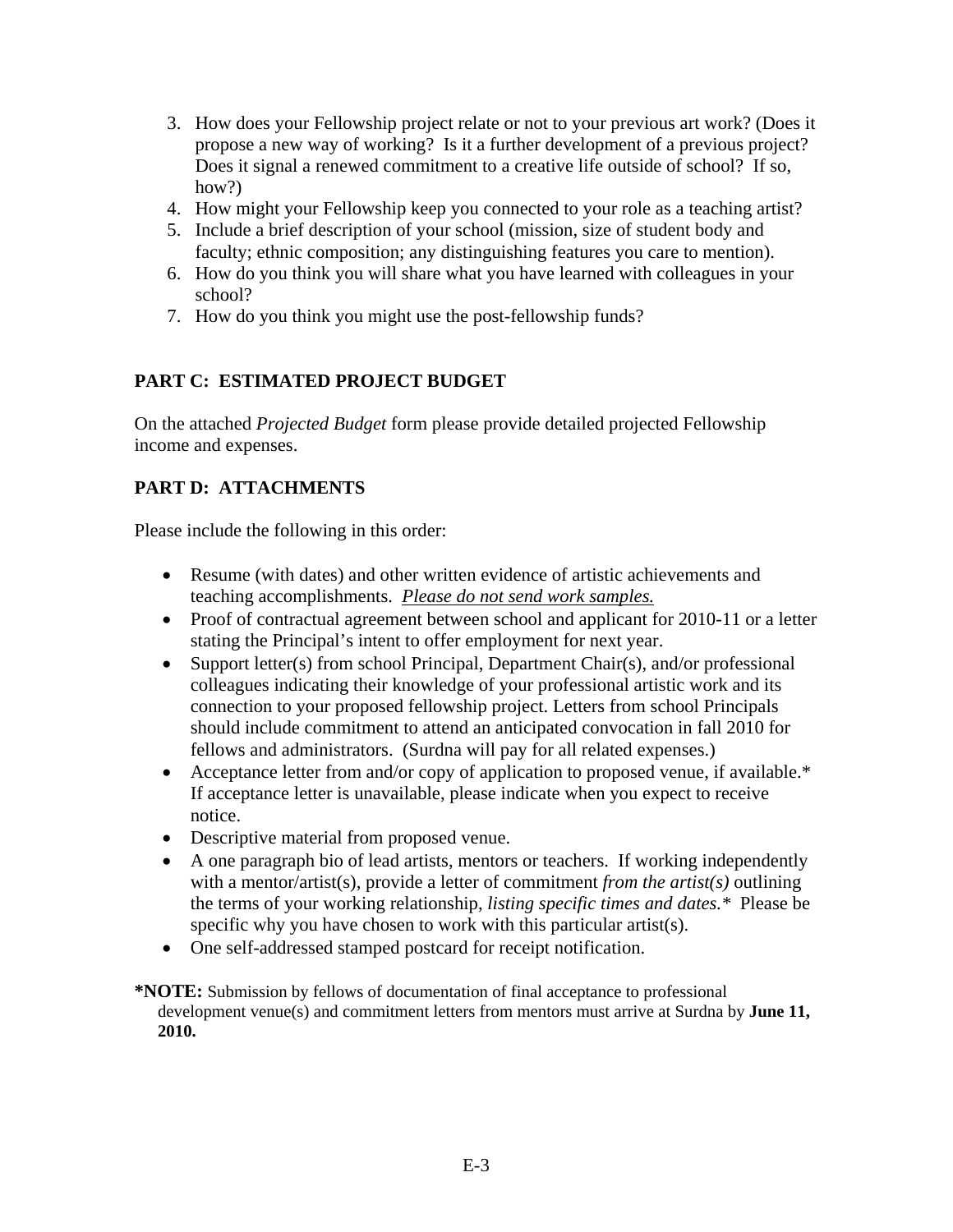- 3. How does your Fellowship project relate or not to your previous art work? (Does it propose a new way of working? Is it a further development of a previous project? Does it signal a renewed commitment to a creative life outside of school? If so, how?)
- 4. How might your Fellowship keep you connected to your role as a teaching artist?
- 5. Include a brief description of your school (mission, size of student body and faculty; ethnic composition; any distinguishing features you care to mention).
- 6. How do you think you will share what you have learned with colleagues in your school?
- 7. How do you think you might use the post-fellowship funds?

# **PART C: ESTIMATED PROJECT BUDGET**

On the attached *Projected Budget* form please provide detailed projected Fellowship income and expenses.

# **PART D: ATTACHMENTS**

Please include the following in this order:

- Resume (with dates) and other written evidence of artistic achievements and teaching accomplishments. *Please do not send work samples.*
- Proof of contractual agreement between school and applicant for 2010-11 or a letter stating the Principal's intent to offer employment for next year.
- Support letter(s) from school Principal, Department Chair(s), and/or professional colleagues indicating their knowledge of your professional artistic work and its connection to your proposed fellowship project. Letters from school Principals should include commitment to attend an anticipated convocation in fall 2010 for fellows and administrators. (Surdna will pay for all related expenses.)
- Acceptance letter from and/or copy of application to proposed venue, if available.\* If acceptance letter is unavailable, please indicate when you expect to receive notice.
- Descriptive material from proposed venue.
- A one paragraph bio of lead artists, mentors or teachers. If working independently with a mentor/artist(s), provide a letter of commitment *from the artist(s)* outlining the terms of your working relationship, *listing specific times and dates.\** Please be specific why you have chosen to work with this particular artist(s).
- One self-addressed stamped postcard for receipt notification.
- **\*NOTE:** Submission by fellows of documentation of final acceptance to professional development venue(s) and commitment letters from mentors must arrive at Surdna by **June 11, 2010.**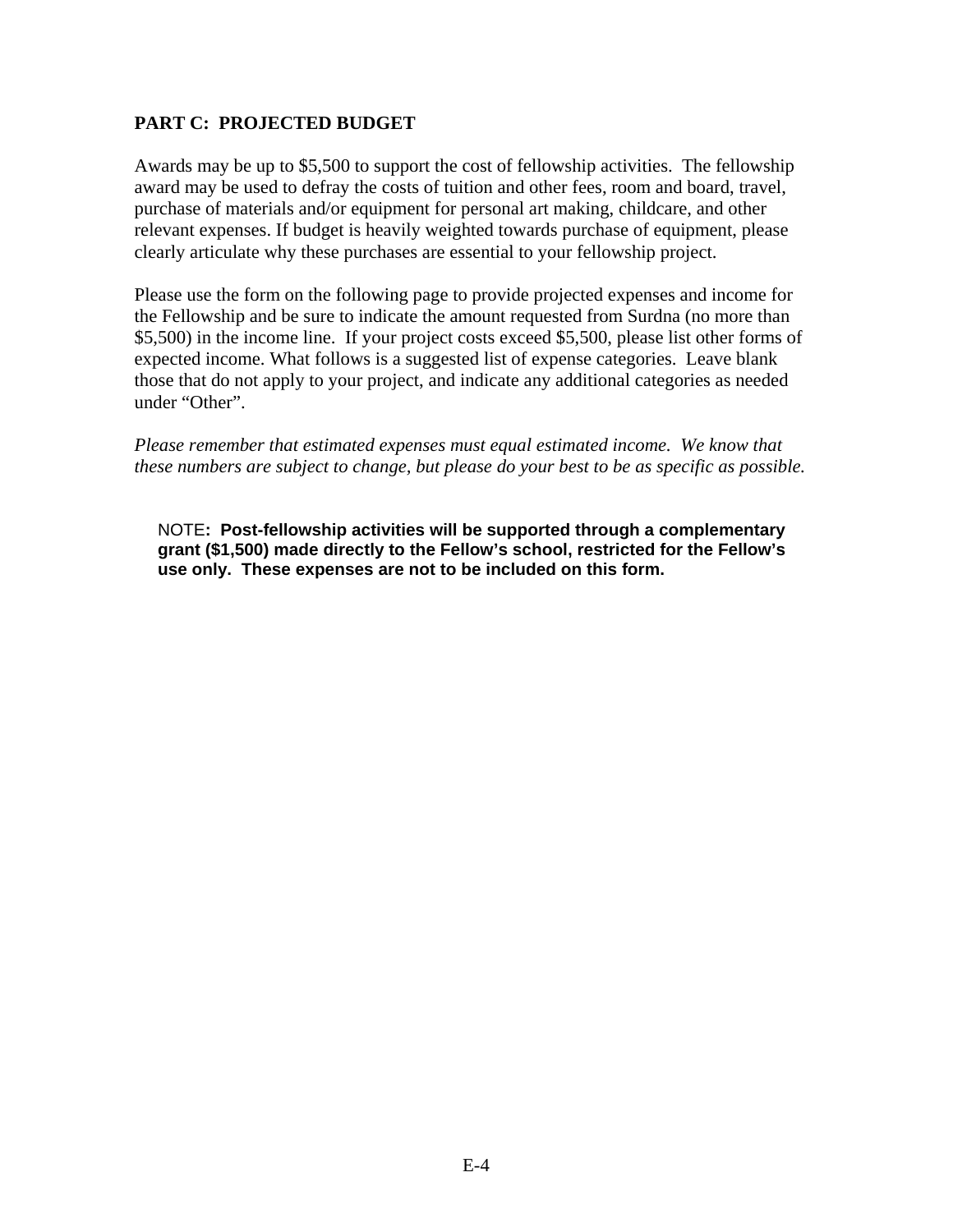## **PART C: PROJECTED BUDGET**

Awards may be up to \$5,500 to support the cost of fellowship activities. The fellowship award may be used to defray the costs of tuition and other fees, room and board, travel, purchase of materials and/or equipment for personal art making, childcare, and other relevant expenses. If budget is heavily weighted towards purchase of equipment, please clearly articulate why these purchases are essential to your fellowship project.

Please use the form on the following page to provide projected expenses and income for the Fellowship and be sure to indicate the amount requested from Surdna (no more than \$5,500) in the income line. If your project costs exceed \$5,500, please list other forms of expected income. What follows is a suggested list of expense categories. Leave blank those that do not apply to your project, and indicate any additional categories as needed under "Other".

*Please remember that estimated expenses must equal estimated income. We know that these numbers are subject to change, but please do your best to be as specific as possible.* 

NOTE**: Post-fellowship activities will be supported through a complementary grant (\$1,500) made directly to the Fellow's school, restricted for the Fellow's use only. These expenses are not to be included on this form.**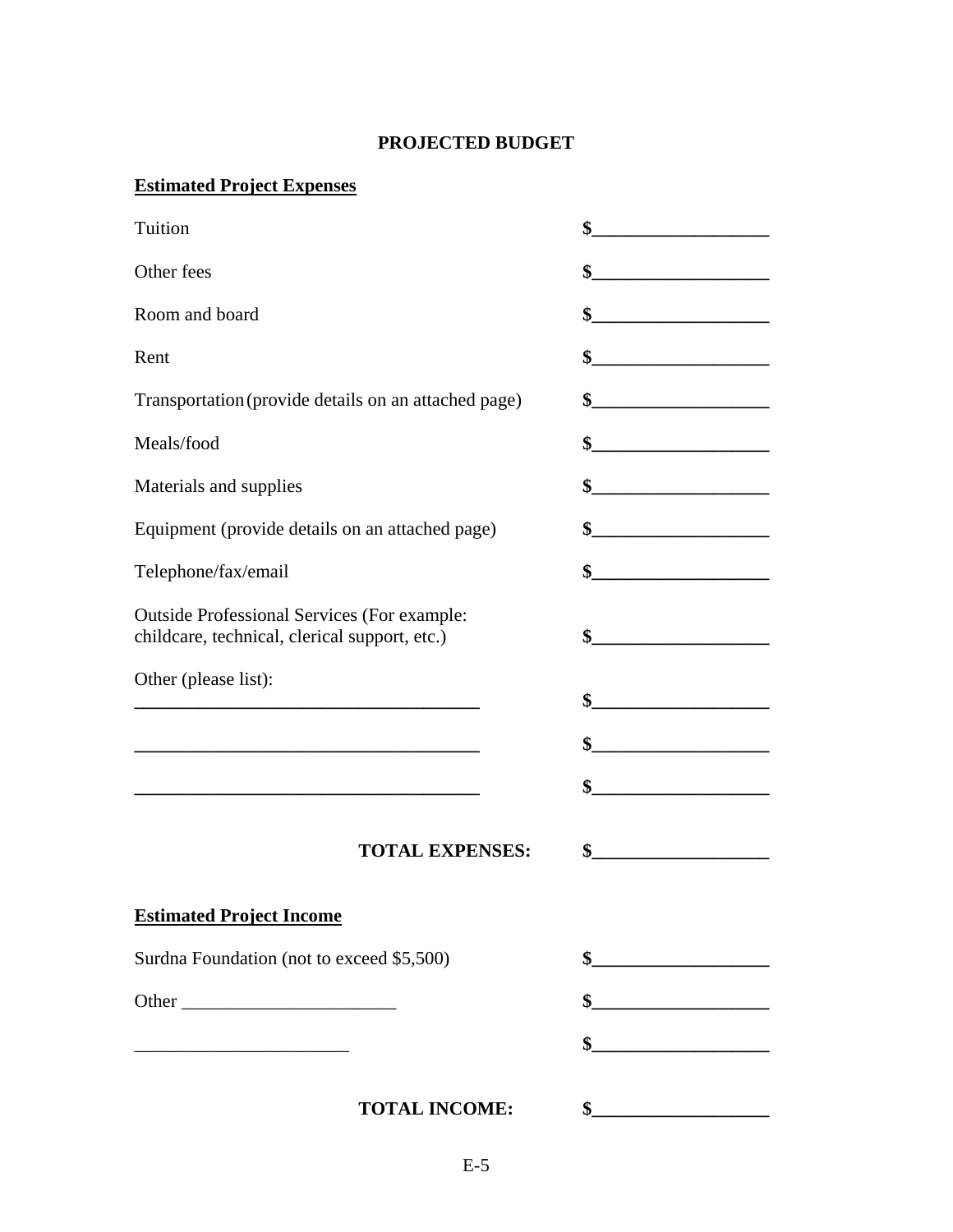# **PROJECTED BUDGET**

# **Estimated Project Expenses**

| Tuition                                                                                                              |                                                                                                                                                                                                                                                                                                                                                                                               |
|----------------------------------------------------------------------------------------------------------------------|-----------------------------------------------------------------------------------------------------------------------------------------------------------------------------------------------------------------------------------------------------------------------------------------------------------------------------------------------------------------------------------------------|
| Other fees                                                                                                           | $\begin{picture}(20,10) \put(0,0){\vector(1,0){100}} \put(15,0){\vector(1,0){100}} \put(15,0){\vector(1,0){100}} \put(15,0){\vector(1,0){100}} \put(15,0){\vector(1,0){100}} \put(15,0){\vector(1,0){100}} \put(15,0){\vector(1,0){100}} \put(15,0){\vector(1,0){100}} \put(15,0){\vector(1,0){100}} \put(15,0){\vector(1,0){100}} \put(15,0){\vector(1,0){100}} \$                           |
| Room and board                                                                                                       | \$                                                                                                                                                                                                                                                                                                                                                                                            |
| Rent                                                                                                                 | $\begin{picture}(20,10) \put(0,0){\vector(1,0){100}} \put(15,0){\vector(1,0){100}} \put(15,0){\vector(1,0){100}} \put(15,0){\vector(1,0){100}} \put(15,0){\vector(1,0){100}} \put(15,0){\vector(1,0){100}} \put(15,0){\vector(1,0){100}} \put(15,0){\vector(1,0){100}} \put(15,0){\vector(1,0){100}} \put(15,0){\vector(1,0){100}} \put(15,0){\vector(1,0){100}} \$                           |
| Transportation (provide details on an attached page)                                                                 | $\frac{\frac{1}{2} \frac{1}{2} \frac{1}{2} \frac{1}{2} \frac{1}{2} \frac{1}{2} \frac{1}{2} \frac{1}{2} \frac{1}{2} \frac{1}{2} \frac{1}{2} \frac{1}{2} \frac{1}{2} \frac{1}{2} \frac{1}{2} \frac{1}{2} \frac{1}{2} \frac{1}{2} \frac{1}{2} \frac{1}{2} \frac{1}{2} \frac{1}{2} \frac{1}{2} \frac{1}{2} \frac{1}{2} \frac{1}{2} \frac{1}{2} \frac{1}{2} \frac{1}{2} \frac{1}{2} \frac{1}{2} \$ |
| Meals/food                                                                                                           | $\frac{\text{S}}{\text{S}}$                                                                                                                                                                                                                                                                                                                                                                   |
| Materials and supplies                                                                                               |                                                                                                                                                                                                                                                                                                                                                                                               |
| Equipment (provide details on an attached page)                                                                      |                                                                                                                                                                                                                                                                                                                                                                                               |
| Telephone/fax/email                                                                                                  | $\frac{\S_{\text{max}}}{\S_{\text{max}}$                                                                                                                                                                                                                                                                                                                                                      |
| <b>Outside Professional Services (For example:</b><br>childcare, technical, clerical support, etc.)                  |                                                                                                                                                                                                                                                                                                                                                                                               |
| Other (please list):                                                                                                 | $\sim$                                                                                                                                                                                                                                                                                                                                                                                        |
| <u> 1989 - Johann John Stone, markin film yn y brenin y brenin y brenin y brenin y brenin y brenin y brenin y br</u> | $\frac{1}{2}$                                                                                                                                                                                                                                                                                                                                                                                 |
|                                                                                                                      |                                                                                                                                                                                                                                                                                                                                                                                               |
| <b>TOTAL EXPENSES:</b>                                                                                               | $\sim$                                                                                                                                                                                                                                                                                                                                                                                        |
| <b>Estimated Project Income</b>                                                                                      |                                                                                                                                                                                                                                                                                                                                                                                               |
| Surdna Foundation (not to exceed \$5,500)                                                                            |                                                                                                                                                                                                                                                                                                                                                                                               |
|                                                                                                                      | $\frac{\frac{1}{2} \frac{1}{2} \frac{1}{2} \frac{1}{2} \frac{1}{2} \frac{1}{2} \frac{1}{2} \frac{1}{2} \frac{1}{2} \frac{1}{2} \frac{1}{2} \frac{1}{2} \frac{1}{2} \frac{1}{2} \frac{1}{2} \frac{1}{2} \frac{1}{2} \frac{1}{2} \frac{1}{2} \frac{1}{2} \frac{1}{2} \frac{1}{2} \frac{1}{2} \frac{1}{2} \frac{1}{2} \frac{1}{2} \frac{1}{2} \frac{1}{2} \frac{1}{2} \frac{1}{2} \frac{1}{2} \$ |
|                                                                                                                      | $\sim$                                                                                                                                                                                                                                                                                                                                                                                        |
| <b>TOTAL INCOME:</b>                                                                                                 |                                                                                                                                                                                                                                                                                                                                                                                               |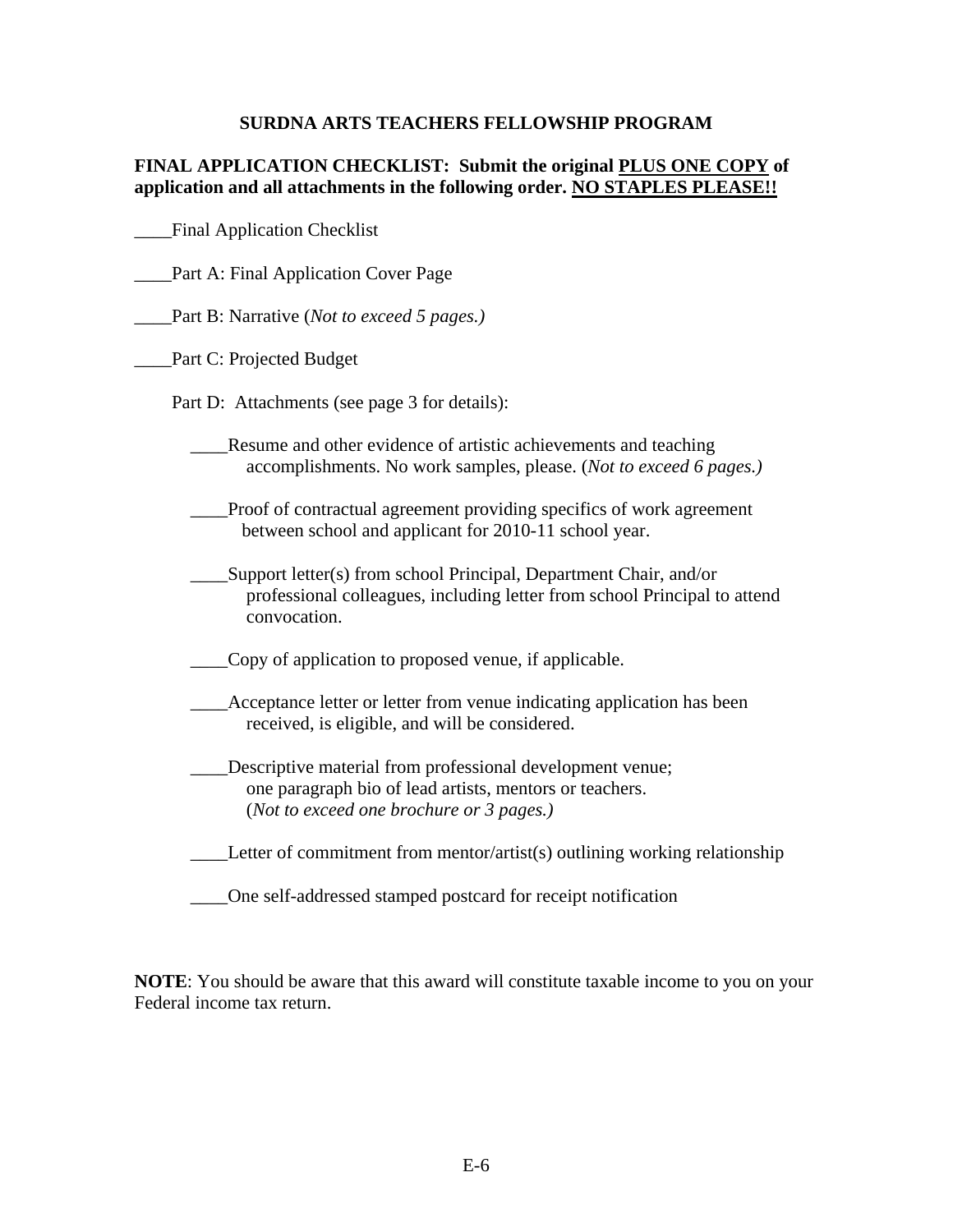## **SURDNA ARTS TEACHERS FELLOWSHIP PROGRAM**

## **FINAL APPLICATION CHECKLIST: Submit the original PLUS ONE COPY of application and all attachments in the following order. NO STAPLES PLEASE!!**

\_\_\_\_Final Application Checklist

- \_\_\_\_Part A: Final Application Cover Page
- \_\_\_\_Part B: Narrative (*Not to exceed 5 pages.)*
- \_\_\_\_Part C: Projected Budget
	- Part D: Attachments (see page 3 for details):
		- \_\_\_\_Resume and other evidence of artistic achievements and teaching accomplishments. No work samples, please. (*Not to exceed 6 pages.)*
		- \_\_\_\_Proof of contractual agreement providing specifics of work agreement between school and applicant for 2010-11 school year.
		- Support letter(s) from school Principal, Department Chair, and/or professional colleagues, including letter from school Principal to attend convocation.
		- \_\_\_\_Copy of application to proposed venue, if applicable.
		- Acceptance letter or letter from venue indicating application has been received, is eligible, and will be considered.
		- \_\_\_\_Descriptive material from professional development venue; one paragraph bio of lead artists, mentors or teachers. (*Not to exceed one brochure or 3 pages.)*
		- *\_\_\_\_*Letter of commitment from mentor/artist(s) outlining working relationship
		- \_\_\_\_One self-addressed stamped postcard for receipt notification

**NOTE**: You should be aware that this award will constitute taxable income to you on your Federal income tax return.